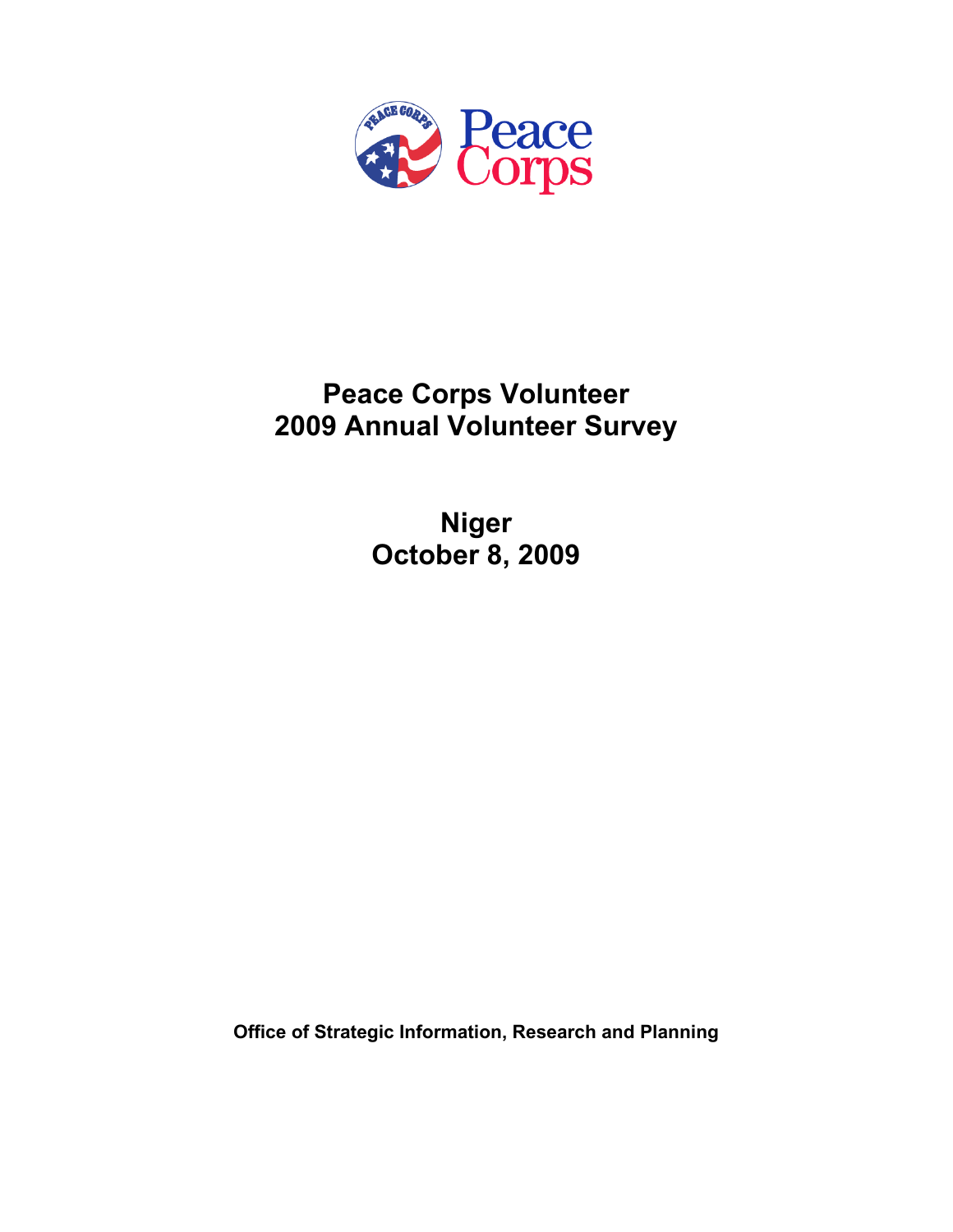

# **Peace Corps Volunteer 2009 Annual Volunteer Survey**

**Niger October 8, 2009** 

**Office of Strategic Information, Research and Planning**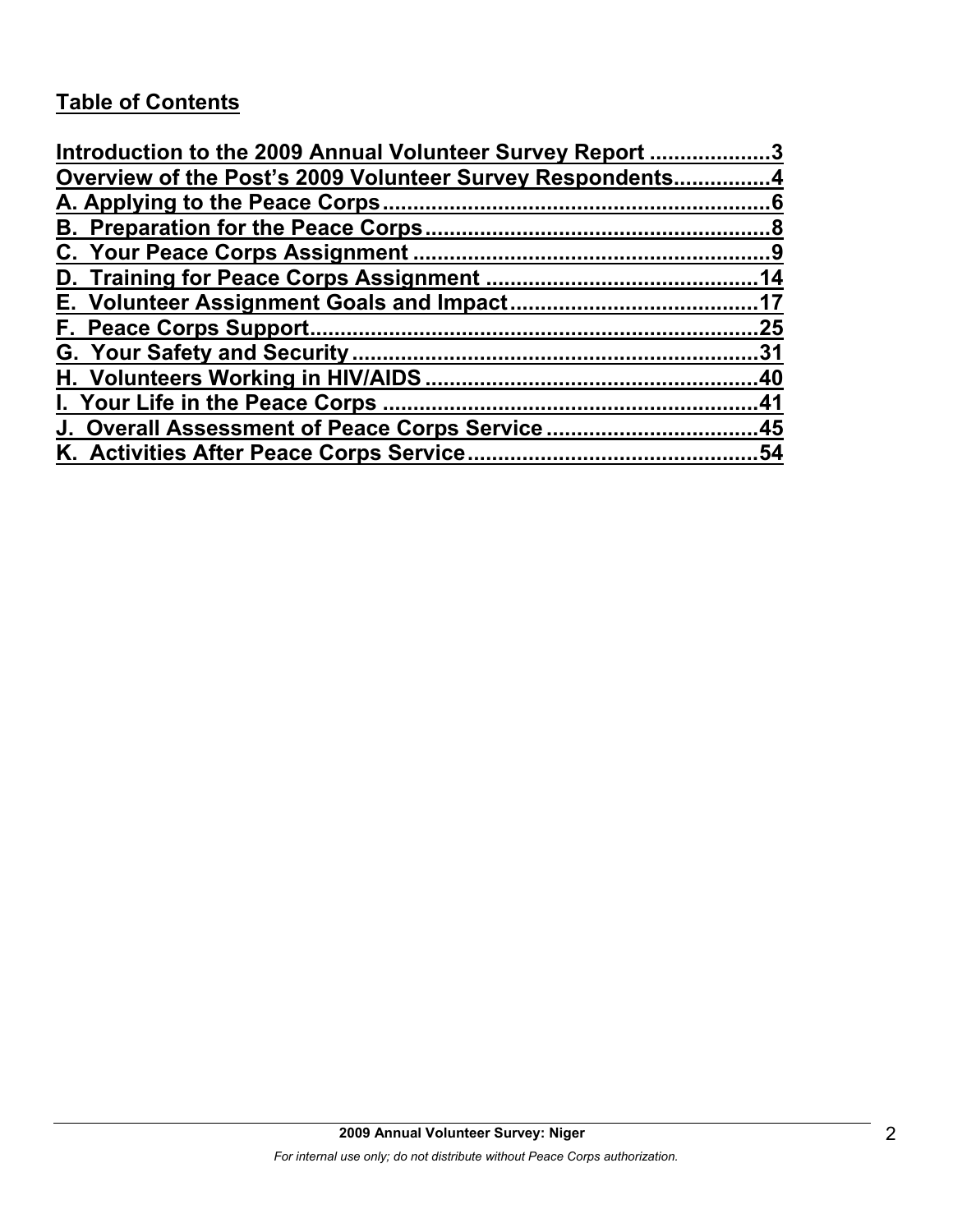# **Table of Contents**

| Introduction to the 2009 Annual Volunteer Survey Report 3 |     |
|-----------------------------------------------------------|-----|
| Overview of the Post's 2009 Volunteer Survey Respondents4 |     |
|                                                           |     |
|                                                           |     |
|                                                           |     |
|                                                           |     |
|                                                           |     |
|                                                           | .25 |
|                                                           |     |
|                                                           |     |
|                                                           |     |
| J. Overall Assessment of Peace Corps Service45            |     |
|                                                           | .54 |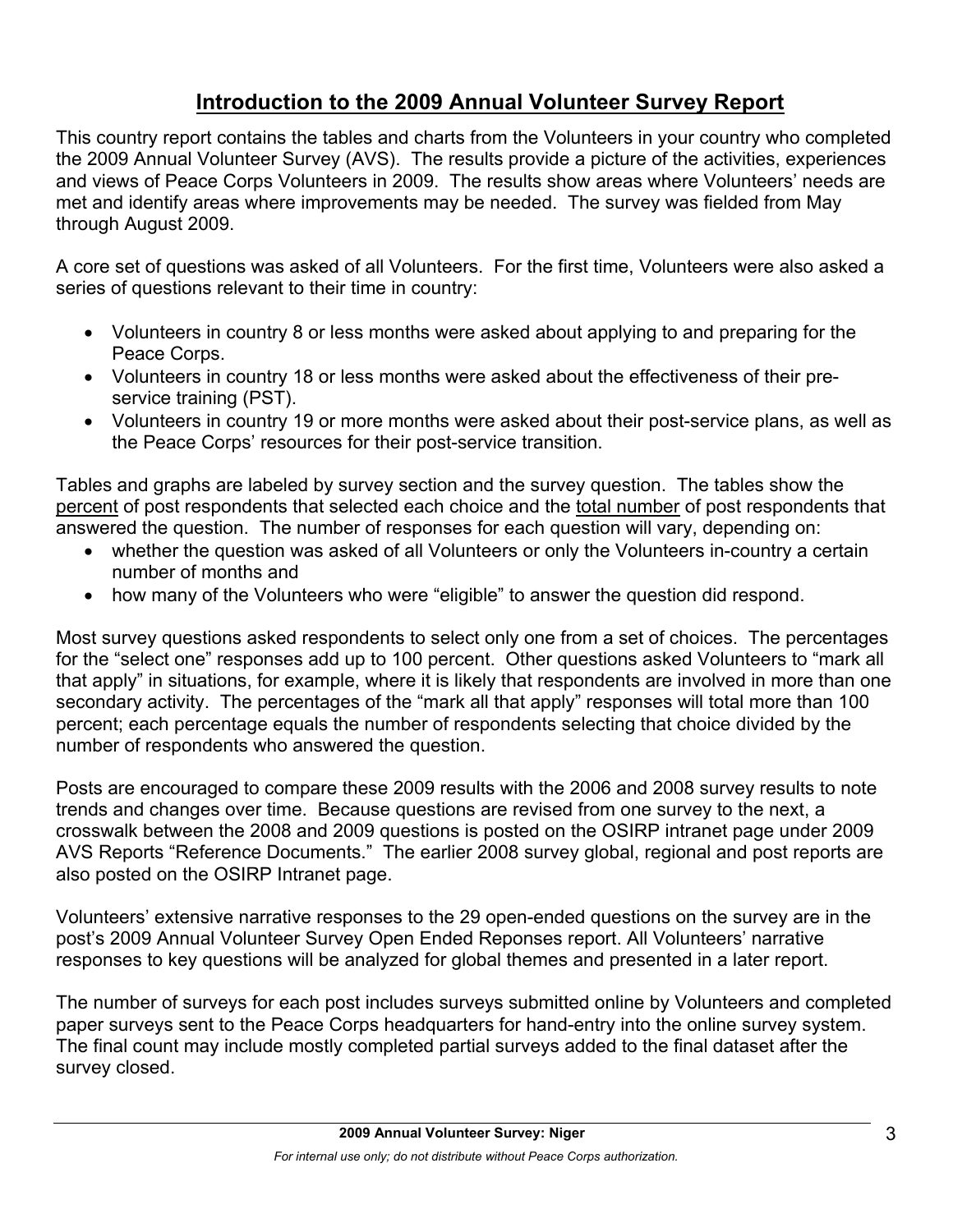# **Introduction to the 2009 Annual Volunteer Survey Report**

This country report contains the tables and charts from the Volunteers in your country who completed the 2009 Annual Volunteer Survey (AVS). The results provide a picture of the activities, experiences and views of Peace Corps Volunteers in 2009. The results show areas where Volunteers' needs are met and identify areas where improvements may be needed. The survey was fielded from May through August 2009.

A core set of questions was asked of all Volunteers. For the first time, Volunteers were also asked a series of questions relevant to their time in country:

- Volunteers in country 8 or less months were asked about applying to and preparing for the Peace Corps.
- Volunteers in country 18 or less months were asked about the effectiveness of their preservice training (PST).
- Volunteers in country 19 or more months were asked about their post-service plans, as well as the Peace Corps' resources for their post-service transition.

Tables and graphs are labeled by survey section and the survey question. The tables show the percent of post respondents that selected each choice and the total number of post respondents that answered the question. The number of responses for each question will vary, depending on:

- whether the question was asked of all Volunteers or only the Volunteers in-country a certain number of months and
- how many of the Volunteers who were "eligible" to answer the question did respond.

Most survey questions asked respondents to select only one from a set of choices. The percentages for the "select one" responses add up to 100 percent. Other questions asked Volunteers to "mark all that apply" in situations, for example, where it is likely that respondents are involved in more than one secondary activity. The percentages of the "mark all that apply" responses will total more than 100 percent; each percentage equals the number of respondents selecting that choice divided by the number of respondents who answered the question.

Posts are encouraged to compare these 2009 results with the 2006 and 2008 survey results to note trends and changes over time. Because questions are revised from one survey to the next, a crosswalk between the 2008 and 2009 questions is posted on the OSIRP intranet page under 2009 AVS Reports "Reference Documents." The earlier 2008 survey global, regional and post reports are also posted on the OSIRP Intranet page.

Volunteers' extensive narrative responses to the 29 open-ended questions on the survey are in the post's 2009 Annual Volunteer Survey Open Ended Reponses report. All Volunteers' narrative responses to key questions will be analyzed for global themes and presented in a later report.

The number of surveys for each post includes surveys submitted online by Volunteers and completed paper surveys sent to the Peace Corps headquarters for hand-entry into the online survey system. The final count may include mostly completed partial surveys added to the final dataset after the survey closed.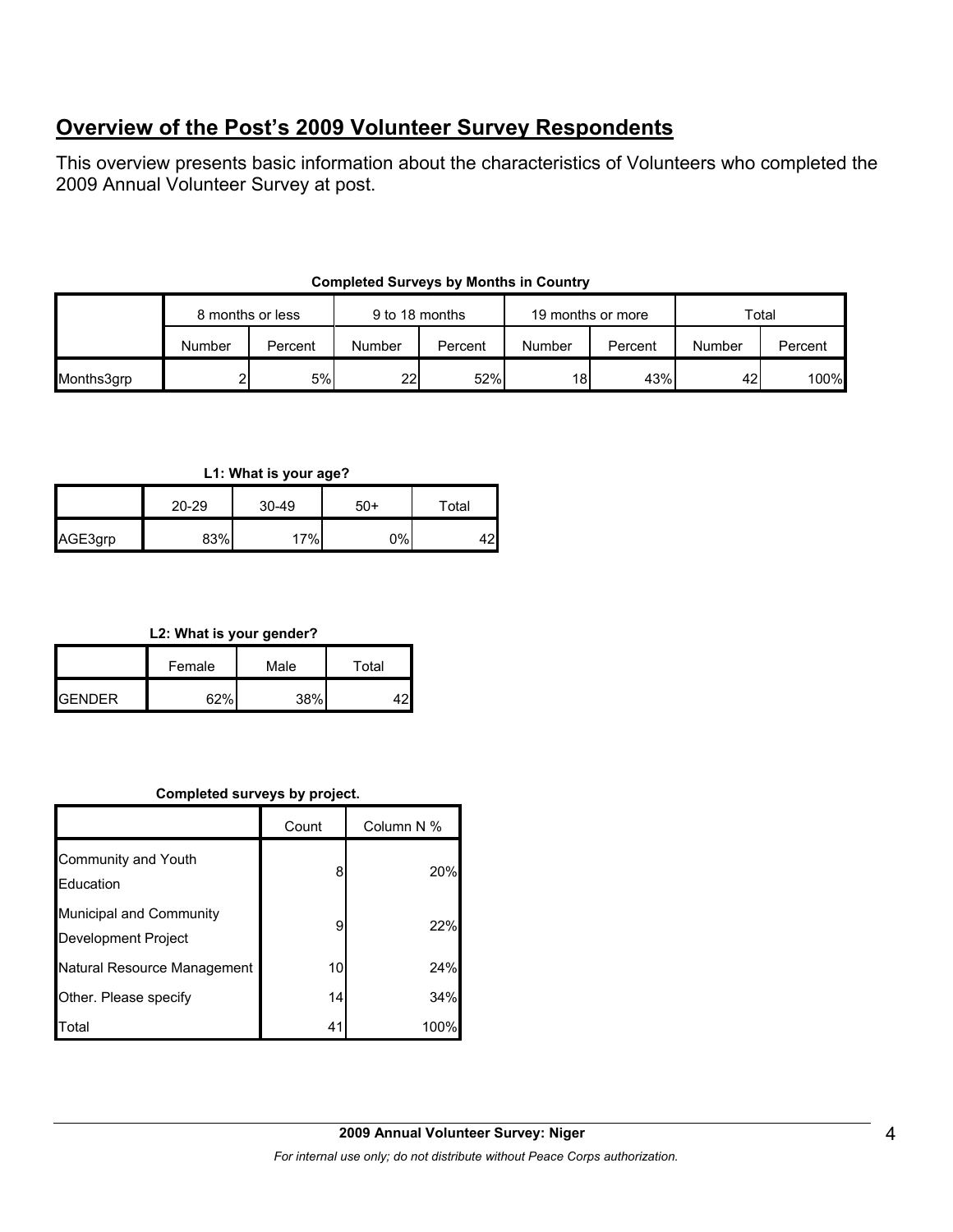# **Overview of the Post's 2009 Volunteer Survey Respondents**

This overview presents basic information about the characteristics of Volunteers who completed the 2009 Annual Volunteer Survey at post.

|            | 8 months or less |         | 9 to 18 months |         | 19 months or more |         | Total  |         |
|------------|------------------|---------|----------------|---------|-------------------|---------|--------|---------|
|            | Number           | Percent | Number         | Percent | Number            | Percent | Number | Percent |
| Months3grp |                  | 5%      | 22             | 52%     | 18                | 43%     | 42     | 100%    |

## **Completed Surveys by Months in Country**

**L1: What is your age?**

|         | $20 - 29$ | $30 - 49$ | -50 | ⊤otal |
|---------|-----------|-----------|-----|-------|
| AGE3grp | 83%       | 17%       | 0%  | ה ו   |

**L2: What is your gender?**

|                | Female | Male   | Total |  |
|----------------|--------|--------|-------|--|
| <b>IGENDER</b> | 67%    | $38\%$ |       |  |

#### **Completed surveys by project.**

|                                                | Count | Column N % |
|------------------------------------------------|-------|------------|
| Community and Youth<br>Education               | 8     | 20%        |
| Municipal and Community<br>Development Project | 9     | 22%        |
| Natural Resource Management                    | 10    | 24%        |
| Other. Please specify                          | 14    | 34%        |
| Total                                          | 41    | 100%       |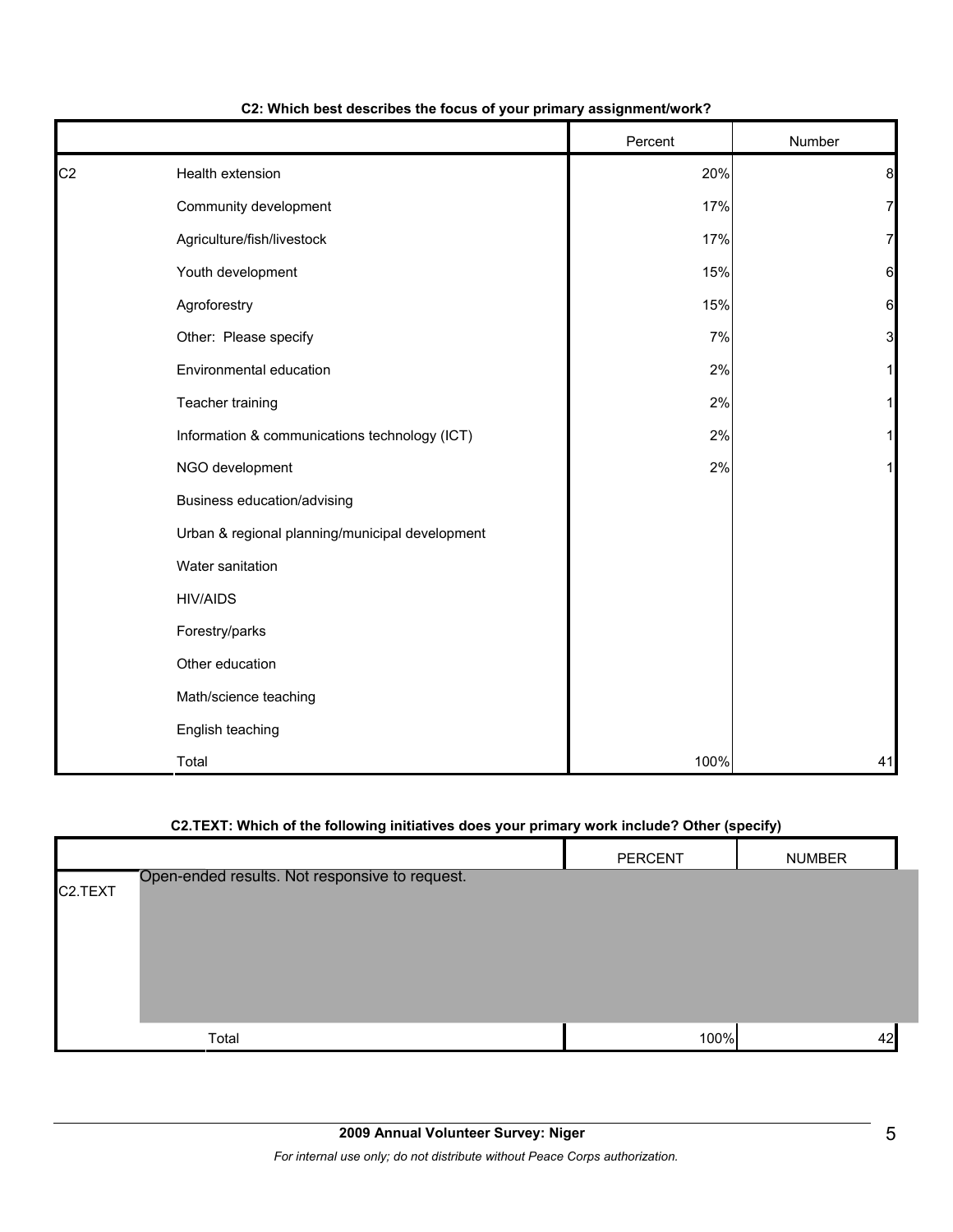|                |                                                 | Percent | Number |
|----------------|-------------------------------------------------|---------|--------|
| C <sub>2</sub> | Health extension                                | 20%     | 8      |
|                | Community development                           | 17%     | 7      |
|                | Agriculture/fish/livestock                      | 17%     | 7      |
|                | Youth development                               | 15%     | 6      |
|                | Agroforestry                                    | 15%     | 6      |
|                | Other: Please specify                           | 7%      | 3      |
|                | Environmental education                         | 2%      | 1      |
|                | Teacher training                                | 2%      |        |
|                | Information & communications technology (ICT)   | 2%      |        |
|                | NGO development                                 | 2%      | 1      |
|                | Business education/advising                     |         |        |
|                | Urban & regional planning/municipal development |         |        |
|                | Water sanitation                                |         |        |
|                | <b>HIV/AIDS</b>                                 |         |        |
|                | Forestry/parks                                  |         |        |
|                | Other education                                 |         |        |
|                | Math/science teaching                           |         |        |
|                | English teaching                                |         |        |
|                | Total                                           | 100%    | 41     |

#### **C2: Which best describes the focus of your primary assignment/work?**

### **C2.TEXT: Which of the following initiatives does your primary work include? Other (specify)**

|                      |                                                | PERCENT | <b>NUMBER</b> |
|----------------------|------------------------------------------------|---------|---------------|
| C <sub>2</sub> .TEXT | Open-ended results. Not responsive to request. |         |               |
|                      | Total                                          | 100%    | 42            |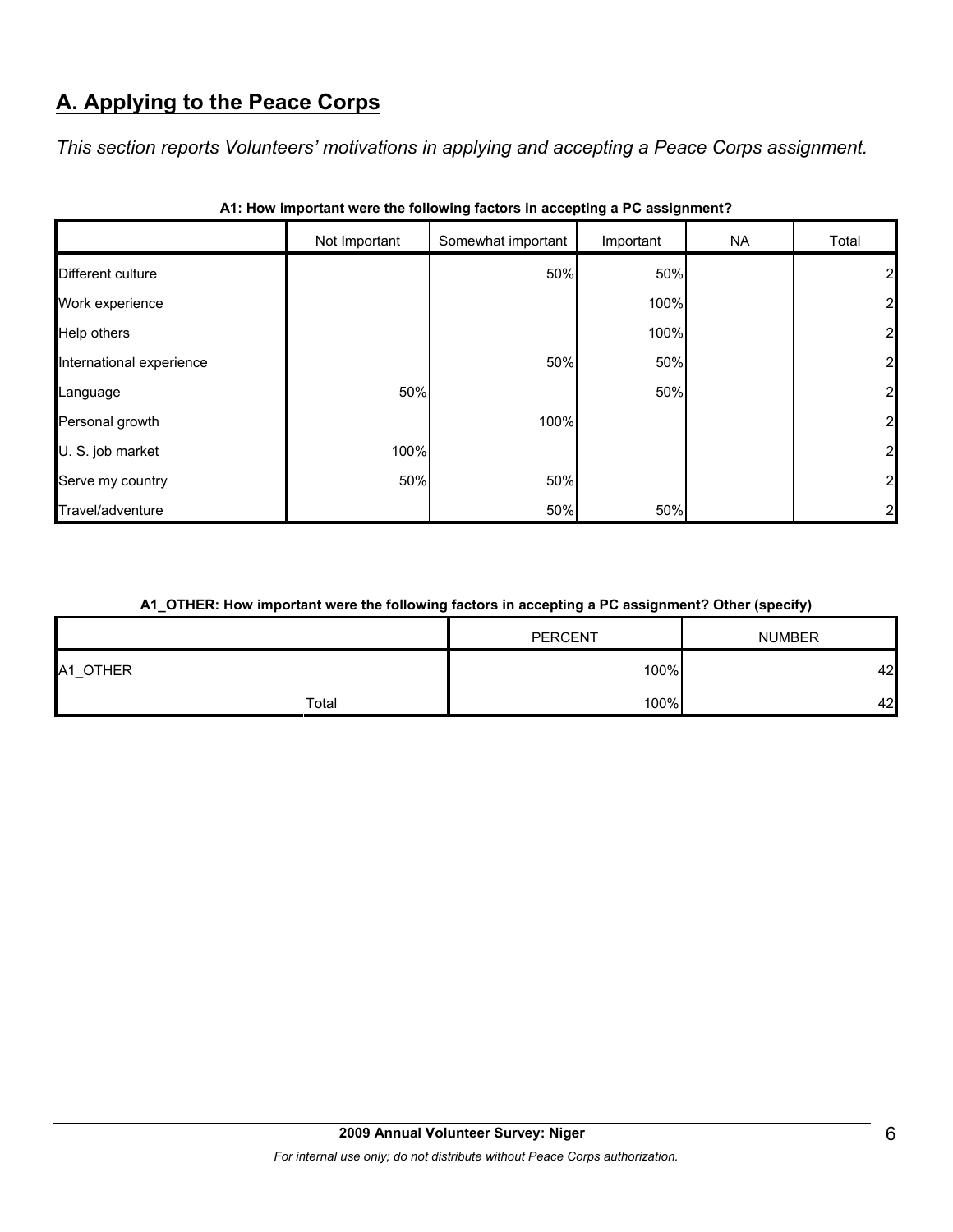# **A. Applying to the Peace Corps**

*This section reports Volunteers' motivations in applying and accepting a Peace Corps assignment.* 

|                          | Not Important | Somewhat important | Important | <b>NA</b> | Total          |
|--------------------------|---------------|--------------------|-----------|-----------|----------------|
| Different culture        |               | 50%                | 50%       |           | 21             |
| Work experience          |               |                    | 100%      |           | $\mathbf{z}$   |
| Help others              |               |                    | 100%      |           | $\overline{2}$ |
| International experience |               | 50%                | 50%       |           | $\overline{2}$ |
| Language                 | 50%           |                    | 50%       |           | $\overline{2}$ |
| Personal growth          |               | 100%               |           |           | $\overline{2}$ |
| U. S. job market         | 100%          |                    |           |           | $\overline{2}$ |
| Serve my country         | 50%           | 50%                |           |           | $\overline{2}$ |
| Travel/adventure         |               | 50%                | 50%       |           | 2              |

| A1: How important were the following factors in accepting a PC assignment? |  |  |
|----------------------------------------------------------------------------|--|--|
|                                                                            |  |  |

#### **A1\_OTHER: How important were the following factors in accepting a PC assignment? Other (specify)**

|          |       | <b>PERCENT</b> | <b>NUMBER</b> |
|----------|-------|----------------|---------------|
| A1_OTHER |       | 100%           | 42            |
|          | Total | 100%           | 42            |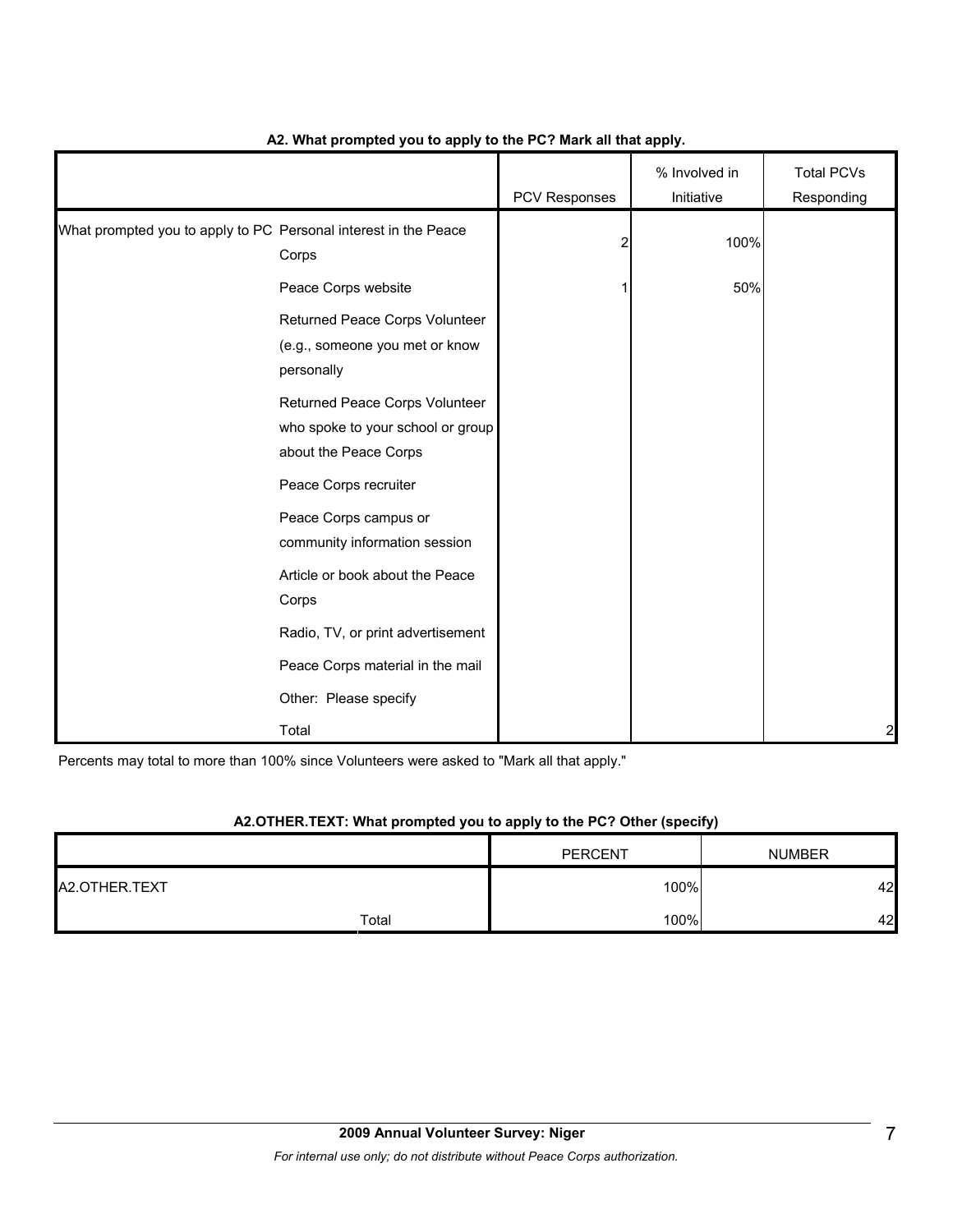|                                                                 |                                                                                              | PCV Responses | % Involved in<br>Initiative | <b>Total PCVs</b><br>Responding |
|-----------------------------------------------------------------|----------------------------------------------------------------------------------------------|---------------|-----------------------------|---------------------------------|
| What prompted you to apply to PC Personal interest in the Peace | Corps                                                                                        | 2             | 100%                        |                                 |
|                                                                 | Peace Corps website                                                                          |               | 50%                         |                                 |
|                                                                 | Returned Peace Corps Volunteer<br>(e.g., someone you met or know<br>personally               |               |                             |                                 |
|                                                                 | Returned Peace Corps Volunteer<br>who spoke to your school or group<br>about the Peace Corps |               |                             |                                 |
|                                                                 | Peace Corps recruiter<br>Peace Corps campus or<br>community information session              |               |                             |                                 |
|                                                                 | Article or book about the Peace<br>Corps                                                     |               |                             |                                 |
|                                                                 | Radio, TV, or print advertisement                                                            |               |                             |                                 |
|                                                                 | Peace Corps material in the mail                                                             |               |                             |                                 |
|                                                                 | Other: Please specify                                                                        |               |                             |                                 |
|                                                                 | Total                                                                                        |               |                             | $\mathbf{z}$                    |

### **A2. What prompted you to apply to the PC? Mark all that apply.**

Percents may total to more than 100% since Volunteers were asked to "Mark all that apply."

### **A2.OTHER.TEXT: What prompted you to apply to the PC? Other (specify)**

|               | <b>PERCENT</b> | <b>NUMBER</b> |
|---------------|----------------|---------------|
| A2.OTHER.TEXT | 100%           | 42            |
| Total         | 100%           | 42            |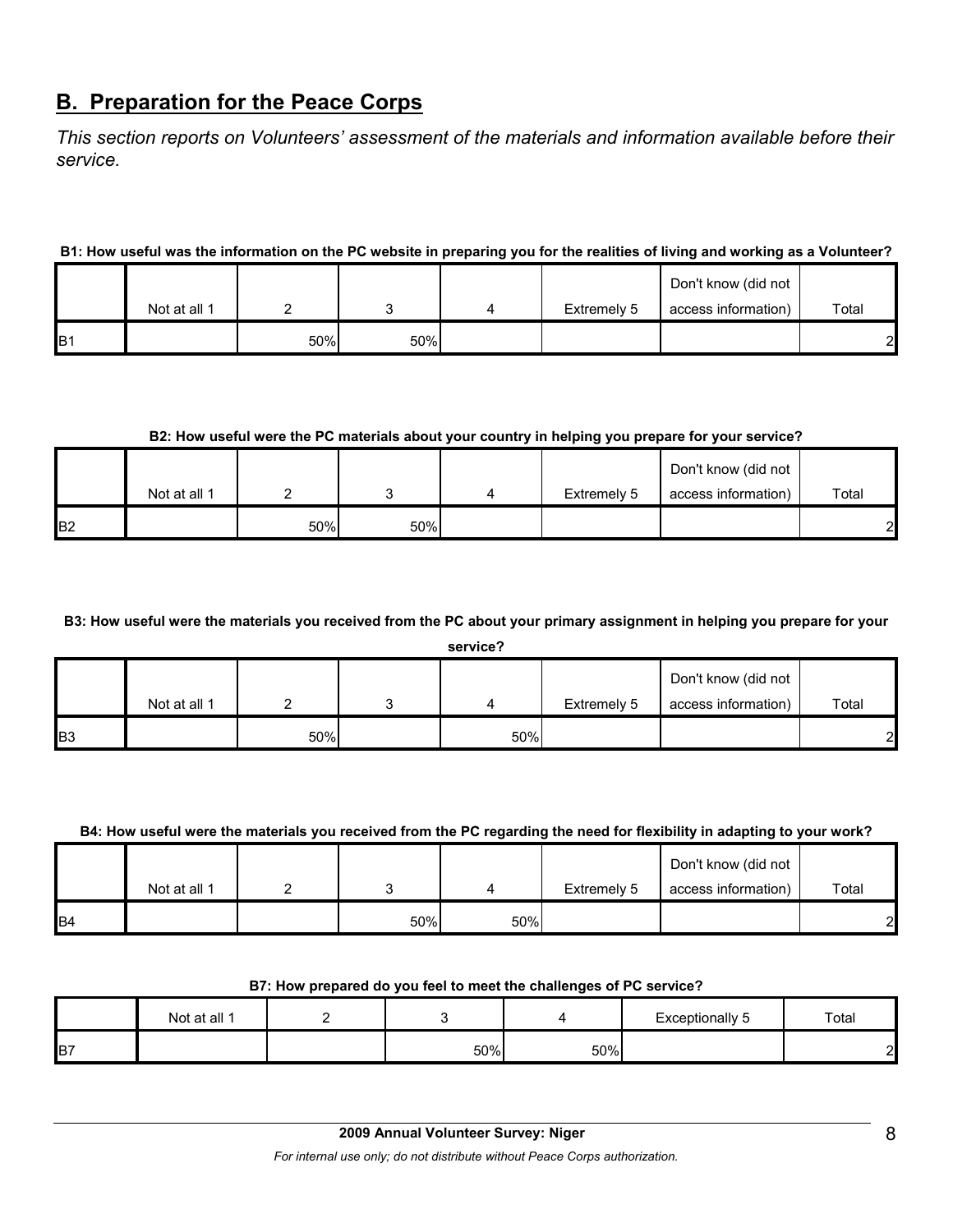# **B. Preparation for the Peace Corps**

*This section reports on Volunteers' assessment of the materials and information available before their service.* 

#### **B1: How useful was the information on the PC website in preparing you for the realities of living and working as a Volunteer?**

|                 |              |     |     |             | Don't know (did not |                |
|-----------------|--------------|-----|-----|-------------|---------------------|----------------|
|                 | Not at all 1 |     |     | Extremely 5 | access information) | Total          |
| IB <sub>1</sub> |              | 50% | 50% |             |                     | $\overline{2}$ |

#### **B2: How useful were the PC materials about your country in helping you prepare for your service?**

|                |              |     |     |             | Don't know (did not |       |
|----------------|--------------|-----|-----|-------------|---------------------|-------|
|                | Not at all 1 |     |     | Extremely 5 | access information) | Total |
| B <sub>2</sub> |              | 50% | 50% |             |                     | 2     |

#### **B3: How useful were the materials you received from the PC about your primary assignment in helping you prepare for your**

**service?**

|            | Not at all 1 |     |     | Extremely 5 | Don't know (did not<br>access information) | Total |
|------------|--------------|-----|-----|-------------|--------------------------------------------|-------|
| <b>B</b> 3 |              | 50% | 50% |             |                                            | 2     |

#### **B4: How useful were the materials you received from the PC regarding the need for flexibility in adapting to your work?**

|                | Not at all 1 |     |     | Extremely 5 | Don't know (did not<br>access information) | Total        |
|----------------|--------------|-----|-----|-------------|--------------------------------------------|--------------|
| B <sub>4</sub> |              | 50% | 50% |             |                                            | $\mathbf{2}$ |

#### **B7: How prepared do you feel to meet the challenges of PC service?**

|                | Not at all 1 |     |     | Exceptionally 5 | Total |
|----------------|--------------|-----|-----|-----------------|-------|
| B <sub>7</sub> |              | 50% | 50% |                 | ີ     |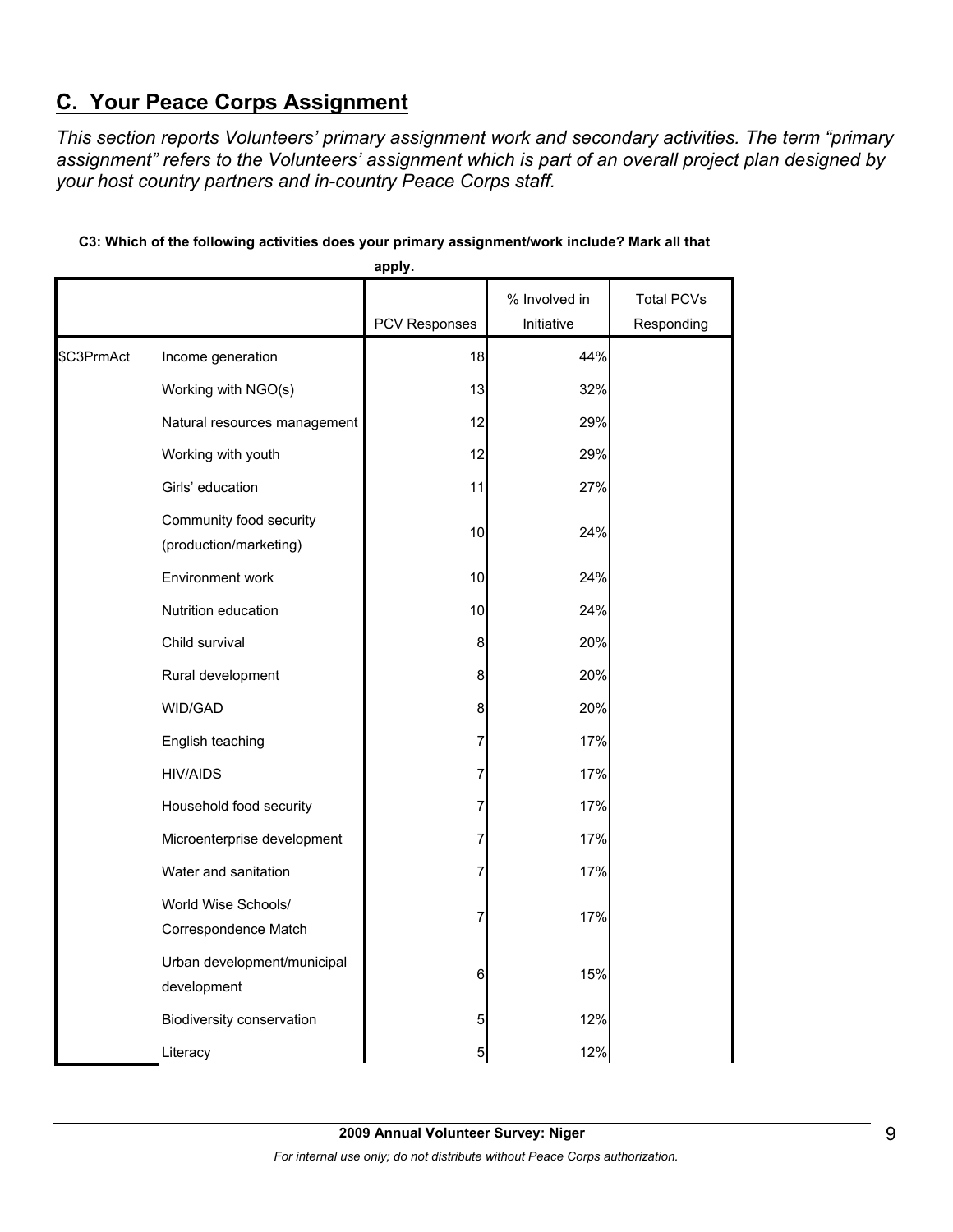# **C. Your Peace Corps Assignment**

*This section reports Volunteers' primary assignment work and secondary activities. The term "primary assignment" refers to the Volunteers' assignment which is part of an overall project plan designed by your host country partners and in-country Peace Corps staff.* 

|            |                                                   | apply.        |               |                   |
|------------|---------------------------------------------------|---------------|---------------|-------------------|
|            |                                                   |               | % Involved in | <b>Total PCVs</b> |
|            |                                                   | PCV Responses | Initiative    | Responding        |
| \$C3PrmAct | Income generation                                 | 18            | 44%           |                   |
|            | Working with NGO(s)                               | 13            | 32%           |                   |
|            | Natural resources management                      | 12            | 29%           |                   |
|            | Working with youth                                | 12            | 29%           |                   |
|            | Girls' education                                  | 11            | 27%           |                   |
|            | Community food security<br>(production/marketing) | 10            | 24%           |                   |
|            | Environment work                                  | 10            | 24%           |                   |
|            | Nutrition education                               | 10            | 24%           |                   |
|            | Child survival                                    | 8             | 20%           |                   |
|            | Rural development                                 | 8             | 20%           |                   |
|            | WID/GAD                                           | 8             | 20%           |                   |
|            | English teaching                                  | 7             | 17%           |                   |
|            | <b>HIV/AIDS</b>                                   | 7             | 17%           |                   |
|            | Household food security                           | 7             | 17%           |                   |
|            | Microenterprise development                       | 7             | 17%           |                   |
|            | Water and sanitation                              | 7             | 17%           |                   |
|            | World Wise Schools/<br>Correspondence Match       | 7             | 17%           |                   |
|            | Urban development/municipal<br>development        | 6             | 15%           |                   |
|            | Biodiversity conservation                         | 5             | 12%           |                   |
|            | Literacy                                          | 5             | 12%           |                   |

### **C3: Which of the following activities does your primary assignment/work include? Mark all that**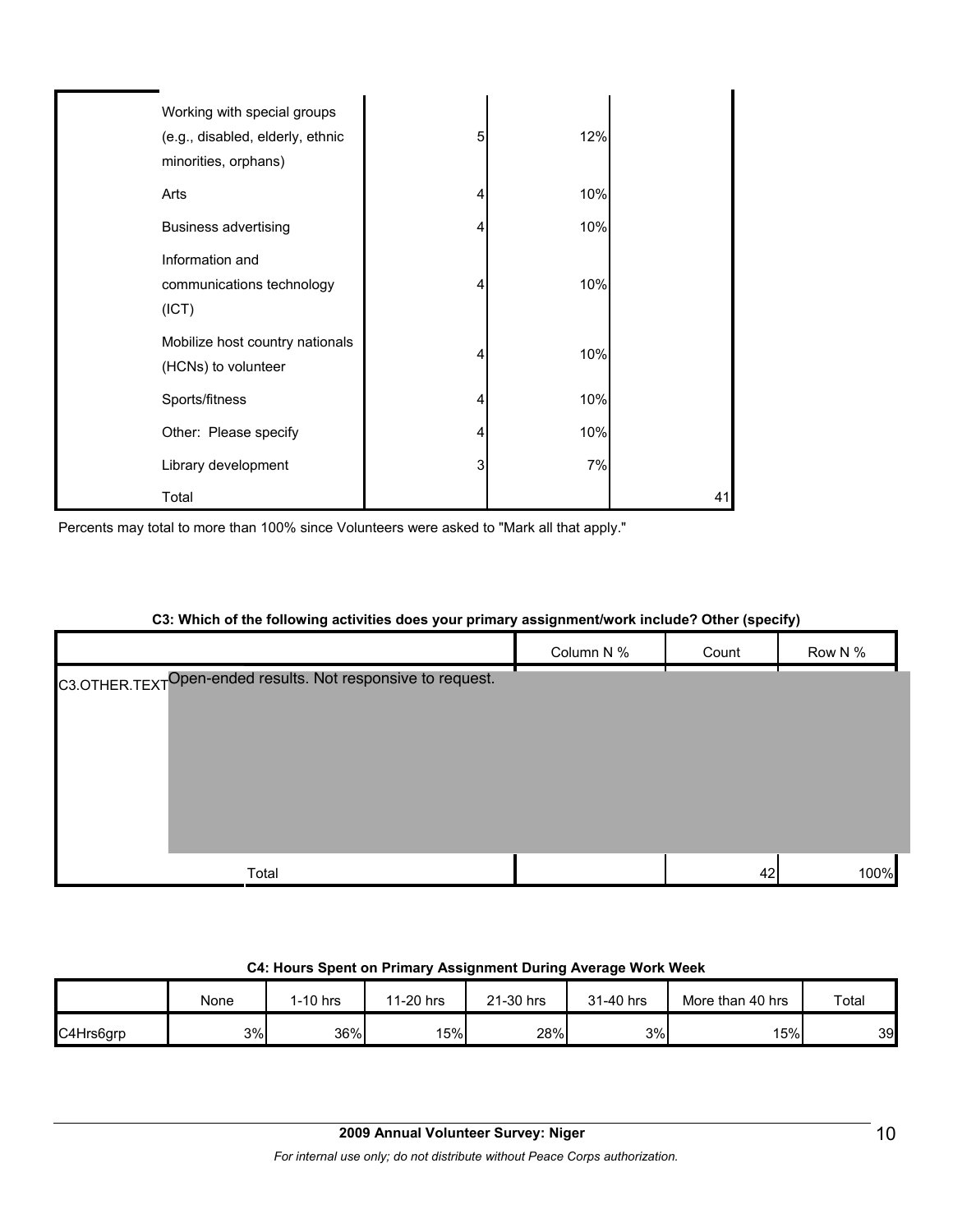| Working with special groups<br>(e.g., disabled, elderly, ethnic<br>minorities, orphans) | 5 | 12% |    |
|-----------------------------------------------------------------------------------------|---|-----|----|
| Arts                                                                                    | 4 | 10% |    |
| <b>Business advertising</b>                                                             | 4 | 10% |    |
| Information and<br>communications technology<br>(ICT)                                   | 4 | 10% |    |
| Mobilize host country nationals<br>(HCNs) to volunteer                                  | 4 | 10% |    |
| Sports/fitness                                                                          | 4 | 10% |    |
| Other: Please specify                                                                   | 4 | 10% |    |
| Library development                                                                     | 3 | 7%  |    |
| Total                                                                                   |   |     | 41 |

Percents may total to more than 100% since Volunteers were asked to "Mark all that apply."

| OJ. WINCH OF THE TOROWING ACTIVITIES AGES YOUT PHINALY ASSIGNMENT WORK INCRUES: OTHER (SPECITY) |            |       |         |
|-------------------------------------------------------------------------------------------------|------------|-------|---------|
|                                                                                                 | Column N % | Count | Row N % |
| C3.OTHER.TEXTOpen-ended results. Not responsive to request.                                     |            |       |         |
|                                                                                                 |            |       |         |
|                                                                                                 |            |       |         |
|                                                                                                 |            |       |         |
|                                                                                                 |            |       |         |
|                                                                                                 |            |       |         |
| Total                                                                                           |            | 42    | 100%    |

# **C3: Which of the following activities does your primary assignment/work include? Other (specify)**

### **C4: Hours Spent on Primary Assignment During Average Work Week**

|           | None | .-10 hrs | 11-20 hrs | 21-30 hrs | 31-40 hrs | More than 40 hrs | Total |
|-----------|------|----------|-----------|-----------|-----------|------------------|-------|
| C4Hrs6grp | 3%   | 36%      | 15%       | 28%       | 3%        | 15%              | 39    |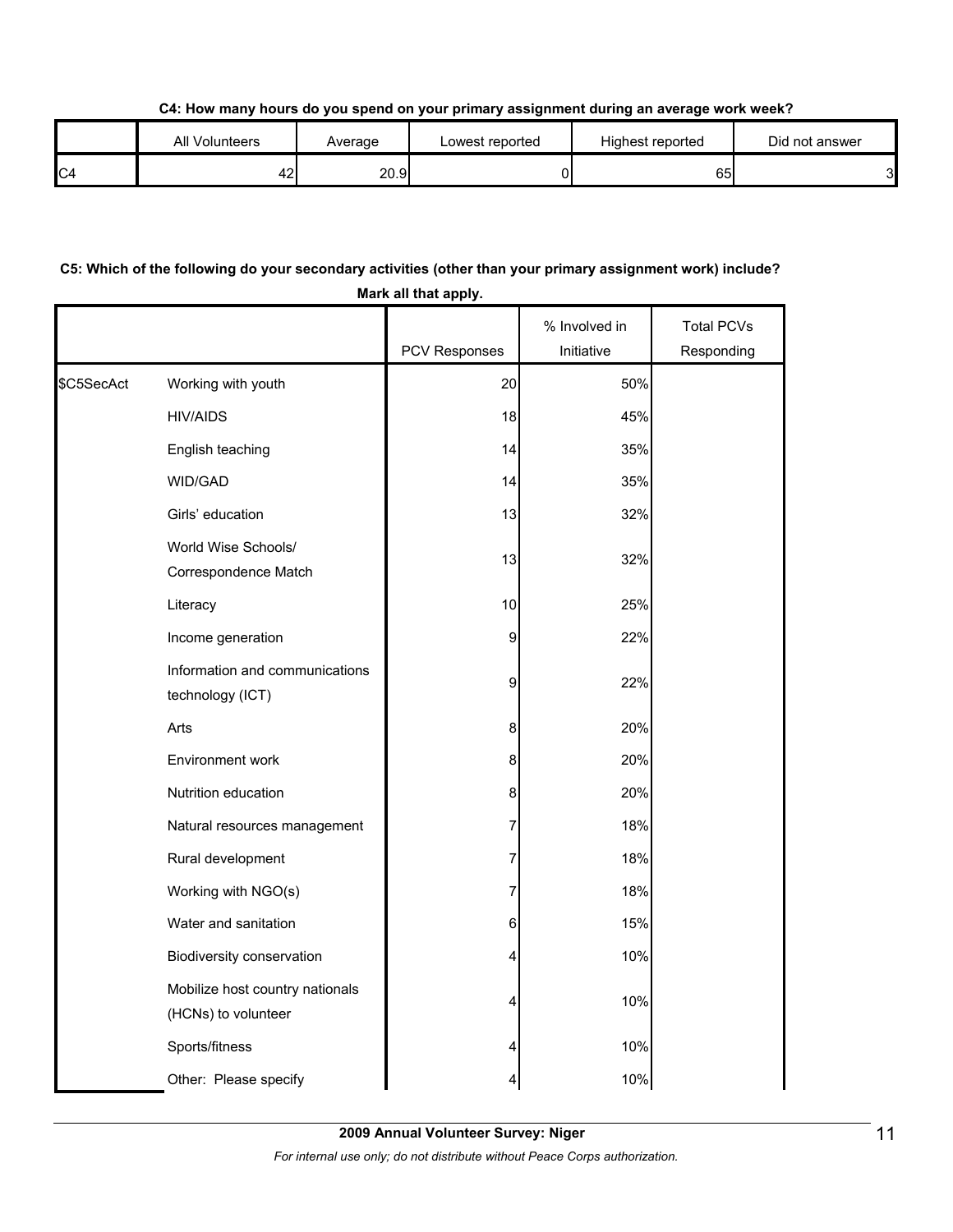**C4: How many hours do you spend on your primary assignment during an average work week?**

|                | All Volunteers | Average | Lowest reported | Highest reported | Did not answer |
|----------------|----------------|---------|-----------------|------------------|----------------|
| C <sub>4</sub> | 42.            | 20.9    |                 | 651              | 3І             |

## **C5: Which of the following do your secondary activities (other than your primary assignment work) include? Mark all that apply.**

|            |                                                        | PCV Responses | % Involved in<br>Initiative | <b>Total PCVs</b><br>Responding |
|------------|--------------------------------------------------------|---------------|-----------------------------|---------------------------------|
| \$C5SecAct | Working with youth                                     | 20            | 50%                         |                                 |
|            | <b>HIV/AIDS</b>                                        | 18            | 45%                         |                                 |
|            | English teaching                                       | 14            | 35%                         |                                 |
|            | WID/GAD                                                | 14            | 35%                         |                                 |
|            | Girls' education                                       | 13            | 32%                         |                                 |
|            | World Wise Schools/<br>Correspondence Match            | 13            | 32%                         |                                 |
|            | Literacy                                               | 10            | 25%                         |                                 |
|            | Income generation                                      | 9             | 22%                         |                                 |
|            | Information and communications<br>technology (ICT)     | 9             | 22%                         |                                 |
|            | Arts                                                   | 8             | 20%                         |                                 |
|            | Environment work                                       | 8             | 20%                         |                                 |
|            | Nutrition education                                    | 8             | 20%                         |                                 |
|            | Natural resources management                           | 7             | 18%                         |                                 |
|            | Rural development                                      | 7             | 18%                         |                                 |
|            | Working with NGO(s)                                    | 7             | 18%                         |                                 |
|            | Water and sanitation                                   | 6             | 15%                         |                                 |
|            | Biodiversity conservation                              | 4             | 10%                         |                                 |
|            | Mobilize host country nationals<br>(HCNs) to volunteer | 4             | 10%                         |                                 |
|            | Sports/fitness                                         | 4             | 10%                         |                                 |
|            | Other: Please specify                                  | 4             | 10%                         |                                 |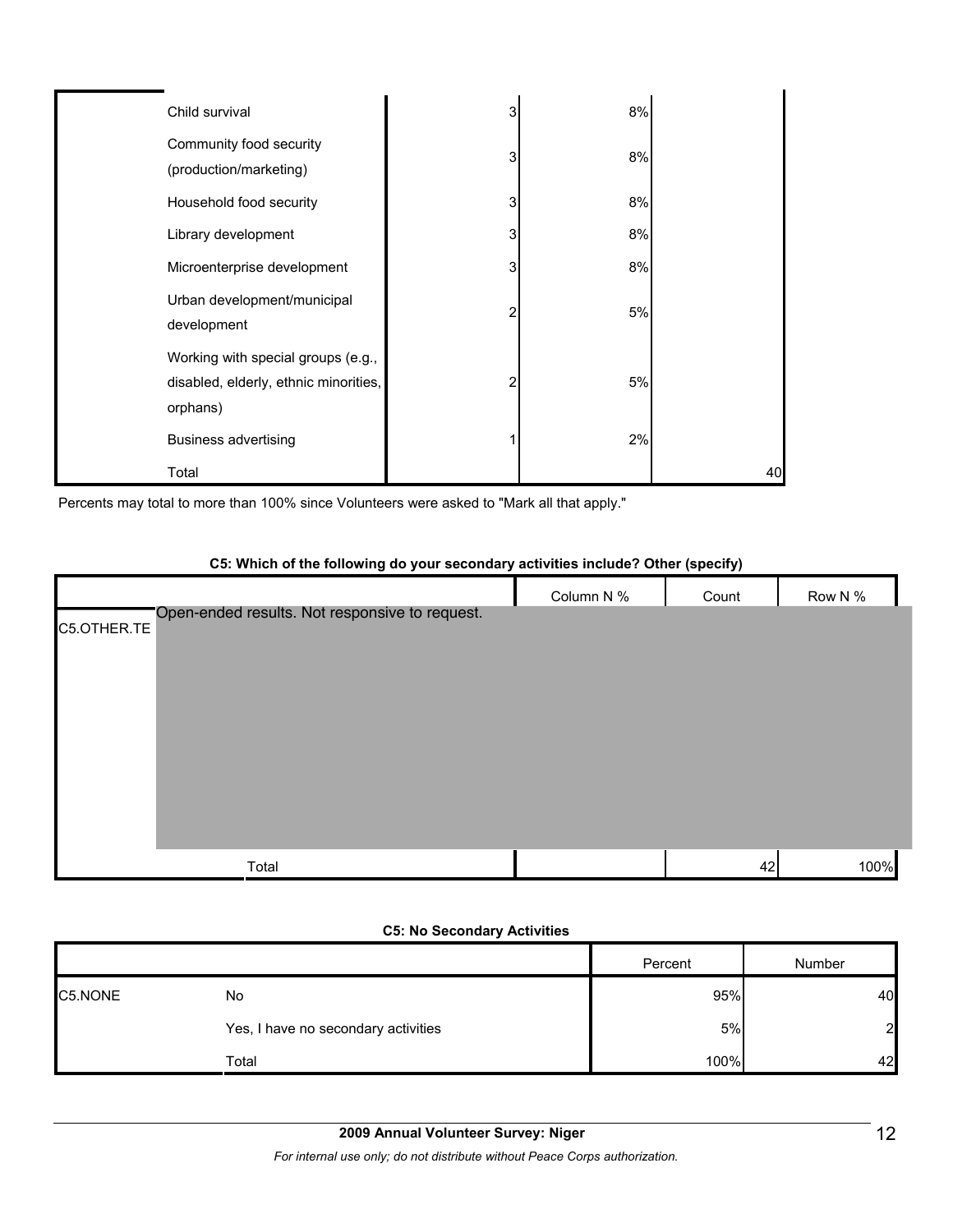| Child survival                        | 3 | 8% |    |
|---------------------------------------|---|----|----|
|                                       |   |    |    |
| Community food security               | 3 | 8% |    |
| (production/marketing)                |   |    |    |
| Household food security               | 3 | 8% |    |
| Library development                   | 3 | 8% |    |
| Microenterprise development           | 3 | 8% |    |
| Urban development/municipal           |   |    |    |
| development                           | 2 | 5% |    |
| Working with special groups (e.g.,    |   |    |    |
| disabled, elderly, ethnic minorities, | 2 | 5% |    |
| orphans)                              |   |    |    |
| <b>Business advertising</b>           |   | 2% |    |
| Total                                 |   |    | 40 |

Percents may total to more than 100% since Volunteers were asked to "Mark all that apply."

#### **C5: Which of the following do your secondary activities include? Other (specify)**

|                                                               | Column N % | Count | Row N % |
|---------------------------------------------------------------|------------|-------|---------|
| Open-ended results. Not responsive to request.<br>C5.OTHER.TE |            |       |         |
|                                                               |            |       |         |
|                                                               |            |       |         |
|                                                               |            |       |         |
|                                                               |            |       |         |
|                                                               |            |       |         |
|                                                               |            |       |         |
|                                                               |            |       |         |
| Total                                                         |            | 42    | 100%    |

#### **C5: No Secondary Activities**

|         |                                     | Percent | Number         |
|---------|-------------------------------------|---------|----------------|
| C5.NONE | No                                  | 95%     | 40             |
|         | Yes, I have no secondary activities | 5%      | 2 <sub>l</sub> |
|         | Total                               | 100%    | 42             |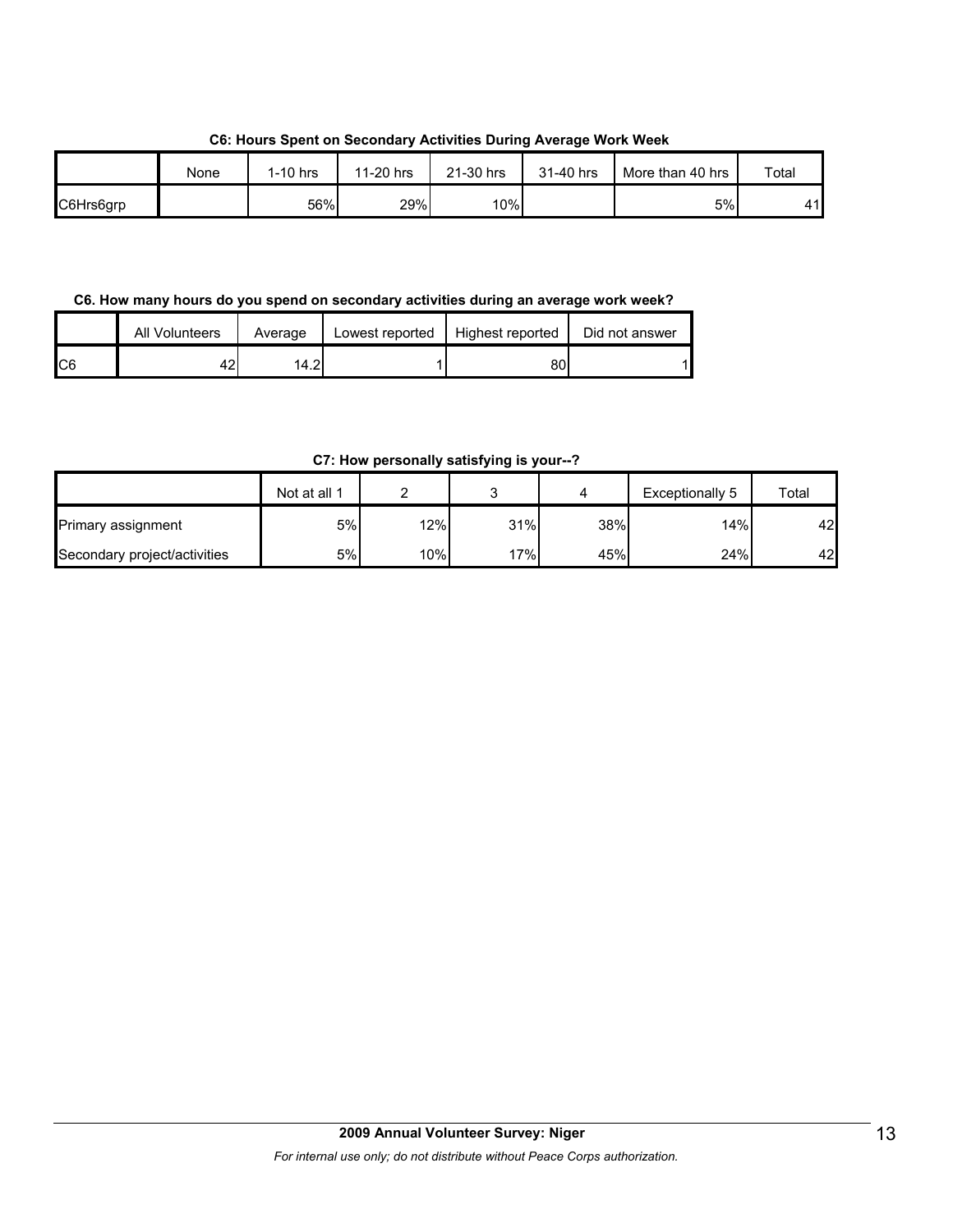**C6: Hours Spent on Secondary Activities During Average Work Week**

|           | None | $1-10$ hrs | 11-20 hrs | 21-30 hrs | 31-40 hrs | More than 40 hrs | Total |
|-----------|------|------------|-----------|-----------|-----------|------------------|-------|
| C6Hrs6grp |      | 56%        | 29%       | 10%       |           | 5%               | 41I   |

**C6. How many hours do you spend on secondary activities during an average work week?**

|                | <b>All Volunteers</b> | Average | Lowest reported | Highest reported | Did not answer |
|----------------|-----------------------|---------|-----------------|------------------|----------------|
| C <sub>6</sub> | 42                    | 14.2    |                 | 80               |                |

**C7: How personally satisfying is your--?**

|                              | Not at all 1 |                  |     |     | Exceptionally 5 | Total |
|------------------------------|--------------|------------------|-----|-----|-----------------|-------|
| Primary assignment           | 5%           | 12%              | 31% | 38% | 14%             | 42    |
| Secondary project/activities | 5%           | 10% <sub>1</sub> | 17% | 45% | 24%             | 42    |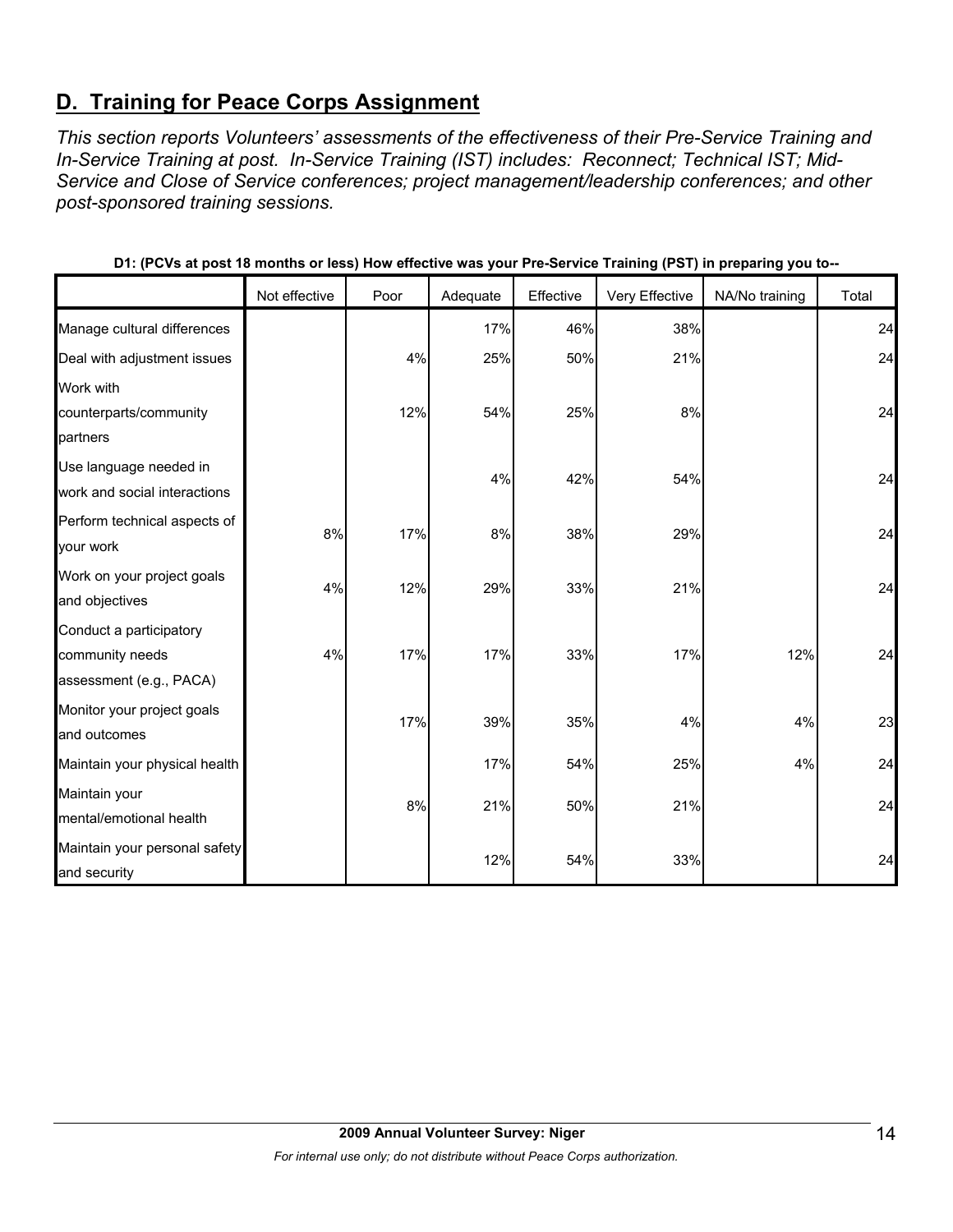# **D. Training for Peace Corps Assignment**

*This section reports Volunteers' assessments of the effectiveness of their Pre-Service Training and In-Service Training at post. In-Service Training (IST) includes: Reconnect; Technical IST; Mid-Service and Close of Service conferences; project management/leadership conferences; and other post-sponsored training sessions.* 

|                                                                       | Not effective | Poor | Adequate | Effective | Very Effective | NA/No training | Total |
|-----------------------------------------------------------------------|---------------|------|----------|-----------|----------------|----------------|-------|
| Manage cultural differences                                           |               |      | 17%      | 46%       | 38%            |                | 24    |
| Deal with adjustment issues                                           |               | 4%   | 25%      | 50%       | 21%            |                | 24    |
| Work with<br>counterparts/community<br>partners                       |               | 12%  | 54%      | 25%       | $8\%$          |                | 24    |
| Use language needed in<br>work and social interactions                |               |      | 4%       | 42%       | 54%            |                | 24    |
| Perform technical aspects of<br>your work                             | 8%            | 17%  | 8%       | 38%       | 29%            |                | 24    |
| Work on your project goals<br>and objectives                          | 4%            | 12%  | 29%      | 33%       | 21%            |                | 24    |
| Conduct a participatory<br>community needs<br>assessment (e.g., PACA) | 4%            | 17%  | 17%      | 33%       | 17%            | 12%            | 24    |
| Monitor your project goals<br>and outcomes                            |               | 17%  | 39%      | 35%       | 4%             | 4%             | 23    |
| Maintain your physical health                                         |               |      | 17%      | 54%       | 25%            | 4%             | 24    |
| Maintain your<br>mental/emotional health                              |               | 8%   | 21%      | 50%       | 21%            |                | 24    |
| Maintain your personal safety<br>and security                         |               |      | 12%      | 54%       | 33%            |                | 24    |

**D1: (PCVs at post 18 months or less) How effective was your Pre-Service Training (PST) in preparing you to--**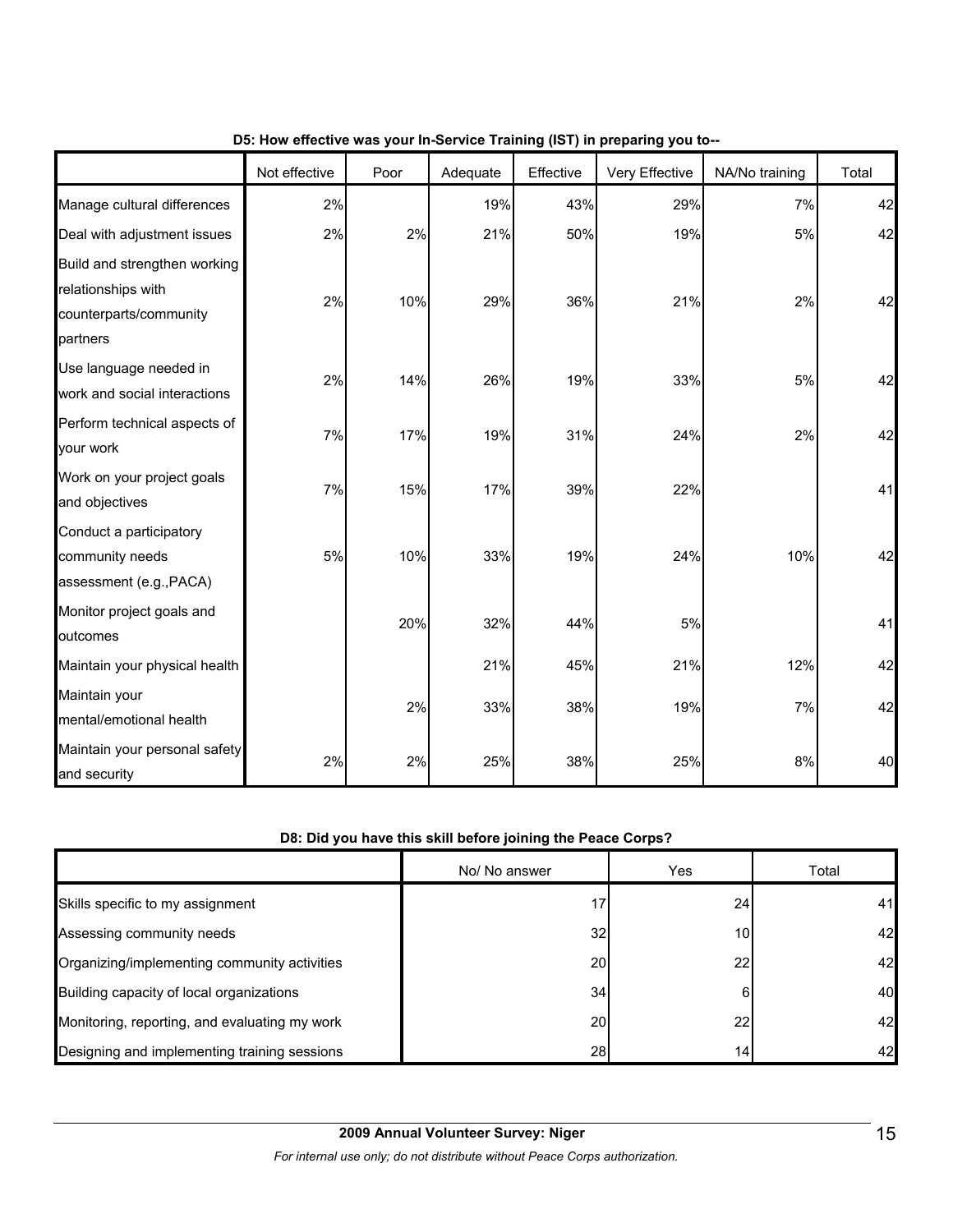|                                                                                          | Not effective | Poor | Adequate | Effective | $\frac{1}{2}$ is the mass from the control training (i.e. i) in properting from the<br>Very Effective | NA/No training | Total |
|------------------------------------------------------------------------------------------|---------------|------|----------|-----------|-------------------------------------------------------------------------------------------------------|----------------|-------|
| Manage cultural differences                                                              | 2%            |      | 19%      | 43%       | 29%                                                                                                   | 7%             | 42    |
| Deal with adjustment issues                                                              | 2%            | 2%   | 21%      | 50%       | 19%                                                                                                   | 5%             | 42    |
| Build and strengthen working<br>relationships with<br>counterparts/community<br>partners | 2%            | 10%  | 29%      | 36%       | 21%                                                                                                   | 2%             | 42    |
| Use language needed in<br>work and social interactions                                   | 2%            | 14%  | 26%      | 19%       | 33%                                                                                                   | 5%             | 42    |
| Perform technical aspects of<br>your work                                                | 7%            | 17%  | 19%      | 31%       | 24%                                                                                                   | 2%             | 42    |
| Work on your project goals<br>and objectives                                             | 7%            | 15%  | 17%      | 39%       | 22%                                                                                                   |                | 41    |
| Conduct a participatory<br>community needs<br>assessment (e.g., PACA)                    | 5%            | 10%  | 33%      | 19%       | 24%                                                                                                   | 10%            | 42    |
| Monitor project goals and<br>outcomes                                                    |               | 20%  | 32%      | 44%       | 5%                                                                                                    |                | 41    |
| Maintain your physical health                                                            |               |      | 21%      | 45%       | 21%                                                                                                   | 12%            | 42    |
| Maintain your<br>mental/emotional health                                                 |               | 2%   | 33%      | 38%       | 19%                                                                                                   | 7%             | 42    |
| Maintain your personal safety<br>and security                                            | 2%            | 2%   | 25%      | 38%       | 25%                                                                                                   | 8%             | 40    |

#### **D5: How effective was your In-Service Training (IST) in preparing you to--**

## **D8: Did you have this skill before joining the Peace Corps?**

|                                               | No/ No answer | Yes             | Total |
|-----------------------------------------------|---------------|-----------------|-------|
| Skills specific to my assignment              | 17            | 24              | 41    |
| Assessing community needs                     | 32            | 10 <sub>1</sub> | 42    |
| Organizing/implementing community activities  | 20            | 22              | 42    |
| Building capacity of local organizations      | 34            | 6               | 40    |
| Monitoring, reporting, and evaluating my work | 20            | 22              | 42    |
| Designing and implementing training sessions  | 28            | 14.             | 42    |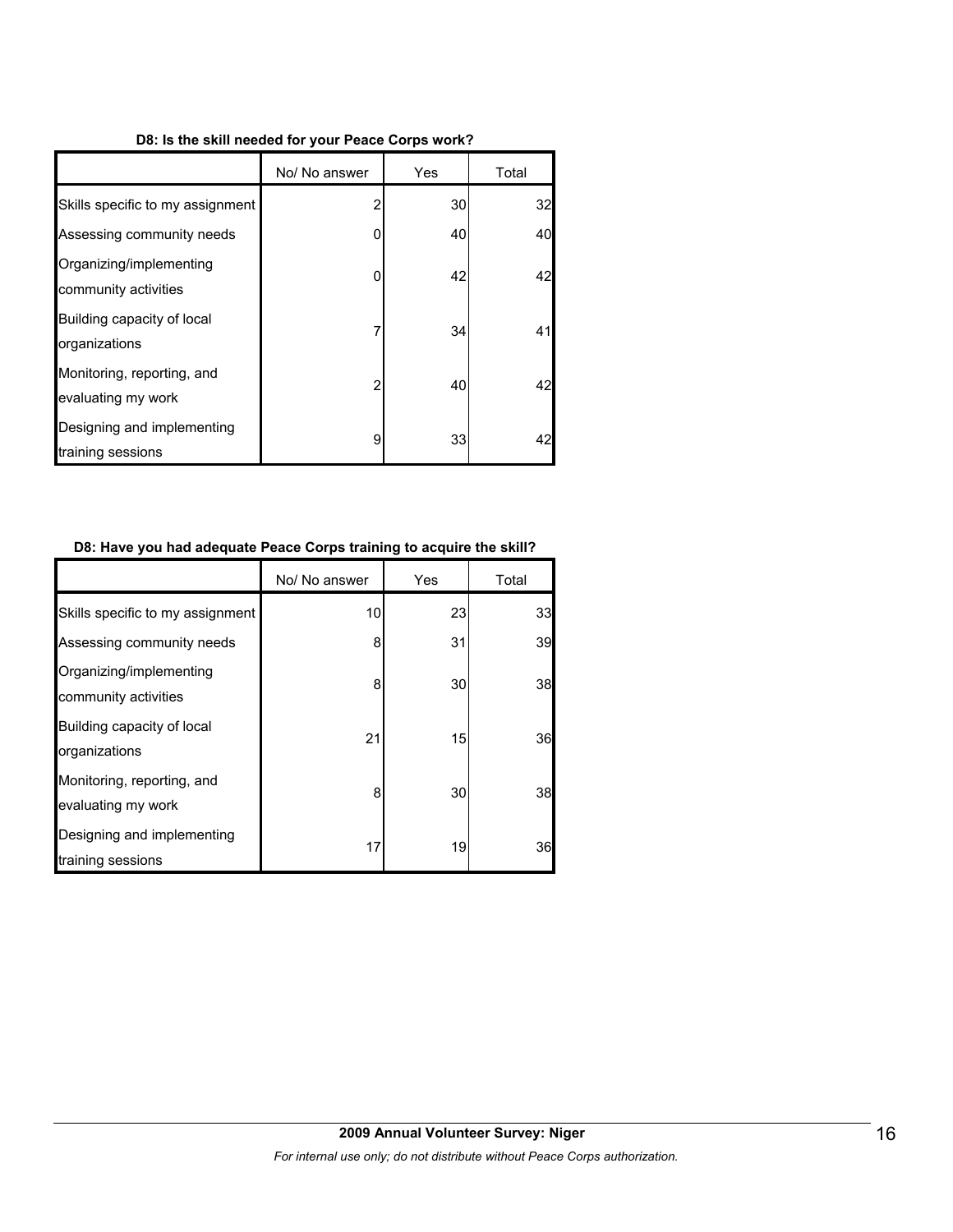#### **D8: Is the skill needed for your Peace Corps work?**

|                                                  | No/ No answer | Yes | Total |
|--------------------------------------------------|---------------|-----|-------|
| Skills specific to my assignment                 | 2             | 30  | 32    |
| Assessing community needs                        | 0             | 40  | 40    |
| Organizing/implementing<br>community activities  | 0             | 42  | 42    |
| Building capacity of local<br>organizations      |               | 34  | 41    |
| Monitoring, reporting, and<br>evaluating my work | 2             | 40  | 42    |
| Designing and implementing<br>training sessions  | 9             | 33  | 42    |

#### **D8: Have you had adequate Peace Corps training to acquire the skill?**

|                                                  | No/ No answer | Yes | Total |
|--------------------------------------------------|---------------|-----|-------|
| Skills specific to my assignment                 | 10            | 23  | 33    |
| Assessing community needs                        | 8             | 31  | 39    |
| Organizing/implementing<br>community activities  | 8             | 30  | 38    |
| Building capacity of local<br>organizations      | 21            | 15  | 36    |
| Monitoring, reporting, and<br>evaluating my work | 8             | 30  | 38    |
| Designing and implementing<br>training sessions  | 17            | 19  | 36    |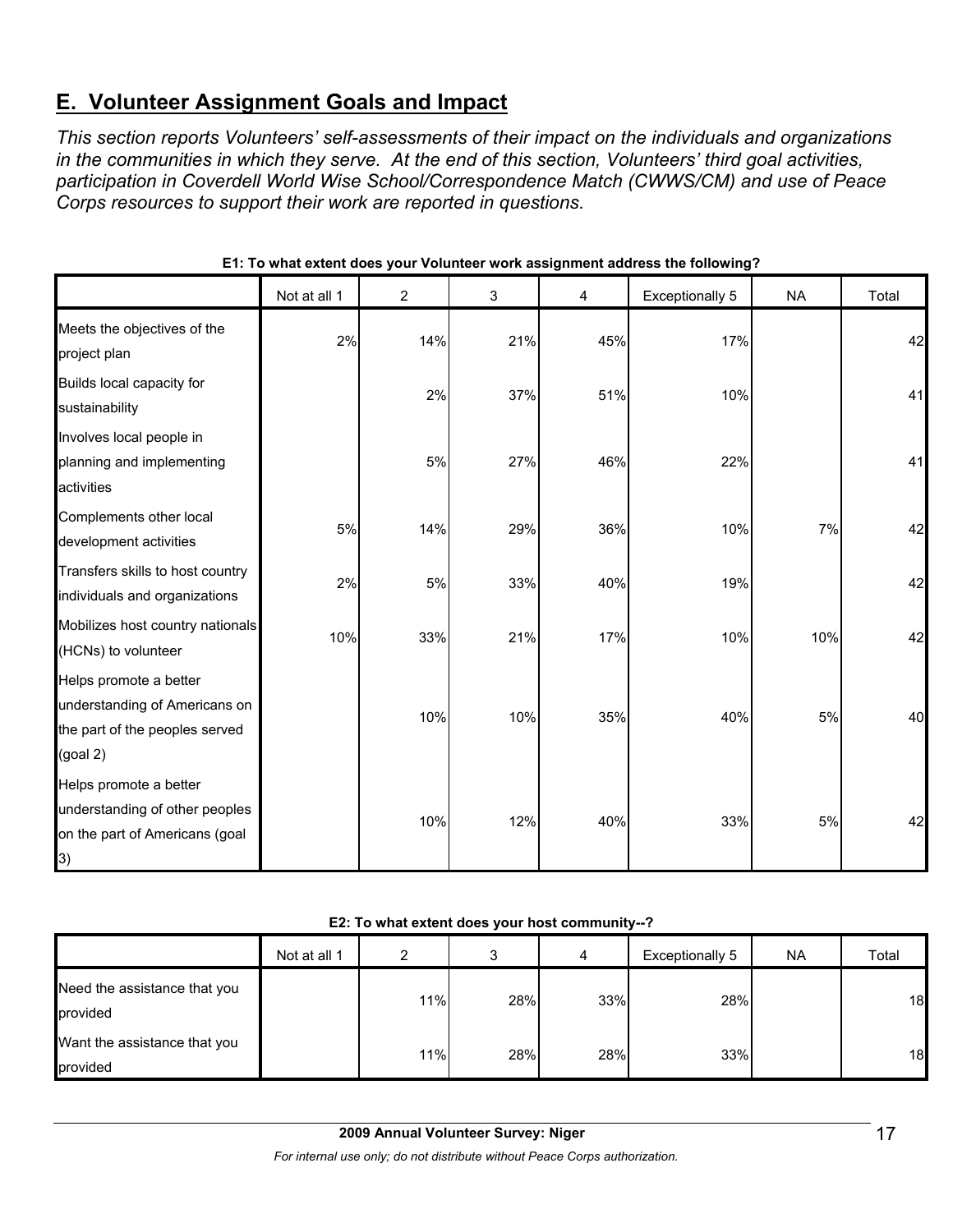# **E. Volunteer Assignment Goals and Impact**

*This section reports Volunteers' self-assessments of their impact on the individuals and organizations in the communities in which they serve. At the end of this section, Volunteers' third goal activities, participation in Coverdell World Wise School/Correspondence Match (CWWS/CM) and use of Peace Corps resources to support their work are reported in questions.* 

|                                                                                                            | Not at all 1 | 2   | 3   | 4   | <b>Exceptionally 5</b> | <b>NA</b> | Total |
|------------------------------------------------------------------------------------------------------------|--------------|-----|-----|-----|------------------------|-----------|-------|
| Meets the objectives of the<br>project plan                                                                | 2%           | 14% | 21% | 45% | 17%                    |           | 42    |
| Builds local capacity for<br>sustainability                                                                |              | 2%  | 37% | 51% | 10%                    |           | 41    |
| Involves local people in<br>planning and implementing<br>activities                                        |              | 5%  | 27% | 46% | 22%                    |           | 41    |
| Complements other local<br>development activities                                                          | 5%           | 14% | 29% | 36% | 10%                    | 7%        | 42    |
| Transfers skills to host country<br>individuals and organizations                                          | 2%           | 5%  | 33% | 40% | 19%                    |           | 42    |
| Mobilizes host country nationals<br>(HCNs) to volunteer                                                    | 10%          | 33% | 21% | 17% | 10%                    | 10%       | 42    |
| Helps promote a better<br>understanding of Americans on<br>the part of the peoples served<br>(goal 2)      |              | 10% | 10% | 35% | 40%                    | 5%        | 40    |
| Helps promote a better<br>understanding of other peoples<br>on the part of Americans (goal<br>$\mathsf{B}$ |              | 10% | 12% | 40% | 33%                    | 5%        | 42    |

| E1: To what extent does your Volunteer work assignment address the following? |  |
|-------------------------------------------------------------------------------|--|
|-------------------------------------------------------------------------------|--|

#### **E2: To what extent does your host community--?**

|                                          | Not at all 1 | ົ   | 3   | 4   | Exceptionally 5 | <b>NA</b> | Total |
|------------------------------------------|--------------|-----|-----|-----|-----------------|-----------|-------|
| Need the assistance that you<br>provided |              | 11% | 28% | 33% | 28%             |           | 18    |
| Want the assistance that you<br>provided |              | 11% | 28% | 28% | 33%             |           | 18    |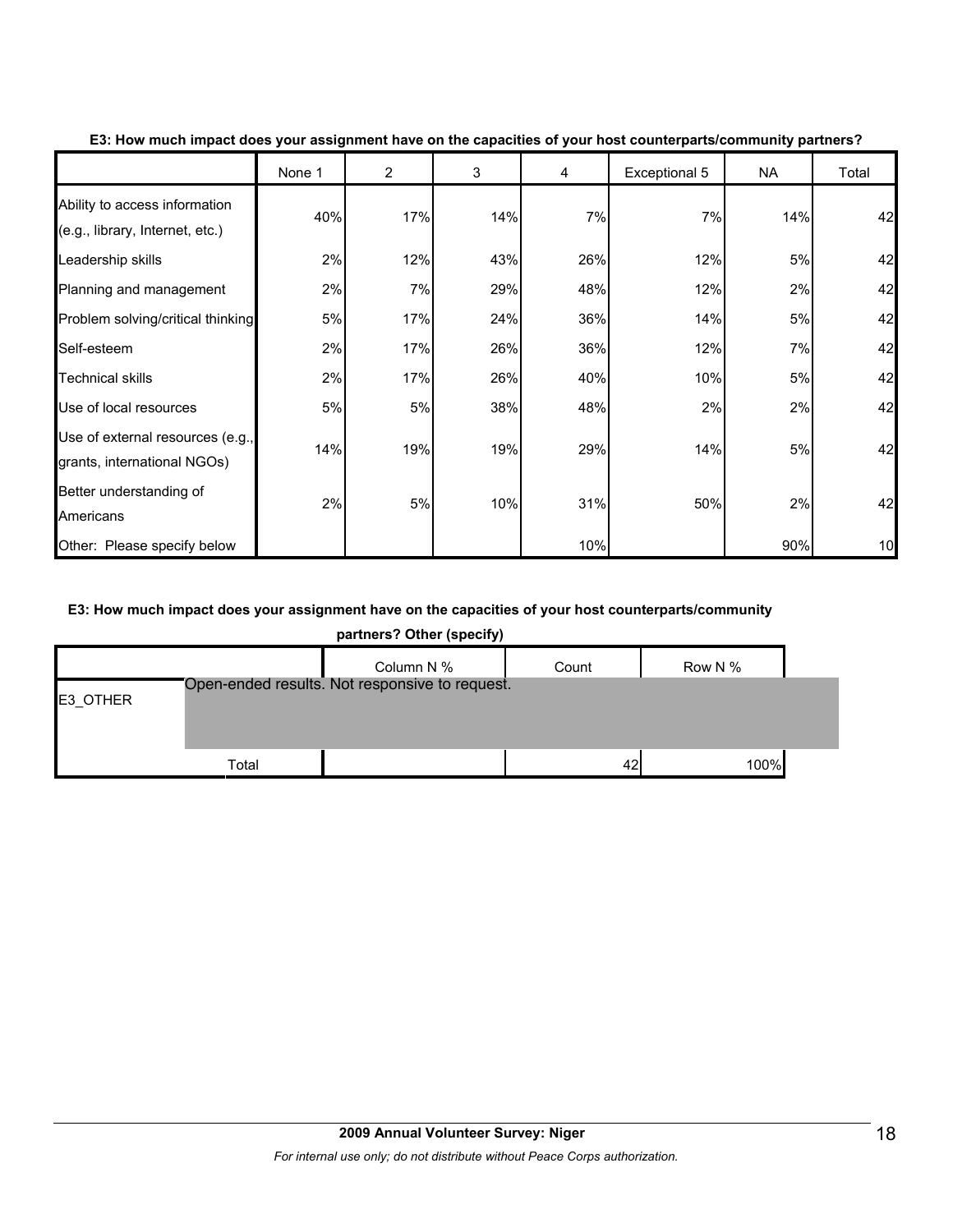|                                                                  | None 1 | $\overline{2}$ | 3   | 4   | Exceptional 5 | <b>NA</b> | Total |
|------------------------------------------------------------------|--------|----------------|-----|-----|---------------|-----------|-------|
| Ability to access information<br>(e.g., library, Internet, etc.) | 40%    | 17%            | 14% | 7%  | 7%            | 14%       | 42    |
| Leadership skills                                                | 2%     | 12%            | 43% | 26% | 12%           | 5%        | 42    |
| Planning and management                                          | 2%     | 7%             | 29% | 48% | 12%           | 2%        | 42    |
| Problem solving/critical thinking                                | 5%     | 17%            | 24% | 36% | 14%           | 5%        | 42    |
| Self-esteem                                                      | 2%     | 17%            | 26% | 36% | 12%           | 7%        | 42    |
| <b>Technical skills</b>                                          | 2%     | 17%            | 26% | 40% | 10%           | 5%        | 42    |
| Use of local resources                                           | 5%     | 5%             | 38% | 48% | 2%            | 2%        | 42    |
| Use of external resources (e.g.,<br>grants, international NGOs)  | 14%    | 19%            | 19% | 29% | 14%           | 5%        | 42    |
| Better understanding of<br>Americans                             | 2%     | 5%             | 10% | 31% | 50%           | 2%        | 42    |
| Other: Please specify below                                      |        |                |     | 10% |               | 90%       | 10    |

**E3: How much impact does your assignment have on the capacities of your host counterparts/community partners?**

#### **E3: How much impact does your assignment have on the capacities of your host counterparts/community**

**partners? Other (specify)**

|          |       | Column N %                                     | Count | Row N % |  |
|----------|-------|------------------------------------------------|-------|---------|--|
| E3_OTHER |       | Open-ended results. Not responsive to request. |       |         |  |
|          |       |                                                |       |         |  |
|          | Total |                                                | 42    | 100%    |  |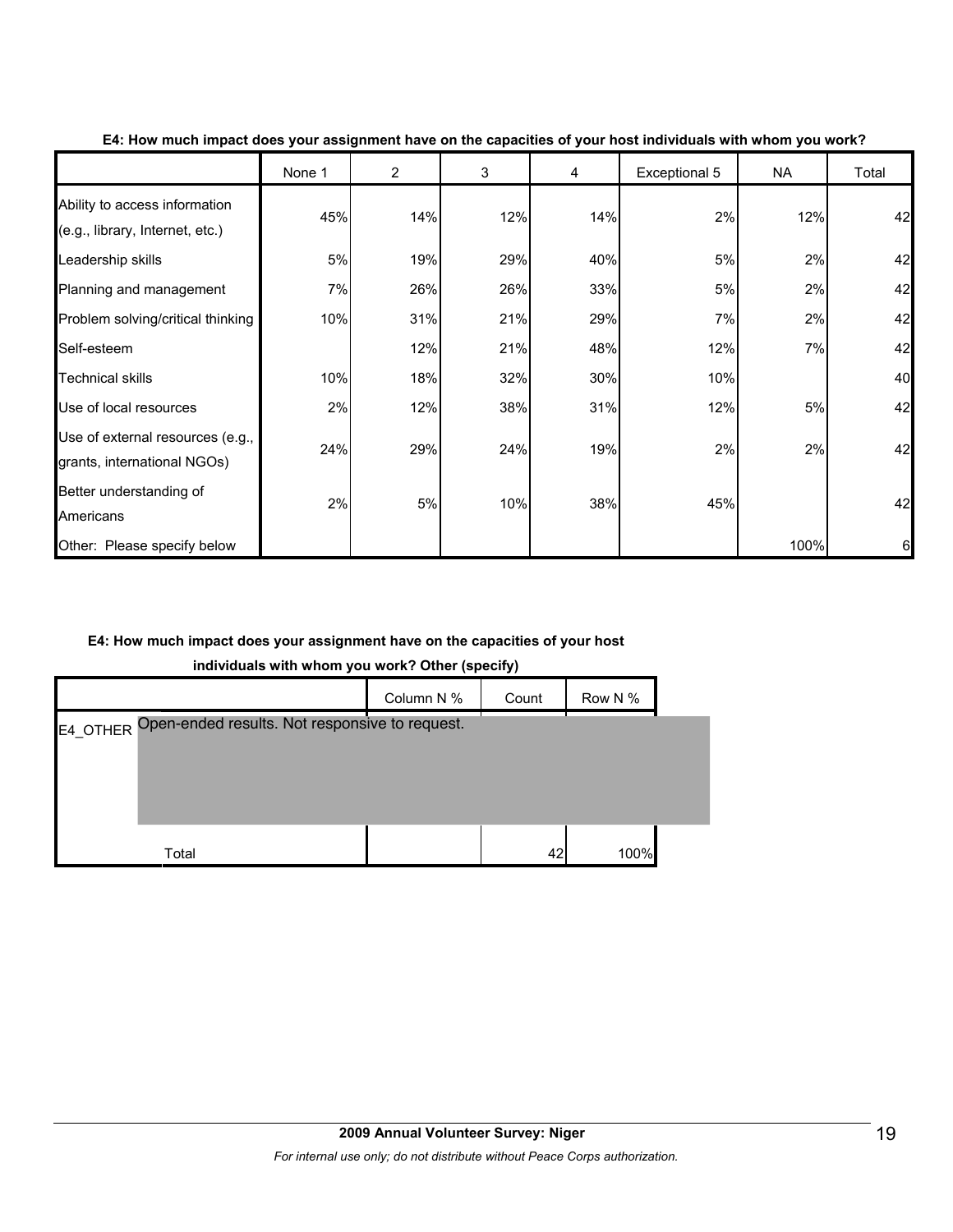|                                                                  | None 1 | $\overline{2}$ | 3   | 4   | Exceptional 5 | <b>NA</b> | Total |
|------------------------------------------------------------------|--------|----------------|-----|-----|---------------|-----------|-------|
| Ability to access information<br>(e.g., library, Internet, etc.) | 45%    | 14%            | 12% | 14% | 2%            | 12%       | 42    |
| Leadership skills                                                | 5%     | 19%            | 29% | 40% | 5%            | 2%        | 42    |
| Planning and management                                          | 7%     | 26%            | 26% | 33% | 5%            | 2%        | 42    |
| Problem solving/critical thinking                                | 10%    | 31%            | 21% | 29% | 7%            | 2%        | 42    |
| Self-esteem                                                      |        | 12%            | 21% | 48% | 12%           | 7%        | 42    |
| Technical skills                                                 | 10%    | 18%            | 32% | 30% | 10%           |           | 40    |
| Use of local resources                                           | 2%     | 12%            | 38% | 31% | 12%           | 5%        | 42    |
| Use of external resources (e.g.,<br>grants, international NGOs)  | 24%    | 29%            | 24% | 19% | 2%            | 2%        | 42    |
| Better understanding of<br>Americans                             | 2%     | 5%             | 10% | 38% | 45%           |           | 42    |
| Other: Please specify below                                      |        |                |     |     |               | 100%      | 6     |

#### **E4: How much impact does your assignment have on the capacities of your host individuals with whom you work?**

#### **E4: How much impact does your assignment have on the capacities of your host**

**individuals with whom you work? Other (specify)**

|                                                         | Column N % | Count | Row N % |  |
|---------------------------------------------------------|------------|-------|---------|--|
| E4_OTHER Open-ended results. Not responsive to request. |            |       |         |  |
|                                                         |            |       |         |  |
|                                                         |            |       |         |  |
|                                                         |            |       |         |  |
| Total                                                   |            | 42    | 100%    |  |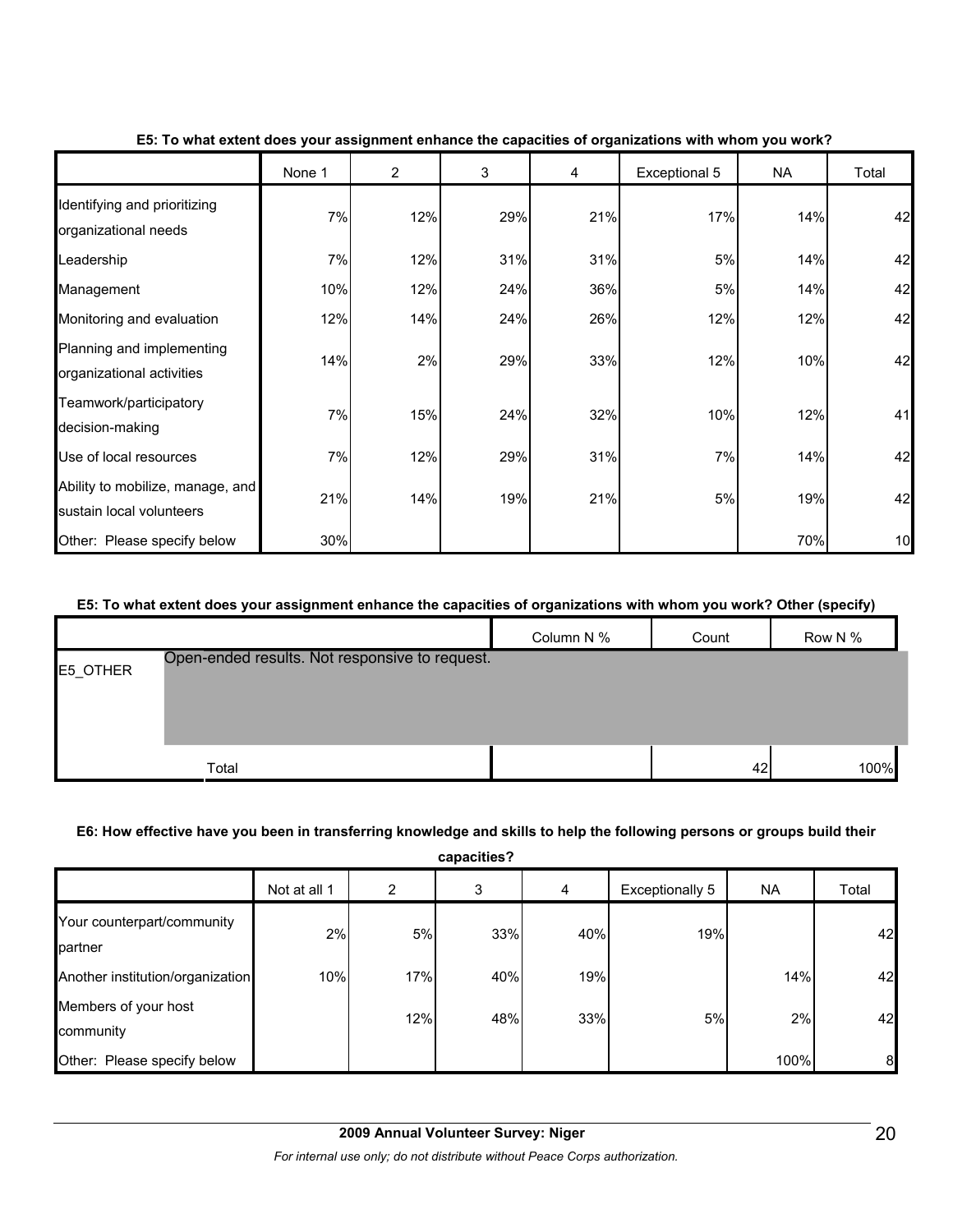|                                                              | None 1 | $\overline{2}$ | 3   | 4   | Exceptional 5 | <b>NA</b> | Total |
|--------------------------------------------------------------|--------|----------------|-----|-----|---------------|-----------|-------|
| Identifying and prioritizing<br>organizational needs         | 7%     | 12%            | 29% | 21% | 17%           | 14%       | 42    |
| Leadership                                                   | 7%     | 12%            | 31% | 31% | 5%            | 14%       | 42    |
| Management                                                   | 10%    | 12%            | 24% | 36% | 5%            | 14%       | 42    |
| Monitoring and evaluation                                    | 12%    | 14%            | 24% | 26% | 12%           | 12%       | 42    |
| Planning and implementing<br>organizational activities       | 14%    | 2%             | 29% | 33% | 12%           | 10%       | 42    |
| Teamwork/participatory<br>decision-making                    | 7%     | 15%            | 24% | 32% | 10%           | 12%       | 41    |
| Use of local resources                                       | 7%     | 12%            | 29% | 31% | 7%            | 14%       | 42    |
| Ability to mobilize, manage, and<br>sustain local volunteers | 21%    | 14%            | 19% | 21% | 5%            | 19%       | 42    |
| Other: Please specify below                                  | 30%    |                |     |     |               | 70%       | 10    |

#### **E5: To what extent does your assignment enhance the capacities of organizations with whom you work?**

#### **E5: To what extent does your assignment enhance the capacities of organizations with whom you work? Other (specify)**

|          |                                                | Column N % | Count | Row N % |
|----------|------------------------------------------------|------------|-------|---------|
| E5_OTHER | Open-ended results. Not responsive to request. |            |       |         |
|          |                                                |            |       |         |
|          |                                                |            |       |         |
|          | Total                                          |            | 42    | 100%    |

#### **E6: How effective have you been in transferring knowledge and skills to help the following persons or groups build their**

**capacities?** Not at all 1 | 2 | 3 | 4 | Exceptionally 5 | NA | Total Your counterpart/community partner 2% 5% 33% 40% 19% 42 Another institution/organization 10% 17% 17% 19% 19% 19% 19% 14% 14% 14% Members of your host community 12% 48% 33% 5% 2% 42 Other: Please specify below **the contract of the contract of the contract of the contract of the contract of the contract of the contract of the contract of the contract of the contract of the contract of the contract of t**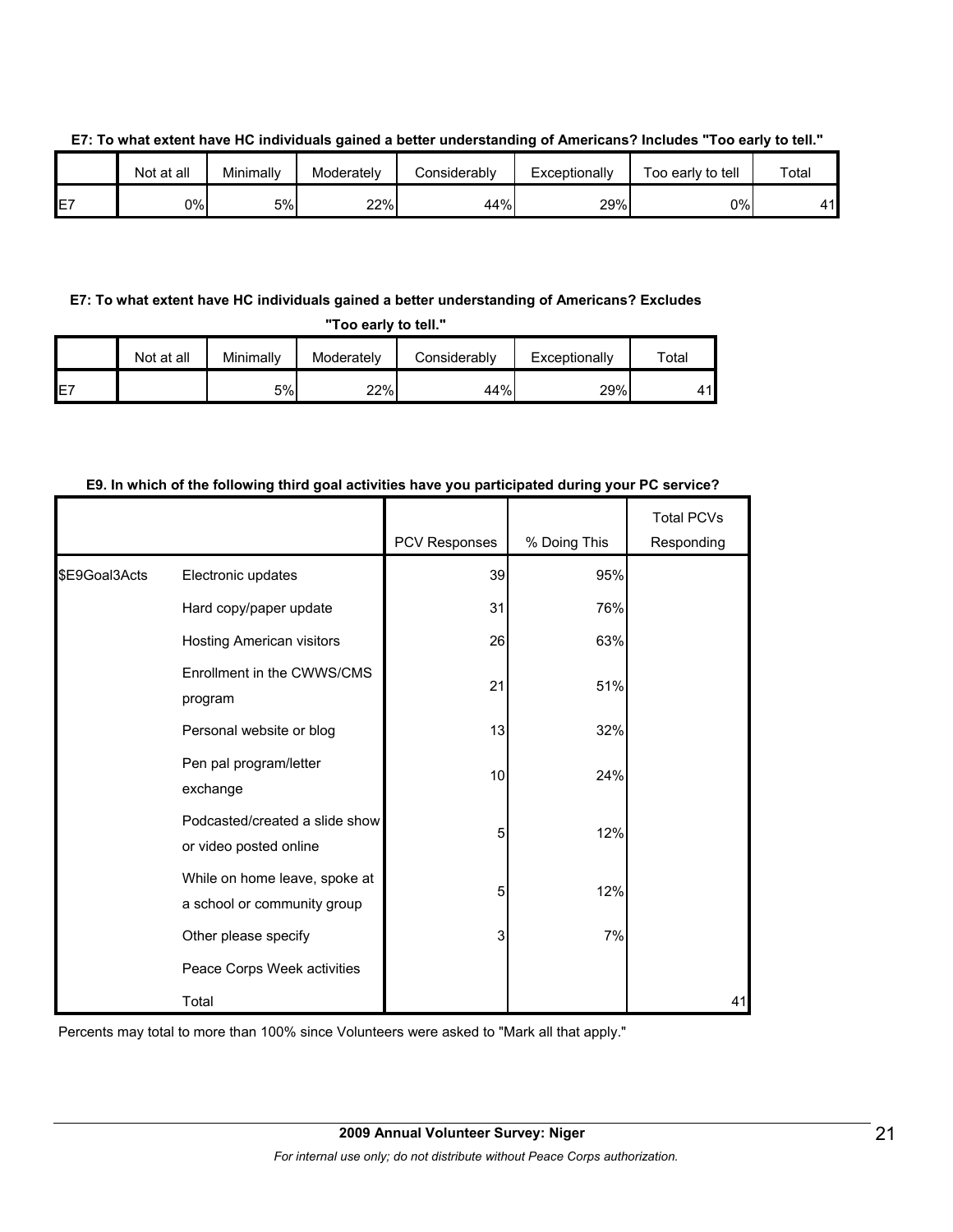|    | Not at all | Minimally | Moderately | شonsiderabl∨ | Exceptionally | Too early to tell | Total |
|----|------------|-----------|------------|--------------|---------------|-------------------|-------|
| E7 | 0%l        | 5%        | 22%        | 44%          | 29%           | 0%l               | 41    |

#### **E7: To what extent have HC individuals gained a better understanding of Americans? Includes "Too early to tell."**

#### **E7: To what extent have HC individuals gained a better understanding of Americans? Excludes**

**"Too early to tell."**

|     | Not at all | Minimallv | Moderately | Considerably | Exceptionally | ™otal |
|-----|------------|-----------|------------|--------------|---------------|-------|
| IE7 |            | 5%        | 22%        | 44%          | 29%           | 44    |

#### **E9. In which of the following third goal activities have you participated during your PC service?**

|               |                                                              | PCV Responses | % Doing This | <b>Total PCVs</b><br>Responding |
|---------------|--------------------------------------------------------------|---------------|--------------|---------------------------------|
| \$E9Goal3Acts | Electronic updates                                           | 39            | 95%          |                                 |
|               | Hard copy/paper update                                       | 31            | 76%          |                                 |
|               | Hosting American visitors                                    | 26            | 63%          |                                 |
|               | Enrollment in the CWWS/CMS<br>program                        | 21            | 51%          |                                 |
|               | Personal website or blog                                     | 13            | 32%          |                                 |
|               | Pen pal program/letter<br>exchange                           | 10            | 24%          |                                 |
|               | Podcasted/created a slide show<br>or video posted online     | 5             | 12%          |                                 |
|               | While on home leave, spoke at<br>a school or community group | 5             | 12%          |                                 |
|               | Other please specify                                         | 3             | 7%           |                                 |
|               | Peace Corps Week activities                                  |               |              |                                 |
|               | Total                                                        |               |              | 41                              |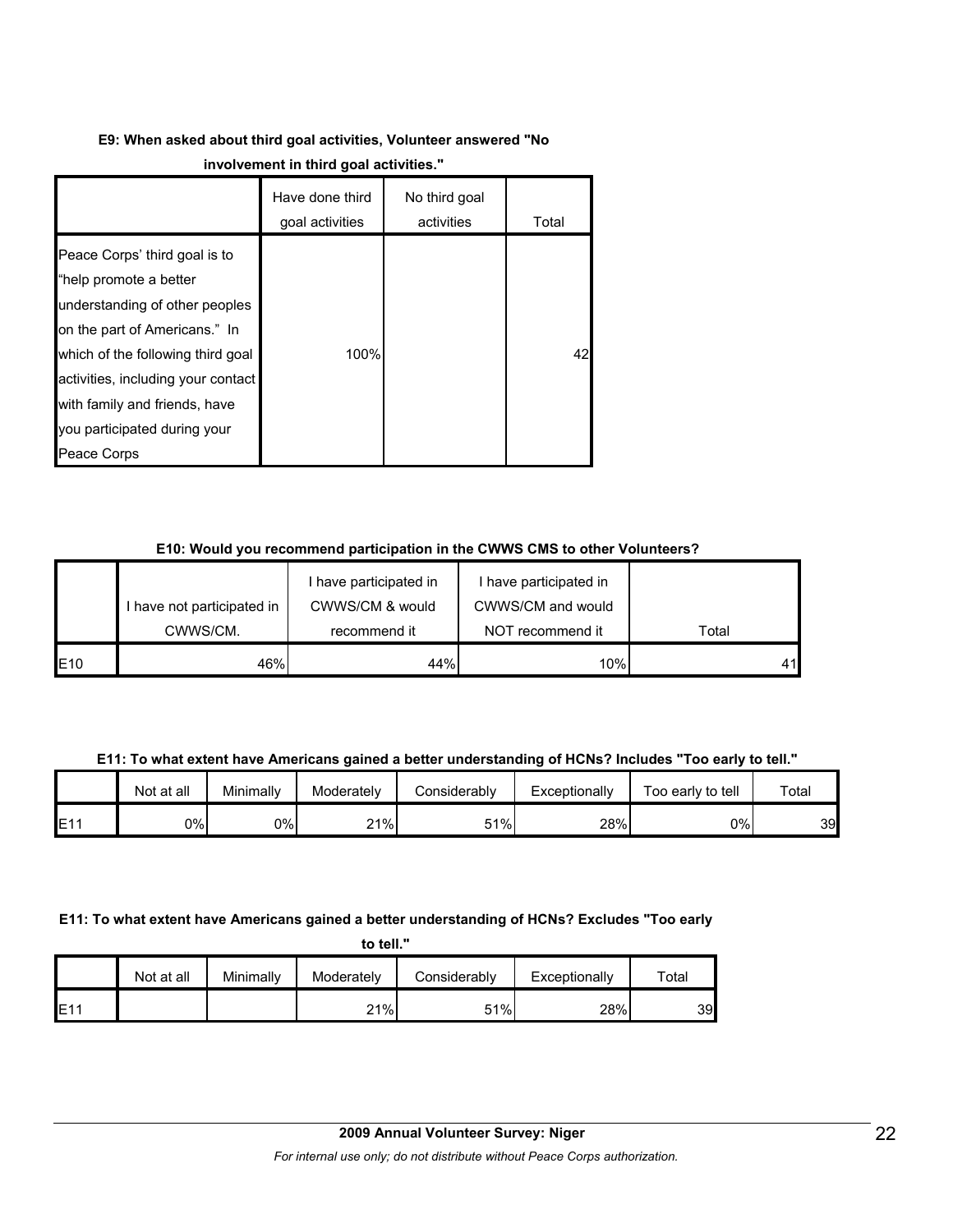# **E9: When asked about third goal activities, Volunteer answered "No**

|                                                                                                                                                                                                                                                                                       | Have done third<br>goal activities | No third goal<br>activities | Total |
|---------------------------------------------------------------------------------------------------------------------------------------------------------------------------------------------------------------------------------------------------------------------------------------|------------------------------------|-----------------------------|-------|
| Peace Corps' third goal is to<br>"help promote a better<br>understanding of other peoples<br>on the part of Americans." In<br>which of the following third goal<br>activities, including your contact<br>with family and friends, have<br>you participated during your<br>Peace Corps | 100%                               |                             | 42    |

#### **E10: Would you recommend participation in the CWWS CMS to other Volunteers?**

|     |                            | I have participated in | I have participated in |       |
|-----|----------------------------|------------------------|------------------------|-------|
|     | I have not participated in | CWWS/CM & would        | CWWS/CM and would      |       |
|     | CWWS/CM.                   | recommend it           | NOT recommend it       | Total |
| E10 | 46%                        | 44%                    | 10%                    |       |

**E11: To what extent have Americans gained a better understanding of HCNs? Includes "Too early to tell."**

|                 | Not at all | Minimally | Moderately | Considerably | Exceptionally | Too early to tell | Total |
|-----------------|------------|-----------|------------|--------------|---------------|-------------------|-------|
| E1 <sup>1</sup> | 0%         | 0%        | 21%        | 51%          | 28%           | 0%I               | 39    |

### **E11: To what extent have Americans gained a better understanding of HCNs? Excludes "Too early**

| to tell. |  |
|----------|--|
|          |  |

|     | Not at all | Minimally | Moderately | Considerably | Exceptionally | $\tau$ otal |
|-----|------------|-----------|------------|--------------|---------------|-------------|
| E11 |            |           | 21%        | 51%          | 28%           | 39          |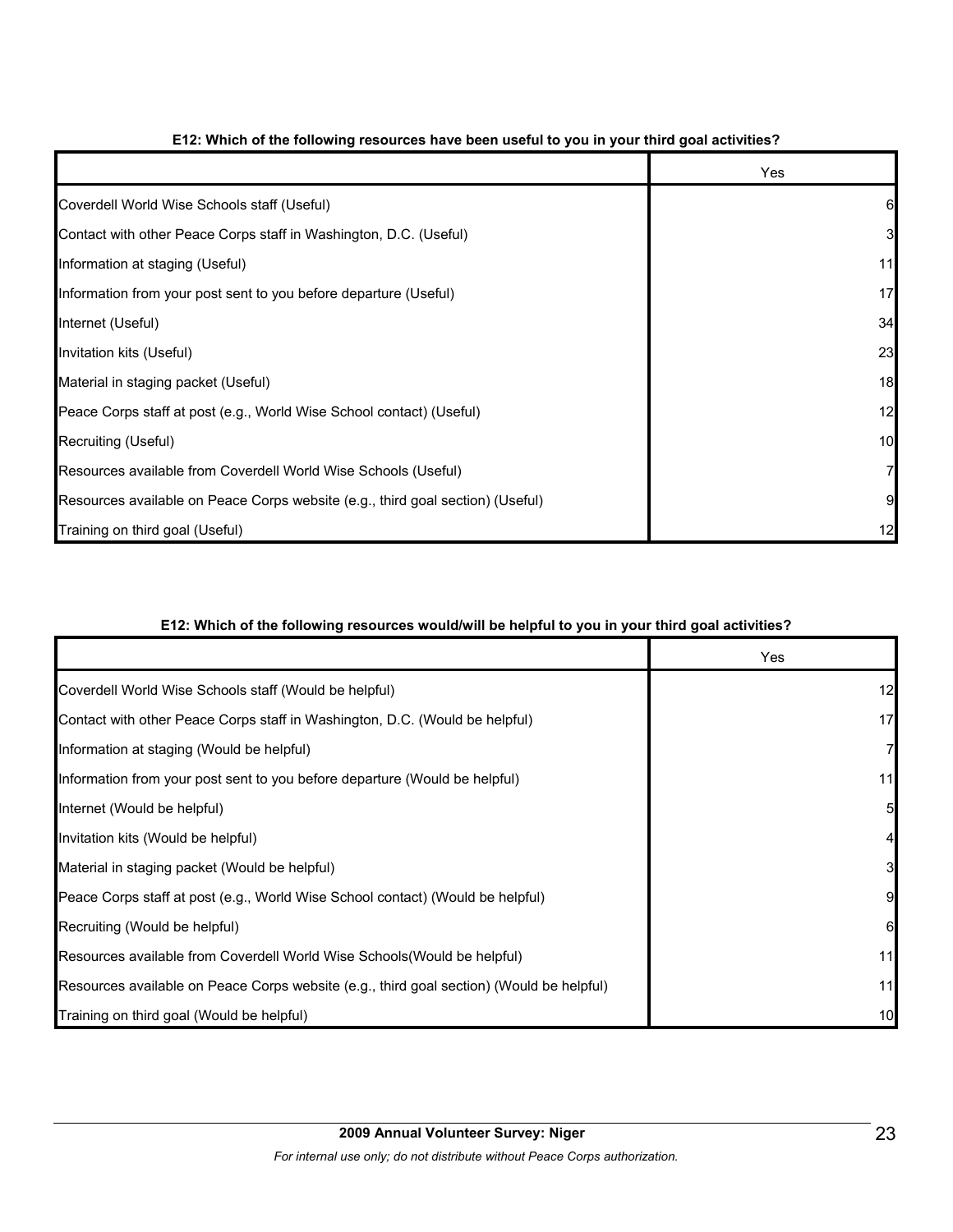|                                                                                | Yes |
|--------------------------------------------------------------------------------|-----|
| Coverdell World Wise Schools staff (Useful)                                    |     |
| Contact with other Peace Corps staff in Washington, D.C. (Useful)              | 3   |
| Information at staging (Useful)                                                | 11  |
| Information from your post sent to you before departure (Useful)               | 17  |
| Internet (Useful)                                                              | 34  |
| Invitation kits (Useful)                                                       | 23  |
| Material in staging packet (Useful)                                            | 18  |
| Peace Corps staff at post (e.g., World Wise School contact) (Useful)           | 12  |
| Recruiting (Useful)                                                            | 10  |
| Resources available from Coverdell World Wise Schools (Useful)                 |     |
| Resources available on Peace Corps website (e.g., third goal section) (Useful) |     |
| Training on third goal (Useful)                                                | 12  |

#### **E12: Which of the following resources have been useful to you in your third goal activities?**

#### **E12: Which of the following resources would/will be helpful to you in your third goal activities?**

|                                                                                          | Yes |
|------------------------------------------------------------------------------------------|-----|
| Coverdell World Wise Schools staff (Would be helpful)                                    | 12  |
| Contact with other Peace Corps staff in Washington, D.C. (Would be helpful)              | 17  |
| Information at staging (Would be helpful)                                                |     |
| Information from your post sent to you before departure (Would be helpful)               | 11  |
| Internet (Would be helpful)                                                              |     |
| Invitation kits (Would be helpful)                                                       |     |
| Material in staging packet (Would be helpful)                                            |     |
| Peace Corps staff at post (e.g., World Wise School contact) (Would be helpful)           |     |
| Recruiting (Would be helpful)                                                            |     |
| Resources available from Coverdell World Wise Schools (Would be helpful)                 | 11  |
| Resources available on Peace Corps website (e.g., third goal section) (Would be helpful) | 11  |
| Training on third goal (Would be helpful)                                                | 10  |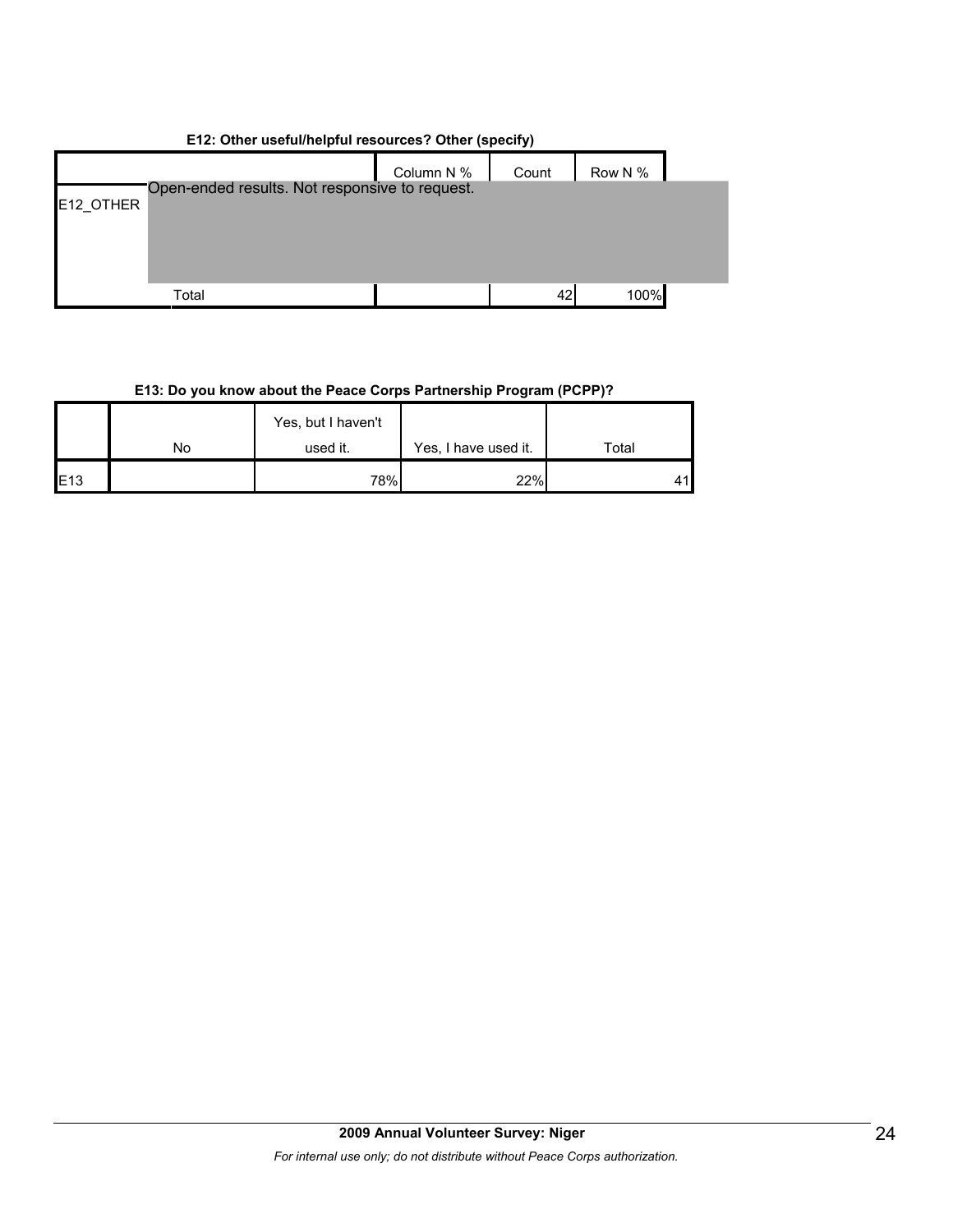| E12: Other useful/helpful resources? Other (specify) |                                                |            |       |         |  |  |  |  |
|------------------------------------------------------|------------------------------------------------|------------|-------|---------|--|--|--|--|
|                                                      |                                                | Column N % | Count | Row N % |  |  |  |  |
|                                                      | Open-ended results. Not responsive to request. |            |       |         |  |  |  |  |
| E12 OTHER                                            |                                                |            |       |         |  |  |  |  |
|                                                      |                                                |            |       |         |  |  |  |  |
|                                                      |                                                |            |       |         |  |  |  |  |
|                                                      |                                                |            |       |         |  |  |  |  |
|                                                      | Total                                          |            | 42    | 100%    |  |  |  |  |

## **E13: Do you know about the Peace Corps Partnership Program (PCPP)?**

|     |    | Yes, but I haven't |                      |       |
|-----|----|--------------------|----------------------|-------|
|     | No | used it.           | Yes, I have used it. | Total |
| E13 |    | 78%                | 22%                  | 41    |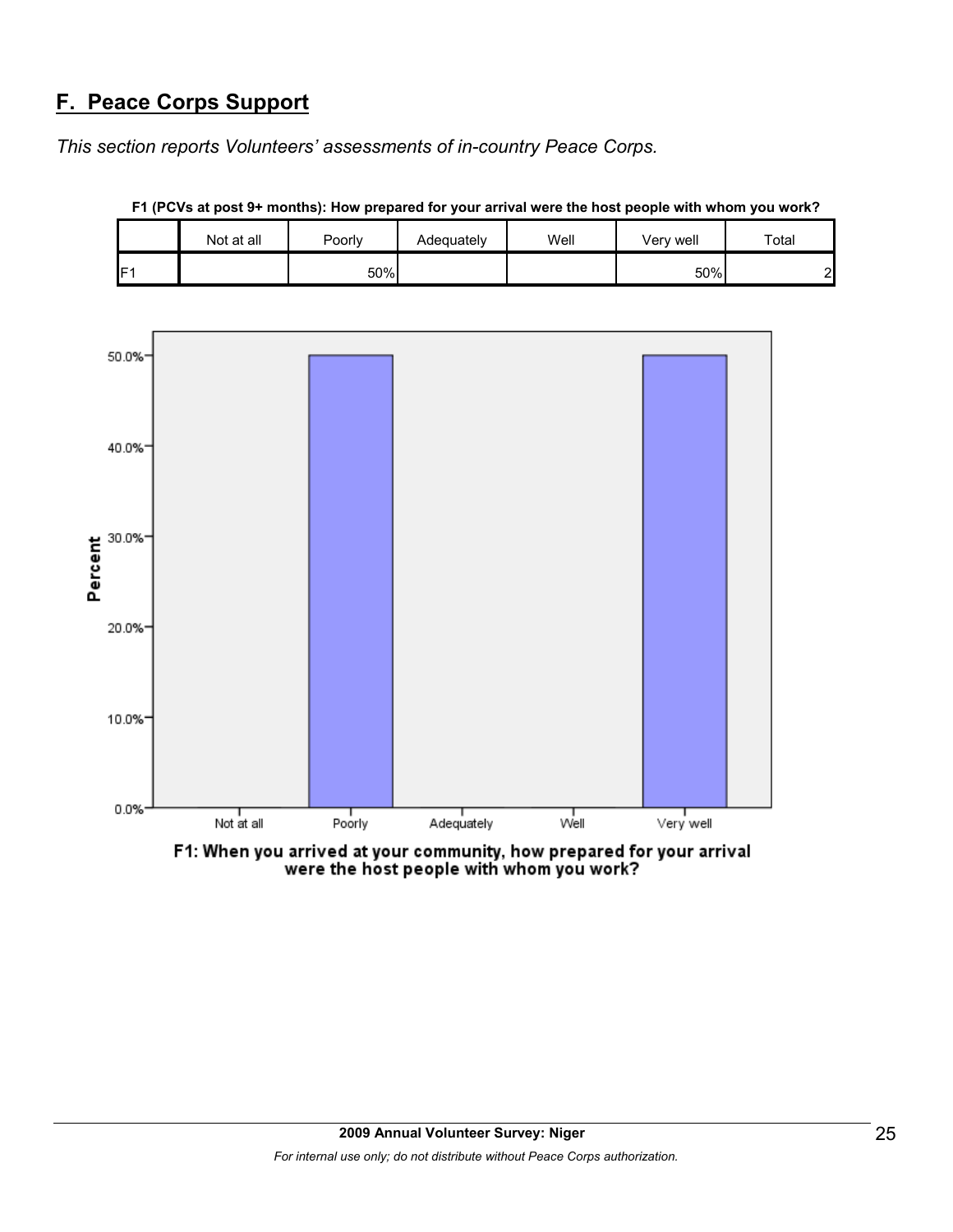# **F. Peace Corps Support**

*This section reports Volunteers' assessments of in-country Peace Corps.* 





**F1 (PCVs at post 9+ months): How prepared for your arrival were the host people with whom you work?**

F1: When you arrived at your community, how prepared for your arrival were the host people with whom you work?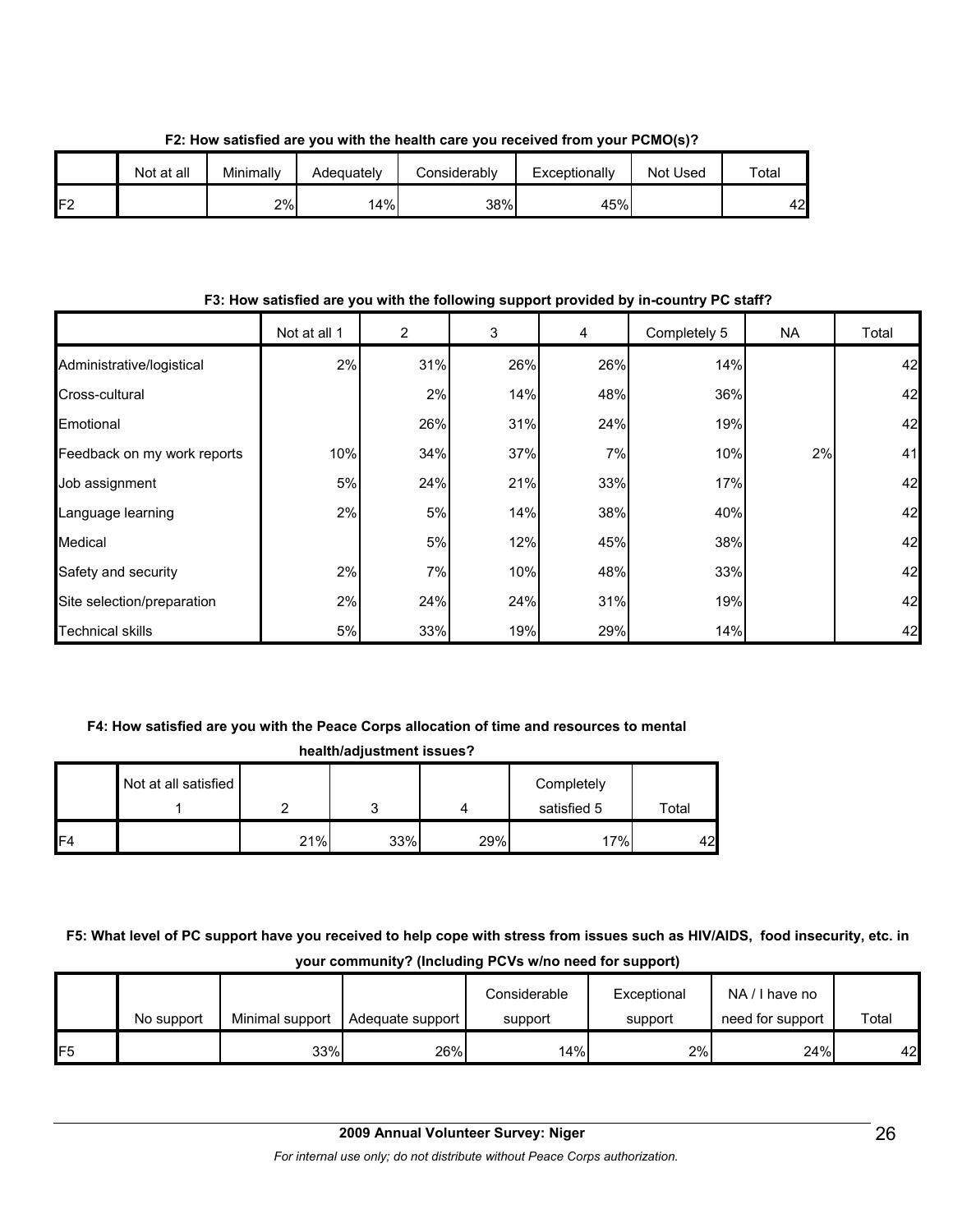|     | Not at all | Minimally | Adequately | Considerably | Exceptionally | Not Used | Total |
|-----|------------|-----------|------------|--------------|---------------|----------|-------|
| IF2 |            | 2%        | 14%        | 38%          | 45%           |          | 42    |

**F2: How satisfied are you with the health care you received from your PCMO(s)?**

#### **F3: How satisfied are you with the following support provided by in-country PC staff?**

|                             | Not at all 1 | 2   | 3   | 4   | Completely 5 | NA. | Total |
|-----------------------------|--------------|-----|-----|-----|--------------|-----|-------|
| Administrative/logistical   | 2%           | 31% | 26% | 26% | 14%          |     | 42    |
| Cross-cultural              |              | 2%  | 14% | 48% | 36%          |     | 42    |
| Emotional                   |              | 26% | 31% | 24% | 19%          |     | 42    |
| Feedback on my work reports | 10%          | 34% | 37% | 7%  | 10%          | 2%  | 41    |
| Job assignment              | 5%           | 24% | 21% | 33% | 17%          |     | 42    |
| Language learning           | 2%           | 5%  | 14% | 38% | 40%          |     | 42    |
| Medical                     |              | 5%  | 12% | 45% | 38%          |     | 42    |
| Safety and security         | 2%           | 7%  | 10% | 48% | 33%          |     | 42    |
| Site selection/preparation  | 2%           | 24% | 24% | 31% | 19%          |     | 42    |
| <b>Technical skills</b>     | 5%           | 33% | 19% | 29% | 14%          |     | 42    |

#### **F4: How satisfied are you with the Peace Corps allocation of time and resources to mental**

| health/adjustment issues? |                      |     |     |     |             |       |  |  |  |
|---------------------------|----------------------|-----|-----|-----|-------------|-------|--|--|--|
|                           | Not at all satisfied |     |     |     | Completely  |       |  |  |  |
|                           |                      |     |     |     | satisfied 5 | Total |  |  |  |
| F4                        |                      | 21% | 33% | 29% | 17%         | 42    |  |  |  |

### **F5: What level of PC support have you received to help cope with stress from issues such as HIV/AIDS, food insecurity, etc. in your community? (Including PCVs w/no need for support)**

|                 | No support | Minimal support | Adequate support | Considerable<br>support | Exceptional<br>support | NA/I have no<br>need for support | Total |
|-----------------|------------|-----------------|------------------|-------------------------|------------------------|----------------------------------|-------|
| IF <sub>5</sub> |            | 33%             | 26%              | 14%                     | 2%                     | 24%                              | 42    |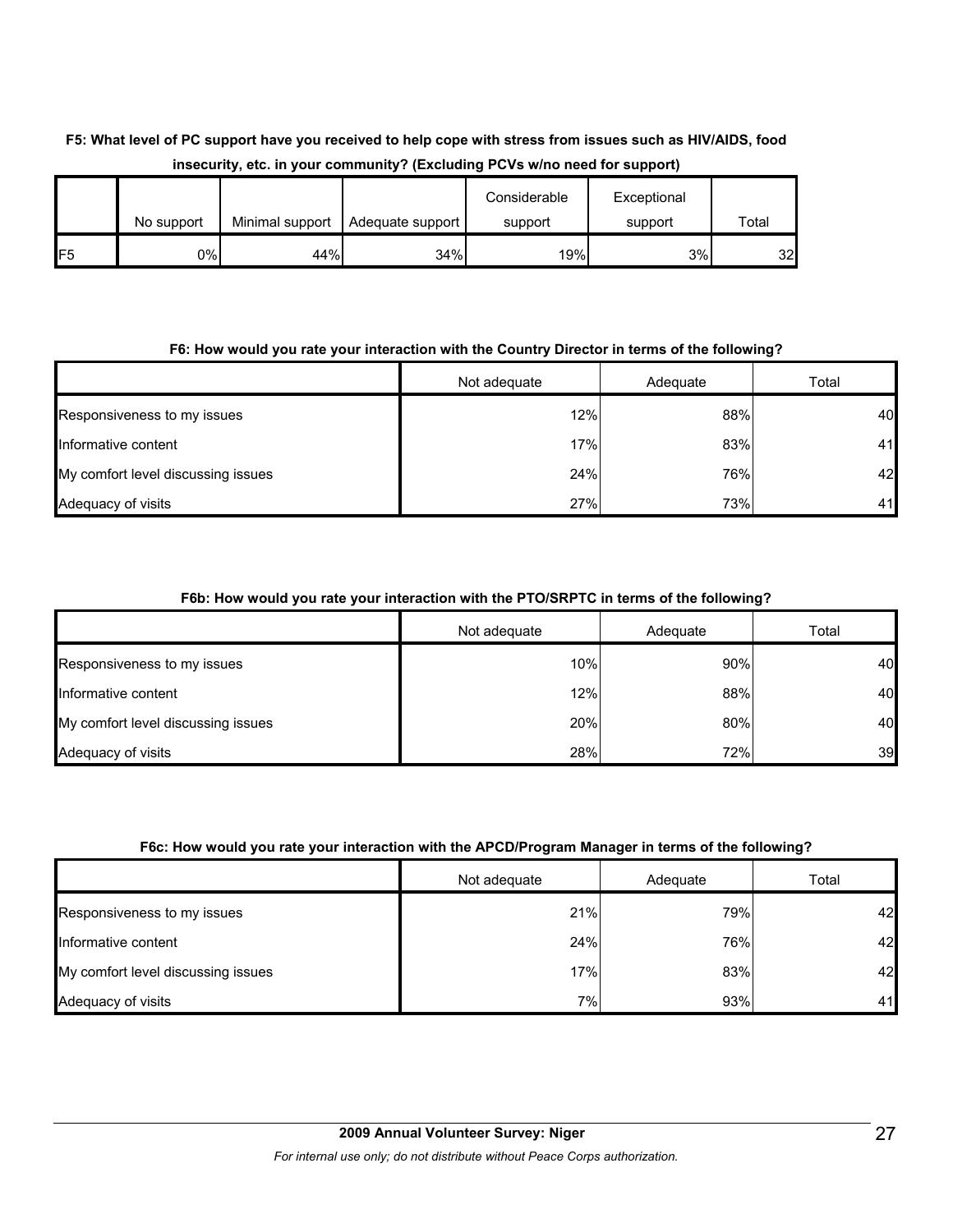# **F5: What level of PC support have you received to help cope with stress from issues such as HIV/AIDS, food insecurity, etc. in your community? (Excluding PCVs w/no need for support)**

|                 | No support | Minimal support | Adequate support | Considerable<br>support | Exceptional<br>support | Total |
|-----------------|------------|-----------------|------------------|-------------------------|------------------------|-------|
| IF <sub>5</sub> | 0%         | 44%             | 34%              | 19%                     | 3%                     | 32    |

#### **F6: How would you rate your interaction with the Country Director in terms of the following?**

|                                    | Not adequate | Adequate | Total |
|------------------------------------|--------------|----------|-------|
| Responsiveness to my issues        | 12%          | 88%      | 40    |
| Informative content                | 17%          | 83%      | 41    |
| My comfort level discussing issues | 24%          | 76%      | 42    |
| Adequacy of visits                 | 27%          | 73%      | 41    |

#### **F6b: How would you rate your interaction with the PTO/SRPTC in terms of the following?**

|                                    | Not adequate | Adequate | Total |
|------------------------------------|--------------|----------|-------|
| Responsiveness to my issues        | 10%          | 90%      | 40    |
| Informative content                | 12%          | 88%      | 40    |
| My comfort level discussing issues | 20%          | 80%      | 40    |
| Adequacy of visits                 | 28%          | 72%      | 39    |

#### **F6c: How would you rate your interaction with the APCD/Program Manager in terms of the following?**

|                                    | Not adequate | Adequate | Total |
|------------------------------------|--------------|----------|-------|
| Responsiveness to my issues        | 21%          | 79%      | 42    |
| Informative content                | 24%          | 76%      | 42    |
| My comfort level discussing issues | 17%          | 83%      | 42    |
| Adequacy of visits                 | 7%           | 93%      | 41    |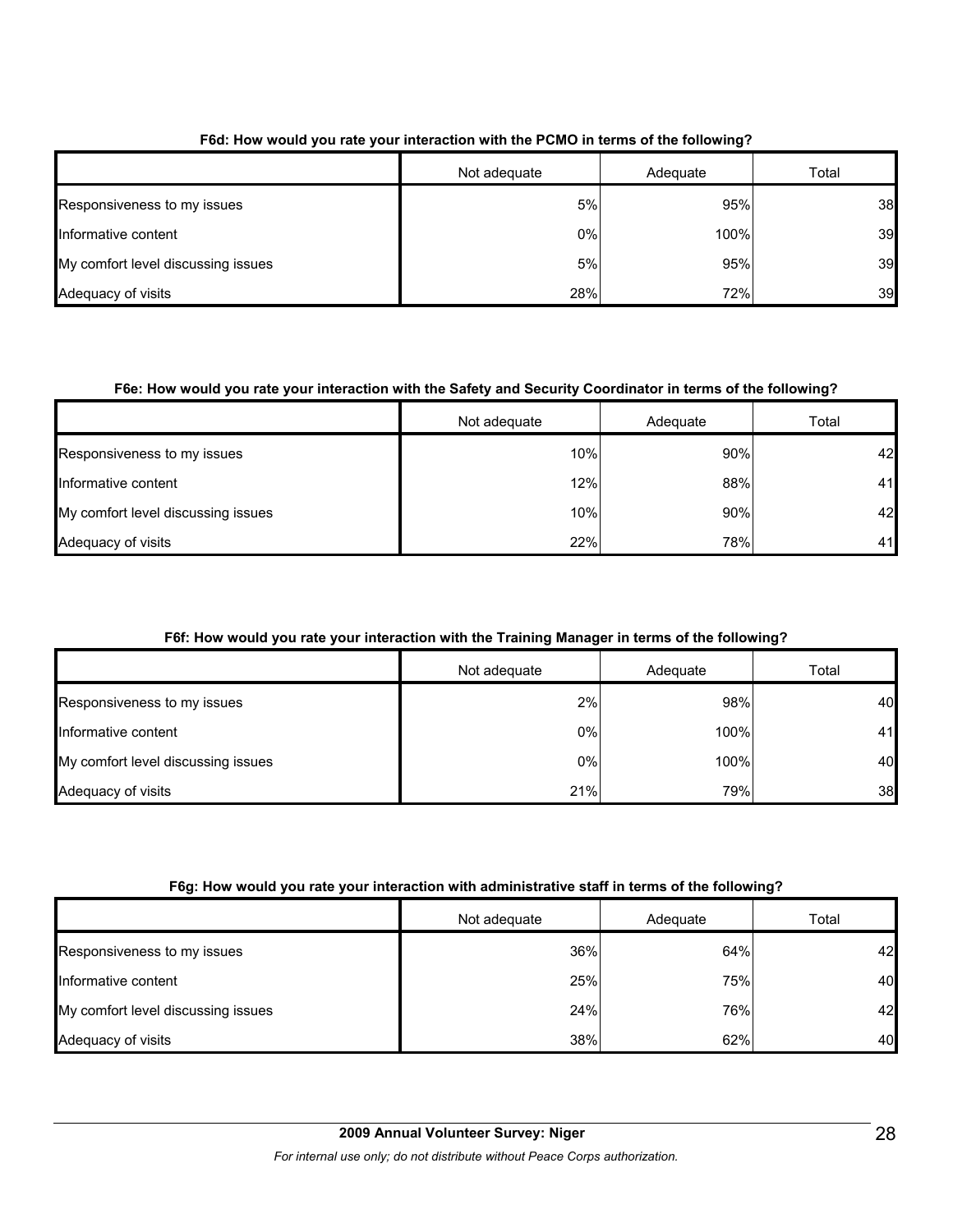|                                    | Not adequate | Adequate | Total |
|------------------------------------|--------------|----------|-------|
| Responsiveness to my issues        | 5%           | 95%      | 38    |
| Informative content                | 0%           | 100%     | 39    |
| My comfort level discussing issues | 5%           | 95%      | 39    |
| Adequacy of visits                 | 28%          | 72%      | 39    |

#### **F6d: How would you rate your interaction with the PCMO in terms of the following?**

### **F6e: How would you rate your interaction with the Safety and Security Coordinator in terms of the following?**

|                                    | Not adequate | Adequate | Total |
|------------------------------------|--------------|----------|-------|
| Responsiveness to my issues        | 10%          | 90%      | 42    |
| Informative content                | 12%          | 88%      | 41    |
| My comfort level discussing issues | 10%          | 90%      | 42    |
| Adequacy of visits                 | 22%          | 78%      | 41    |

### **F6f: How would you rate your interaction with the Training Manager in terms of the following?**

|                                    | Not adequate | Adequate | Total |
|------------------------------------|--------------|----------|-------|
| Responsiveness to my issues        | 2%           | 98%      | 40    |
| Informative content                | 0%           | 100%     | 41    |
| My comfort level discussing issues | 0%           | 100%     | 40    |
| Adequacy of visits                 | 21%          | 79%      | 38    |

### **F6g: How would you rate your interaction with administrative staff in terms of the following?**

|                                    | Not adequate | Adequate | Total |
|------------------------------------|--------------|----------|-------|
| Responsiveness to my issues        | 36%          | 64%      | 42    |
| Informative content                | 25%          | 75%      | 40    |
| My comfort level discussing issues | 24%          | 76%      | 42    |
| Adequacy of visits                 | 38%          | 62%      | 40    |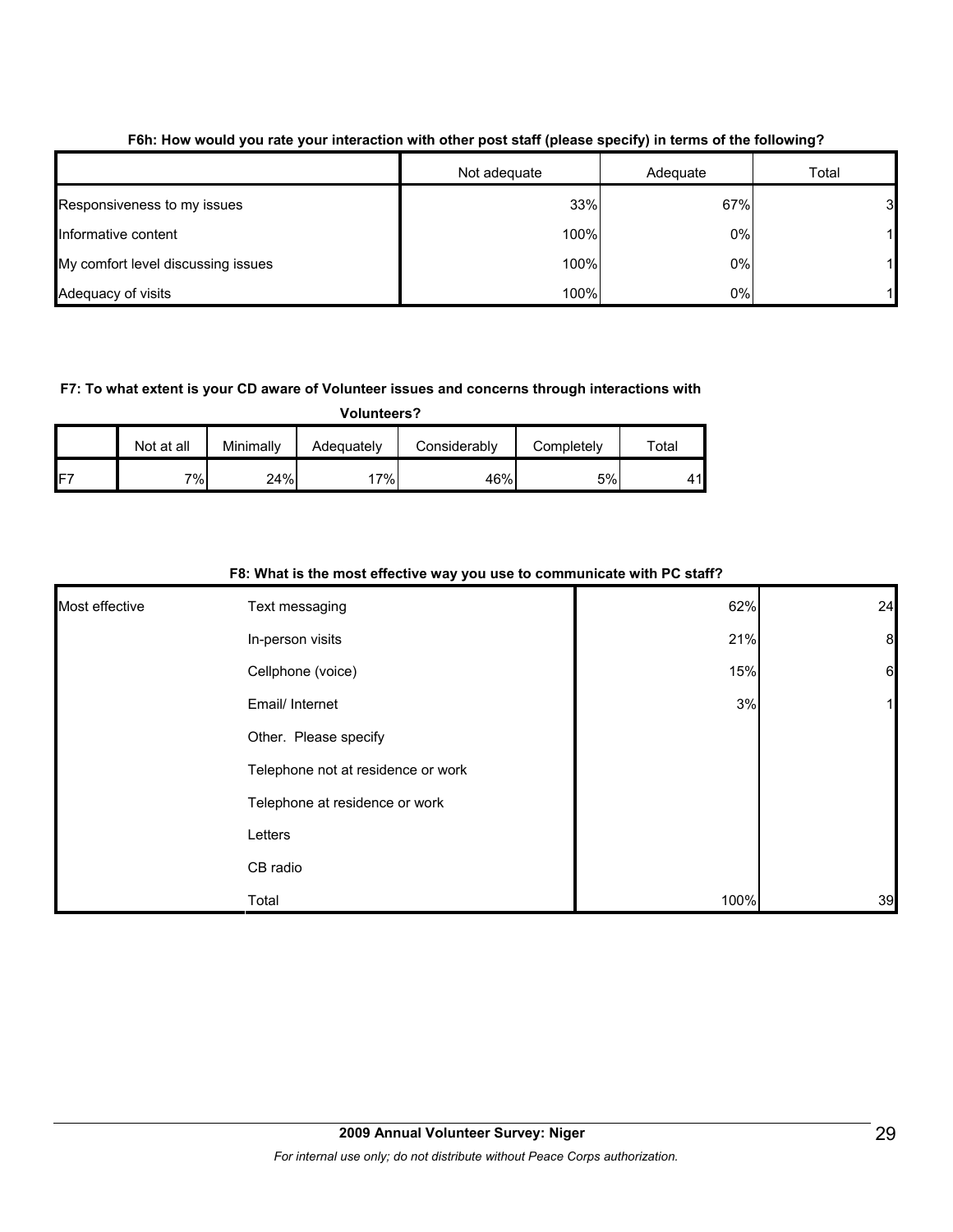|                                    | Not adequate | Adequate | Total          |
|------------------------------------|--------------|----------|----------------|
| Responsiveness to my issues        | 33%          | 67%      | 3 <sub>l</sub> |
| Informative content                | 100%         | 0%       |                |
| My comfort level discussing issues | 100%         | 0%       |                |
| Adequacy of visits                 | 100%         | 0%       |                |

#### **F6h: How would you rate your interaction with other post staff (please specify) in terms of the following?**

#### **F7: To what extent is your CD aware of Volunteer issues and concerns through interactions with**

**Volunteers?**

|      | Not at all | Minimally | Adequately | Considerablv | Completely | Total |
|------|------------|-----------|------------|--------------|------------|-------|
| IFT. | 7%         | 24%       | $7\%$      | 46%          | 5%l        | 41    |

#### **F8: What is the most effective way you use to communicate with PC staff?**

| Most effective | Text messaging                     | 62%  | 24              |
|----------------|------------------------------------|------|-----------------|
|                | In-person visits                   | 21%  | 8               |
|                | Cellphone (voice)                  | 15%  | $6\phantom{.}6$ |
|                | Email/ Internet                    | 3%   |                 |
|                | Other. Please specify              |      |                 |
|                | Telephone not at residence or work |      |                 |
|                | Telephone at residence or work     |      |                 |
|                | Letters                            |      |                 |
|                | CB radio                           |      |                 |
|                | Total                              | 100% | 39              |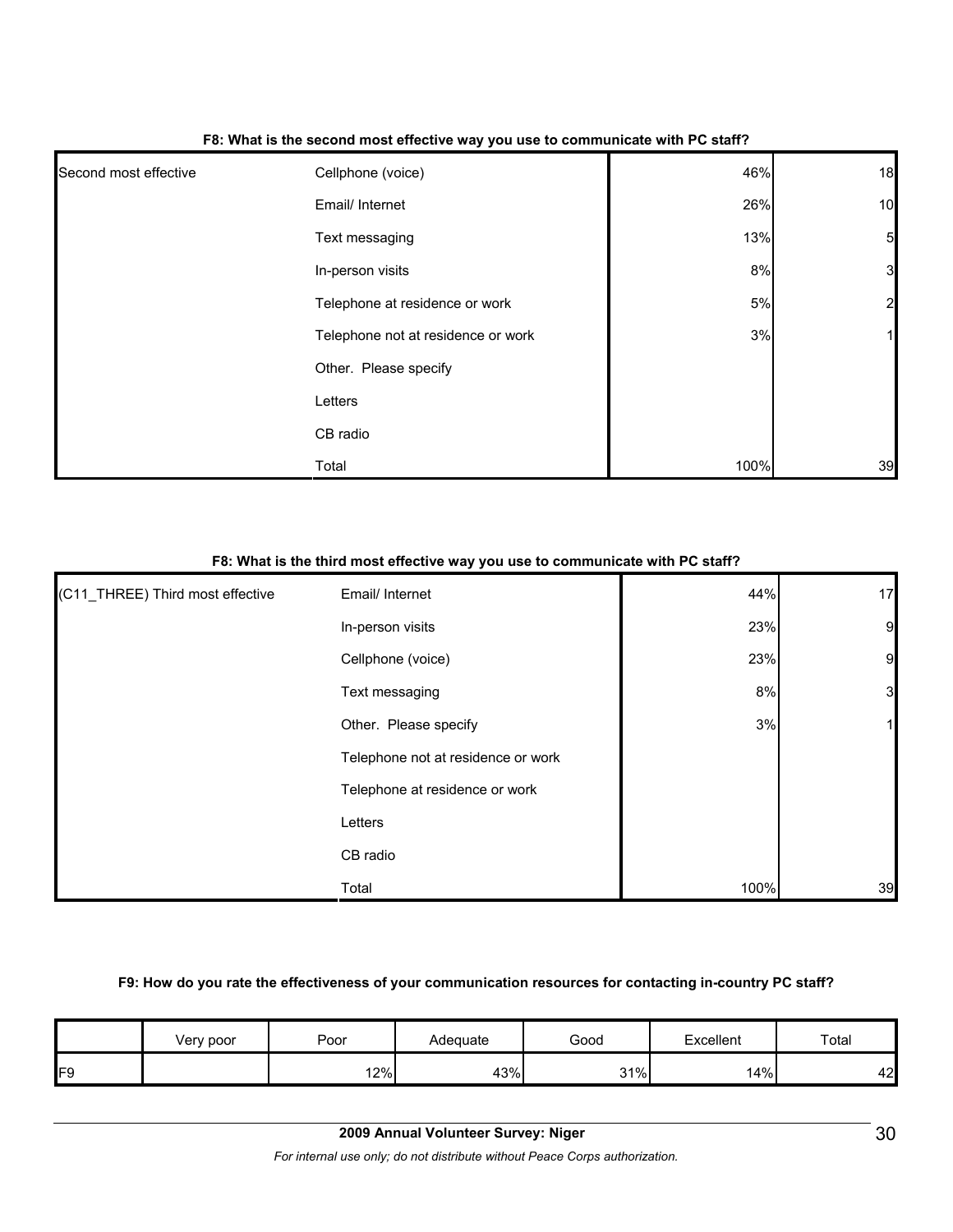| Second most effective | Cellphone (voice)                  | 46%   | 18               |
|-----------------------|------------------------------------|-------|------------------|
|                       | Email/ Internet                    | 26%   | 10               |
|                       | Text messaging                     | 13%   | $5\overline{a}$  |
|                       | In-person visits                   | 8%    | 3                |
|                       | Telephone at residence or work     | $5\%$ | $2 \overline{)}$ |
|                       | Telephone not at residence or work | 3%    | 1                |
|                       | Other. Please specify              |       |                  |
|                       | Letters                            |       |                  |
|                       | CB radio                           |       |                  |
|                       | Total                              | 100%  | 39               |

#### **F8: What is the second most effective way you use to communicate with PC staff?**

#### **F8: What is the third most effective way you use to communicate with PC staff?**

| (C11_THREE) Third most effective | Email/ Internet                    | 44%  | 17             |
|----------------------------------|------------------------------------|------|----------------|
|                                  | In-person visits                   | 23%  | $\overline{9}$ |
|                                  | Cellphone (voice)                  | 23%  | 9              |
|                                  | Text messaging                     | 8%   | $\mathbf{3}$   |
|                                  | Other. Please specify              | 3%   |                |
|                                  | Telephone not at residence or work |      |                |
|                                  | Telephone at residence or work     |      |                |
|                                  | Letters                            |      |                |
|                                  | CB radio                           |      |                |
|                                  | Total                              | 100% | 39             |

#### **F9: How do you rate the effectiveness of your communication resources for contacting in-country PC staff?**

|    | Very poor | Poor | Adequate | Good       | Excellent | Total |
|----|-----------|------|----------|------------|-----------|-------|
| FΟ |           | 12%  | 43%      | 31%<br>ا ب | 14%       | 42    |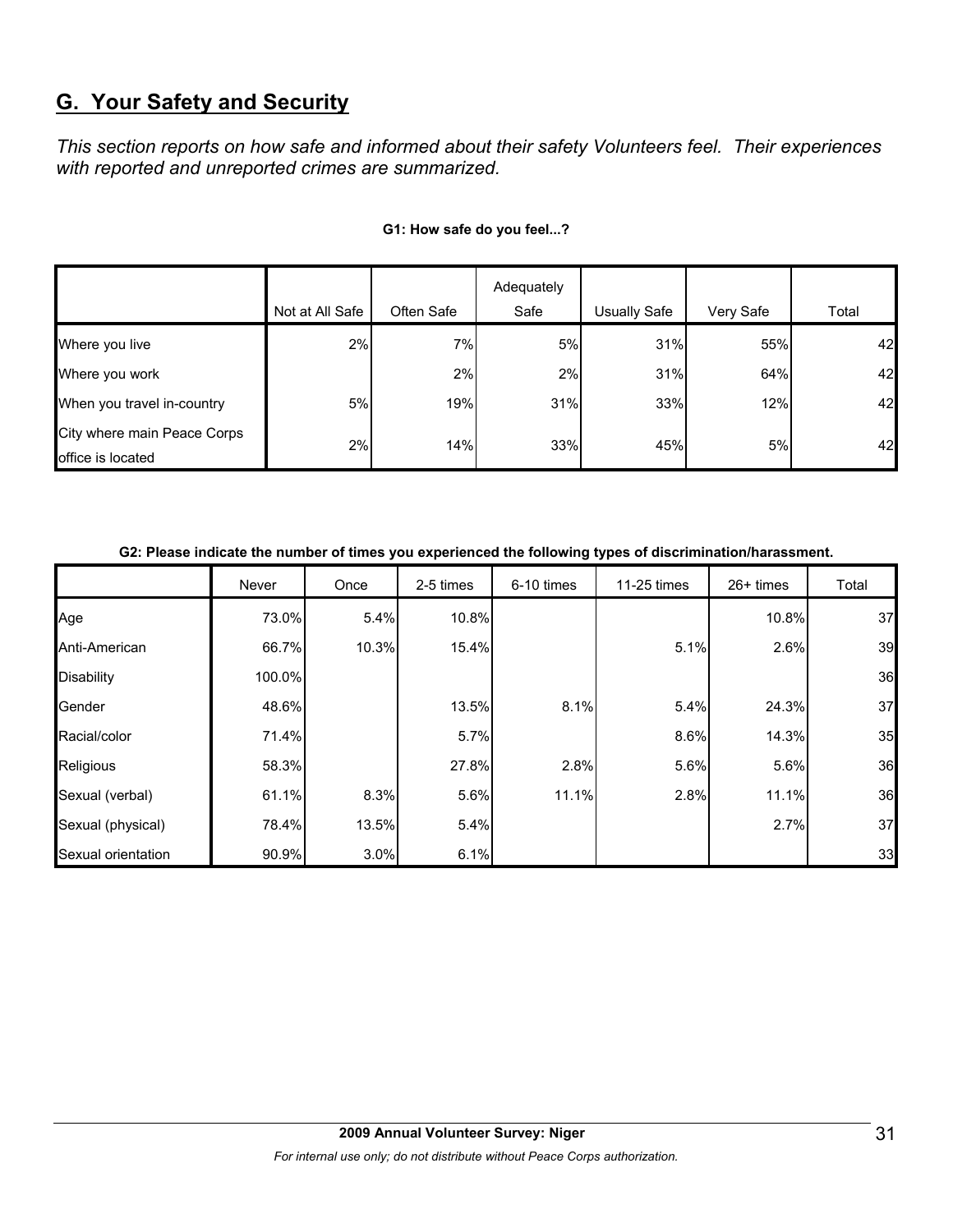# **G. Your Safety and Security**

*This section reports on how safe and informed about their safety Volunteers feel. Their experiences with reported and unreported crimes are summarized.* 

|                                                  |                 |            | Adequately |                     |           |       |
|--------------------------------------------------|-----------------|------------|------------|---------------------|-----------|-------|
|                                                  | Not at All Safe | Often Safe | Safe       | <b>Usually Safe</b> | Very Safe | Total |
| Where you live                                   | 2%              | 7%         | 5%         | 31%                 | 55%       | 42    |
| Where you work                                   |                 | 2%         | 2%         | 31%                 | 64%       | 42    |
| When you travel in-country                       | 5%              | 19%        | 31%        | 33%                 | 12%       | 42    |
| City where main Peace Corps<br>office is located | 2%              | 14%        | 33%        | 45%                 | 5%        | 42    |

#### **G1: How safe do you feel...?**

#### **G2: Please indicate the number of times you experienced the following types of discrimination/harassment.**

|                    | Never  | Once  | 2-5 times | 6-10 times | 11-25 times | $26+$ times | Total |
|--------------------|--------|-------|-----------|------------|-------------|-------------|-------|
| Age                | 73.0%  | 5.4%  | 10.8%     |            |             | 10.8%       | 37    |
| Anti-American      | 66.7%  | 10.3% | 15.4%     |            | 5.1%        | 2.6%        | 39    |
| <b>Disability</b>  | 100.0% |       |           |            |             |             | 36    |
| Gender             | 48.6%  |       | 13.5%     | 8.1%       | 5.4%        | 24.3%       | 37    |
| Racial/color       | 71.4%  |       | 5.7%      |            | 8.6%        | 14.3%       | 35    |
| Religious          | 58.3%  |       | 27.8%     | 2.8%       | 5.6%        | 5.6%        | 36    |
| Sexual (verbal)    | 61.1%  | 8.3%  | 5.6%      | 11.1%      | 2.8%        | 11.1%       | 36    |
| Sexual (physical)  | 78.4%  | 13.5% | 5.4%      |            |             | 2.7%        | 37    |
| Sexual orientation | 90.9%  | 3.0%  | 6.1%      |            |             |             | 33    |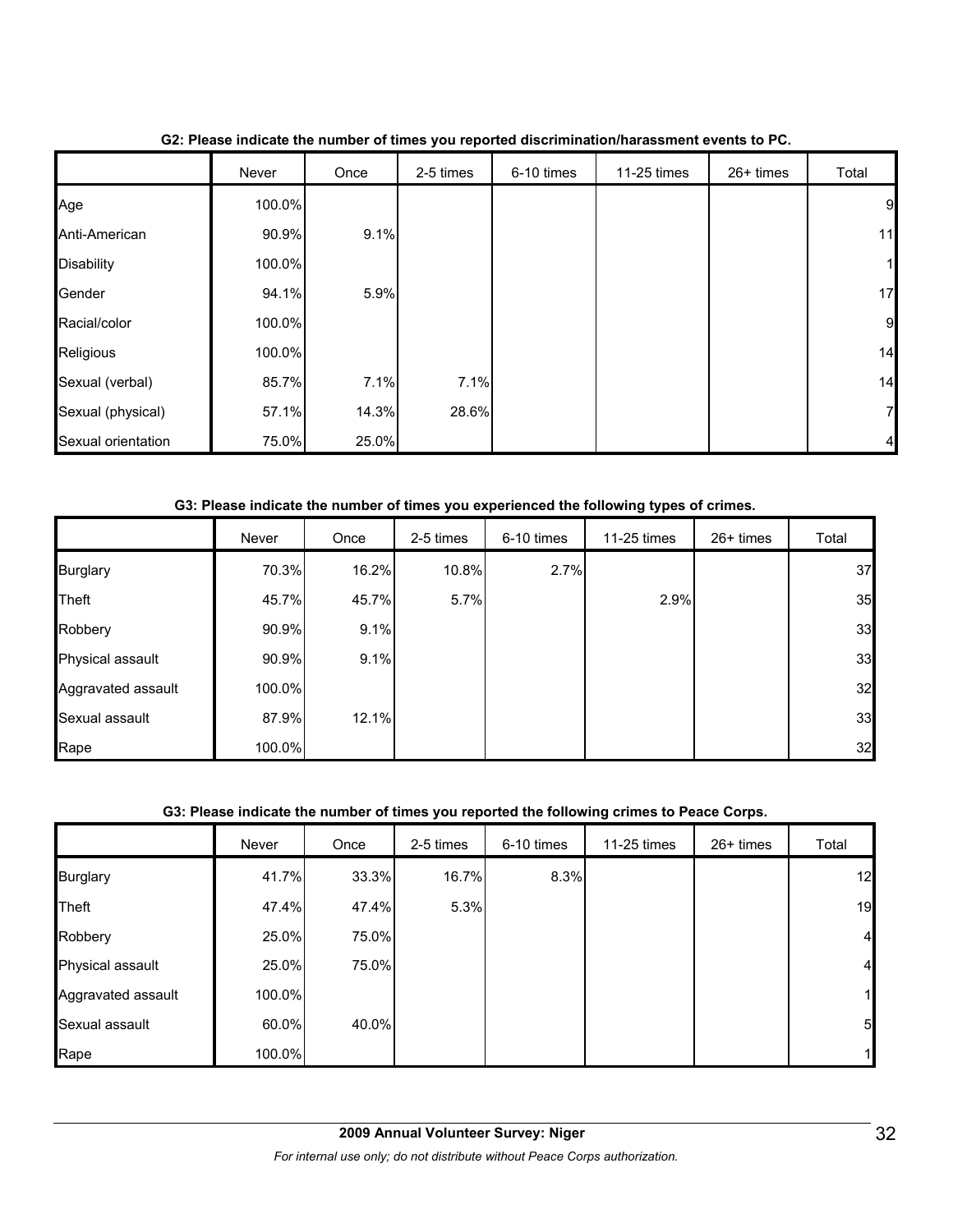|                    | Never  | Once  | 2-5 times | 6-10 times | 11-25 times | 26+ times | Total          |
|--------------------|--------|-------|-----------|------------|-------------|-----------|----------------|
| Age                | 100.0% |       |           |            |             |           | 9              |
| Anti-American      | 90.9%  | 9.1%  |           |            |             |           | 11             |
| <b>Disability</b>  | 100.0% |       |           |            |             |           | $\mathbf{1}$   |
| Gender             | 94.1%  | 5.9%  |           |            |             |           | 17             |
| Racial/color       | 100.0% |       |           |            |             |           | $\overline{9}$ |
| Religious          | 100.0% |       |           |            |             |           | 14             |
| Sexual (verbal)    | 85.7%  | 7.1%  | 7.1%      |            |             |           | 14             |
| Sexual (physical)  | 57.1%  | 14.3% | 28.6%     |            |             |           | 7              |
| Sexual orientation | 75.0%  | 25.0% |           |            |             |           |                |

**G2: Please indicate the number of times you reported discrimination/harassment events to PC.**

#### **G3: Please indicate the number of times you experienced the following types of crimes.**

|                    | Never  | Once  | 2-5 times | 6-10 times | 11-25 times | 26+ times | Total |
|--------------------|--------|-------|-----------|------------|-------------|-----------|-------|
| <b>Burglary</b>    | 70.3%  | 16.2% | 10.8%     | 2.7%       |             |           | 37    |
| Theft              | 45.7%  | 45.7% | 5.7%      |            | 2.9%        |           | 35    |
| Robbery            | 90.9%  | 9.1%  |           |            |             |           | 33    |
| Physical assault   | 90.9%  | 9.1%  |           |            |             |           | 33    |
| Aggravated assault | 100.0% |       |           |            |             |           | 32    |
| Sexual assault     | 87.9%  | 12.1% |           |            |             |           | 33    |
| Rape               | 100.0% |       |           |            |             |           | 32    |

#### **G3: Please indicate the number of times you reported the following crimes to Peace Corps.**

|                    | Never  | Once  | 2-5 times | 6-10 times | 11-25 times | 26+ times | Total          |
|--------------------|--------|-------|-----------|------------|-------------|-----------|----------------|
| <b>Burglary</b>    | 41.7%  | 33.3% | 16.7%     | 8.3%       |             |           | 12             |
| <b>Theft</b>       | 47.4%  | 47.4% | 5.3%      |            |             |           | 19             |
| Robbery            | 25.0%  | 75.0% |           |            |             |           | $\overline{4}$ |
| Physical assault   | 25.0%  | 75.0% |           |            |             |           | $\overline{4}$ |
| Aggravated assault | 100.0% |       |           |            |             |           | 11             |
| Sexual assault     | 60.0%  | 40.0% |           |            |             |           | 5 <sub>l</sub> |
| Rape               | 100.0% |       |           |            |             |           | 1              |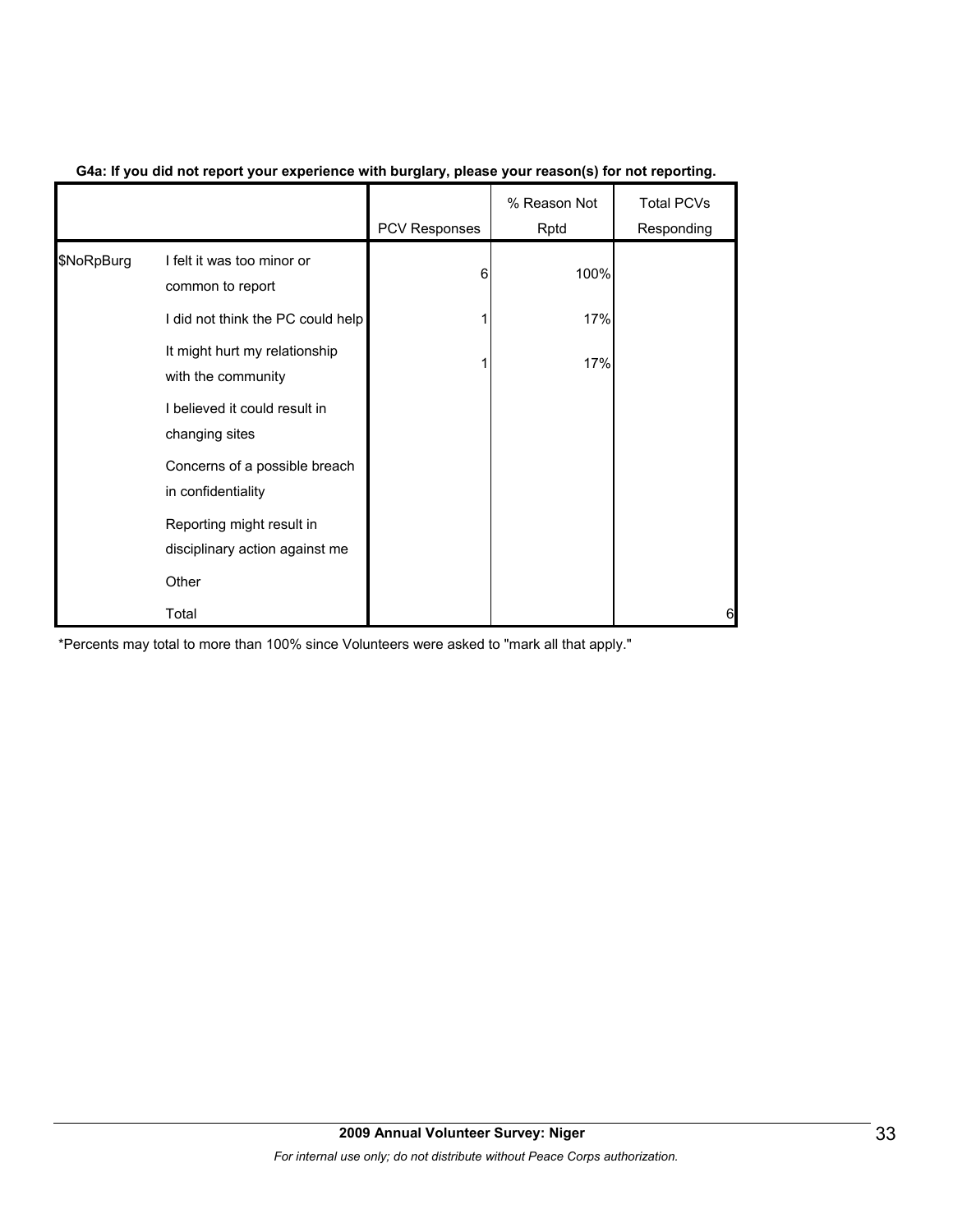|            |                                                             | <b>PCV Responses</b> | % Reason Not<br>Rptd | <b>Total PCVs</b><br>Responding |
|------------|-------------------------------------------------------------|----------------------|----------------------|---------------------------------|
| \$NoRpBurg | I felt it was too minor or<br>common to report              | 6                    | 100%                 |                                 |
|            | I did not think the PC could help                           |                      | 17%                  |                                 |
|            | It might hurt my relationship<br>with the community         |                      | 17%                  |                                 |
|            | I believed it could result in<br>changing sites             |                      |                      |                                 |
|            | Concerns of a possible breach<br>in confidentiality         |                      |                      |                                 |
|            | Reporting might result in<br>disciplinary action against me |                      |                      |                                 |
|            | Other                                                       |                      |                      |                                 |
|            | Total                                                       |                      |                      | 6                               |

#### **G4a: If you did not report your experience with burglary, please your reason(s) for not reporting.**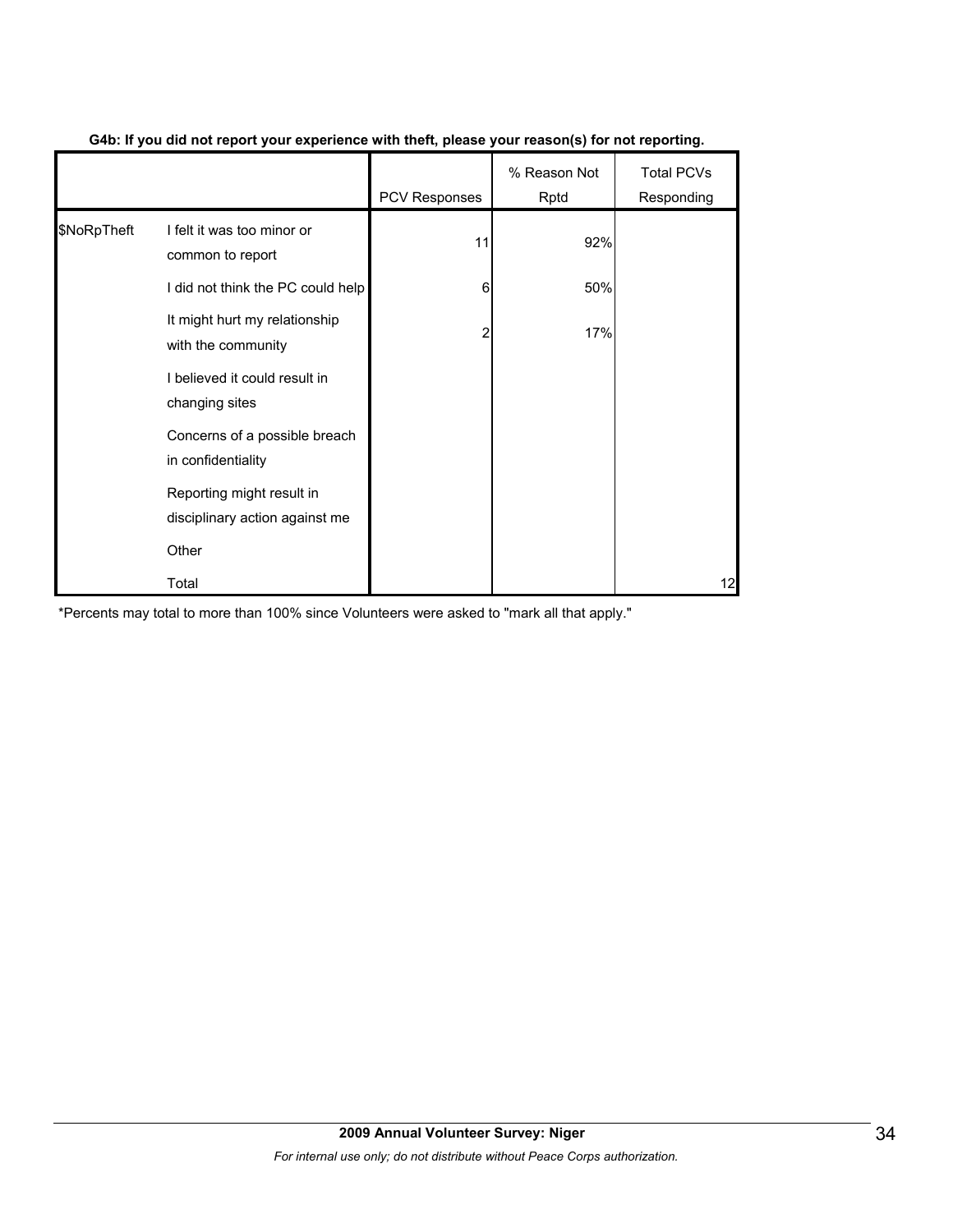|             |                                                             | PCV Responses | % Reason Not<br>Rptd | <b>Total PCVs</b><br>Responding |
|-------------|-------------------------------------------------------------|---------------|----------------------|---------------------------------|
| \$NoRpTheft | I felt it was too minor or<br>common to report              | 11            | 92%                  |                                 |
|             | I did not think the PC could help                           | 6             | 50%                  |                                 |
|             | It might hurt my relationship<br>with the community         | 2             | 17%                  |                                 |
|             | I believed it could result in<br>changing sites             |               |                      |                                 |
|             | Concerns of a possible breach<br>in confidentiality         |               |                      |                                 |
|             | Reporting might result in<br>disciplinary action against me |               |                      |                                 |
|             | Other                                                       |               |                      |                                 |
|             | Total                                                       |               |                      | 12                              |

#### **G4b: If you did not report your experience with theft, please your reason(s) for not reporting.**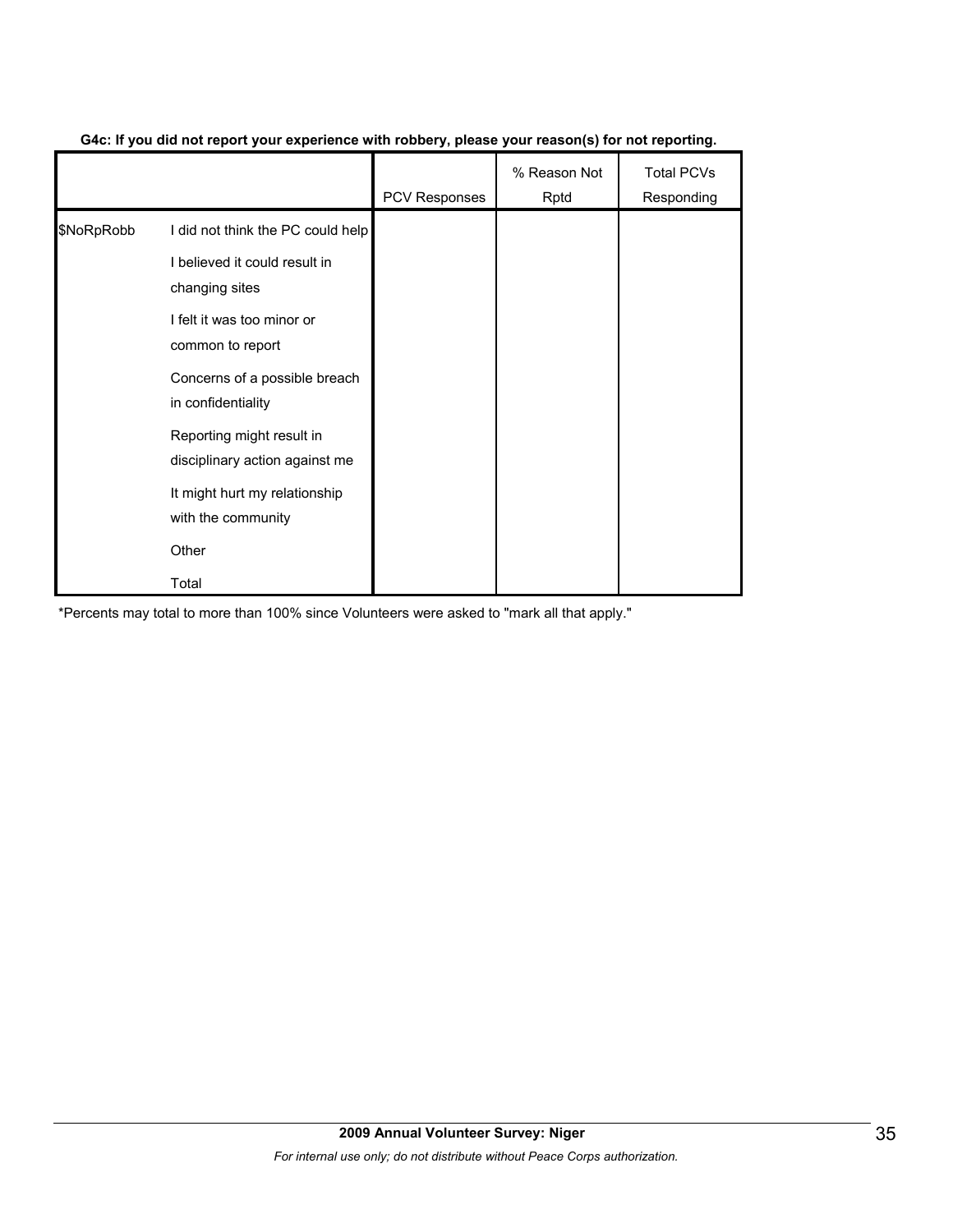|            |                                                             | <b>PCV Responses</b> | % Reason Not<br>Rptd | <b>Total PCVs</b><br>Responding |
|------------|-------------------------------------------------------------|----------------------|----------------------|---------------------------------|
| \$NoRpRobb | I did not think the PC could help                           |                      |                      |                                 |
|            | I believed it could result in<br>changing sites             |                      |                      |                                 |
|            | I felt it was too minor or<br>common to report              |                      |                      |                                 |
|            | Concerns of a possible breach<br>in confidentiality         |                      |                      |                                 |
|            | Reporting might result in<br>disciplinary action against me |                      |                      |                                 |
|            | It might hurt my relationship<br>with the community         |                      |                      |                                 |
|            | Other                                                       |                      |                      |                                 |
|            | Total                                                       |                      |                      |                                 |

#### **G4c: If you did not report your experience with robbery, please your reason(s) for not reporting.**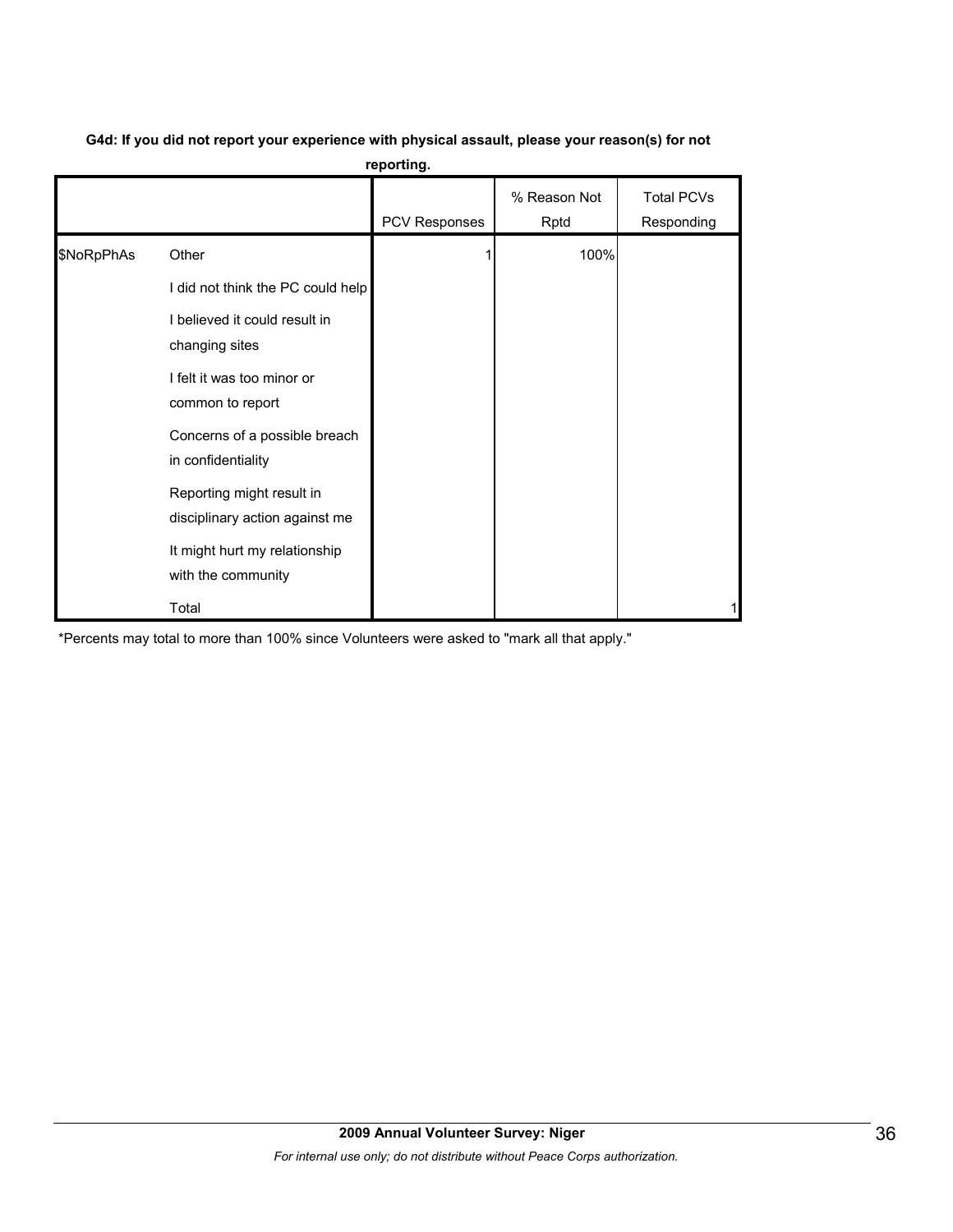|            |                                                             | iehormia      |                      |                                 |
|------------|-------------------------------------------------------------|---------------|----------------------|---------------------------------|
|            |                                                             | PCV Responses | % Reason Not<br>Rptd | <b>Total PCVs</b><br>Responding |
| \$NoRpPhAs | Other                                                       |               | 100%                 |                                 |
|            | I did not think the PC could help                           |               |                      |                                 |
|            | I believed it could result in<br>changing sites             |               |                      |                                 |
|            | I felt it was too minor or<br>common to report              |               |                      |                                 |
|            | Concerns of a possible breach<br>in confidentiality         |               |                      |                                 |
|            | Reporting might result in<br>disciplinary action against me |               |                      |                                 |
|            | It might hurt my relationship<br>with the community         |               |                      |                                 |
|            | Total                                                       |               |                      |                                 |

#### **G4d: If you did not report your experience with physical assault, please your reason(s) for not reporting.**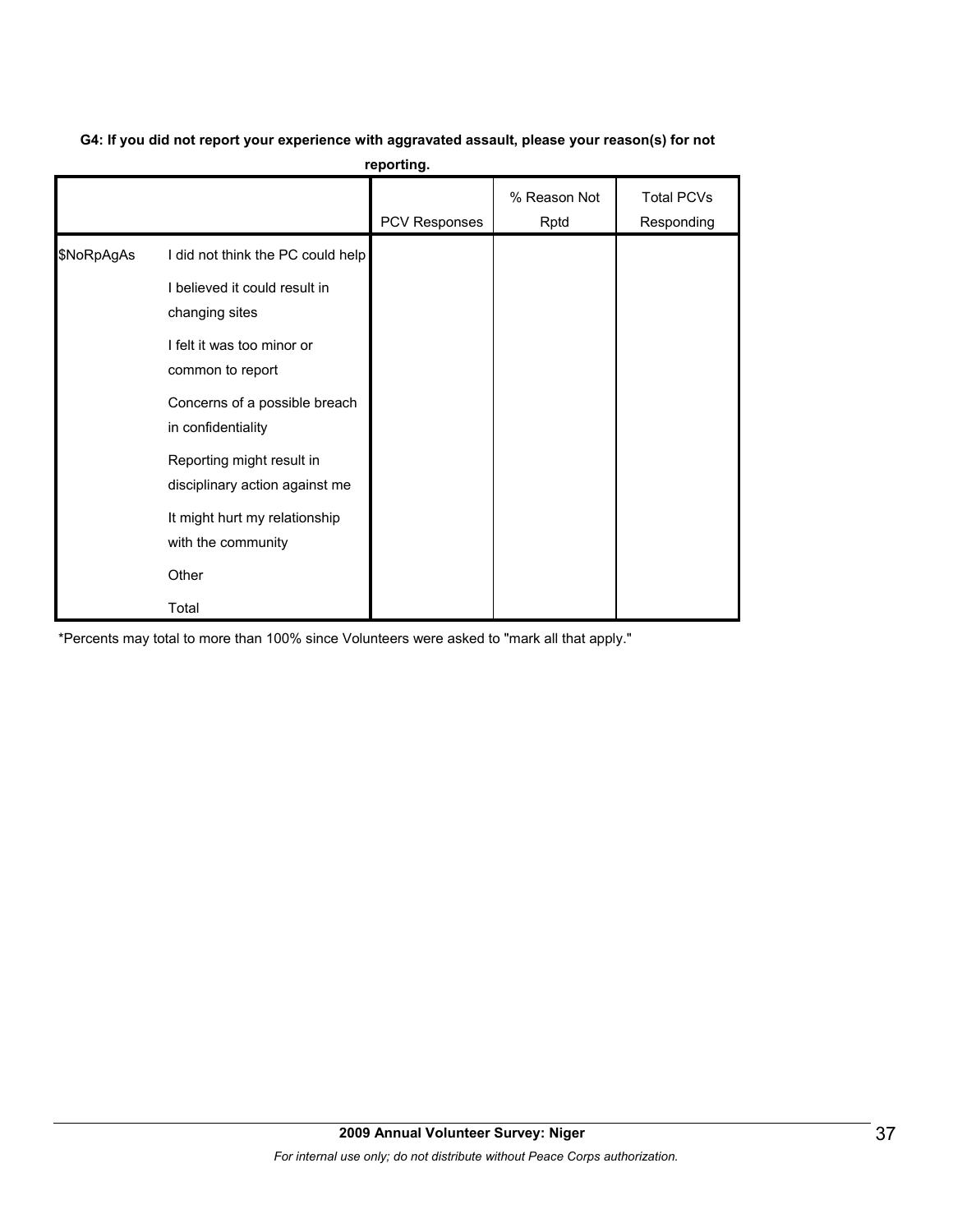# **G4: If you did not report your experience with aggravated assault, please your reason(s) for not**

**reporting.**

|            |                                                                    | PCV Responses | % Reason Not<br>Rptd | <b>Total PCVs</b><br>Responding |
|------------|--------------------------------------------------------------------|---------------|----------------------|---------------------------------|
| \$NoRpAgAs | I did not think the PC could help<br>I believed it could result in |               |                      |                                 |
|            | changing sites<br>I felt it was too minor or<br>common to report   |               |                      |                                 |
|            | Concerns of a possible breach<br>in confidentiality                |               |                      |                                 |
|            | Reporting might result in<br>disciplinary action against me        |               |                      |                                 |
|            | It might hurt my relationship<br>with the community                |               |                      |                                 |
|            | Other                                                              |               |                      |                                 |
|            | Total                                                              |               |                      |                                 |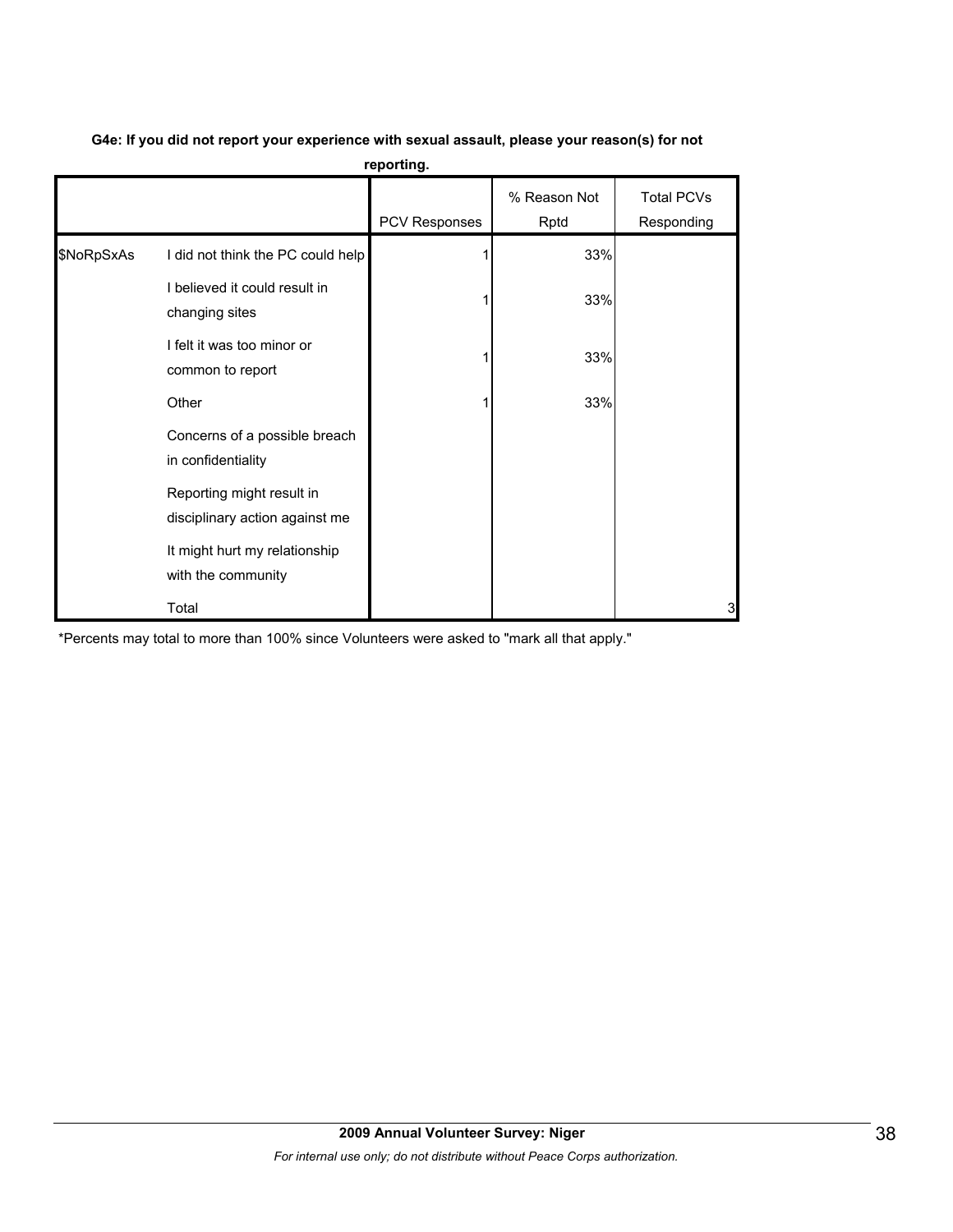|            | reporting.                                                  |               |                      |                                 |  |  |  |  |  |  |
|------------|-------------------------------------------------------------|---------------|----------------------|---------------------------------|--|--|--|--|--|--|
|            |                                                             | PCV Responses | % Reason Not<br>Rptd | <b>Total PCVs</b><br>Responding |  |  |  |  |  |  |
| \$NoRpSxAs | I did not think the PC could help                           |               | 33%                  |                                 |  |  |  |  |  |  |
|            | I believed it could result in<br>changing sites             |               | 33%                  |                                 |  |  |  |  |  |  |
|            | I felt it was too minor or<br>common to report              |               | 33%                  |                                 |  |  |  |  |  |  |
|            | Other                                                       |               | 33%                  |                                 |  |  |  |  |  |  |
|            | Concerns of a possible breach<br>in confidentiality         |               |                      |                                 |  |  |  |  |  |  |
|            | Reporting might result in<br>disciplinary action against me |               |                      |                                 |  |  |  |  |  |  |
|            | It might hurt my relationship<br>with the community         |               |                      |                                 |  |  |  |  |  |  |
|            | Total                                                       |               |                      | 3                               |  |  |  |  |  |  |

# **G4e: If you did not report your experience with sexual assault, please your reason(s) for not**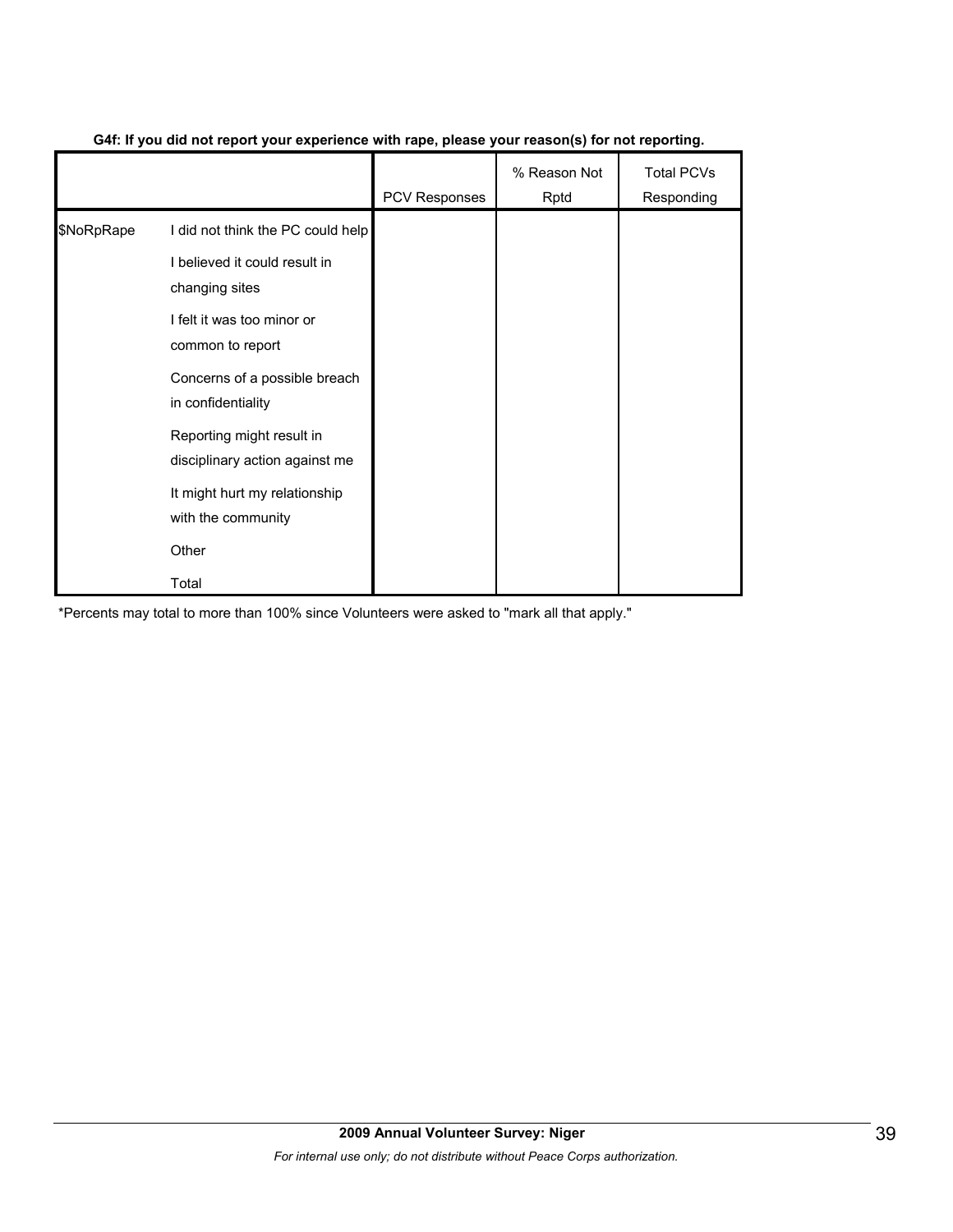|            |                                                             | <b>PCV Responses</b> | % Reason Not<br>Rptd | <b>Total PCVs</b><br>Responding |
|------------|-------------------------------------------------------------|----------------------|----------------------|---------------------------------|
| \$NoRpRape | I did not think the PC could help                           |                      |                      |                                 |
|            | I believed it could result in<br>changing sites             |                      |                      |                                 |
|            | I felt it was too minor or<br>common to report              |                      |                      |                                 |
|            | Concerns of a possible breach<br>in confidentiality         |                      |                      |                                 |
|            | Reporting might result in<br>disciplinary action against me |                      |                      |                                 |
|            | It might hurt my relationship<br>with the community         |                      |                      |                                 |
|            | Other                                                       |                      |                      |                                 |
|            | Total                                                       |                      |                      |                                 |

#### **G4f: If you did not report your experience with rape, please your reason(s) for not reporting.**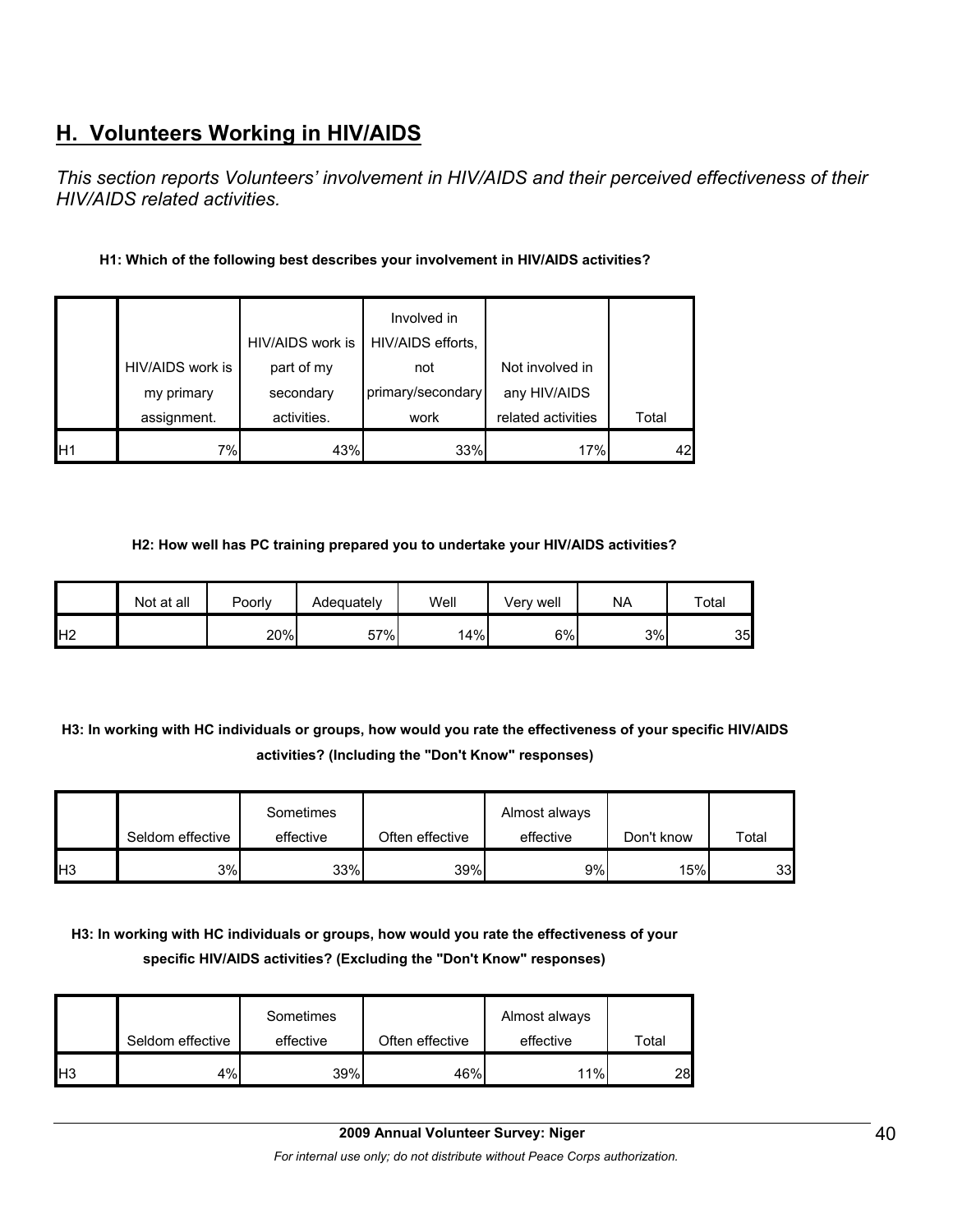# **H. Volunteers Working in HIV/AIDS**

*This section reports Volunteers' involvement in HIV/AIDS and their perceived effectiveness of their HIV/AIDS related activities.* 

### **H1: Which of the following best describes your involvement in HIV/AIDS activities?**

|     |                  |                  | Involved in       |                    |       |
|-----|------------------|------------------|-------------------|--------------------|-------|
|     |                  | HIV/AIDS work is | HIV/AIDS efforts, |                    |       |
|     | HIV/AIDS work is | part of my       | not               | Not involved in    |       |
|     | my primary       | secondary        | primary/secondary | any HIV/AIDS       |       |
|     | assignment.      | activities.      | work              | related activities | Total |
| IH1 | 7%               | 43%              | 33%               | 17%                | 42    |

#### **H2: How well has PC training prepared you to undertake your HIV/AIDS activities?**

|                 | Not at all | Poorly | Adequately | Well | Very well | <b>NA</b> | Total |
|-----------------|------------|--------|------------|------|-----------|-----------|-------|
| IH <sub>2</sub> |            | 20%    | 57%        | 14%  | 6%        | 3%        | 35    |

# **H3: In working with HC individuals or groups, how would you rate the effectiveness of your specific HIV/AIDS activities? (Including the "Don't Know" responses)**

|     | Seldom effective | Sometimes<br>effective | Often effective | Almost always<br>effective | Don't know | Total |
|-----|------------------|------------------------|-----------------|----------------------------|------------|-------|
| IH3 | 3%               | 33%                    | 39%             | 9%l                        | 15%        | 33    |

# **H3: In working with HC individuals or groups, how would you rate the effectiveness of your specific HIV/AIDS activities? (Excluding the "Don't Know" responses)**

|            | Seldom effective | Sometimes<br>effective | Often effective | Almost always<br>effective | Total |
|------------|------------------|------------------------|-----------------|----------------------------|-------|
| <b>IH3</b> | 4%               | 39%                    | 46%             | 11%                        | 28    |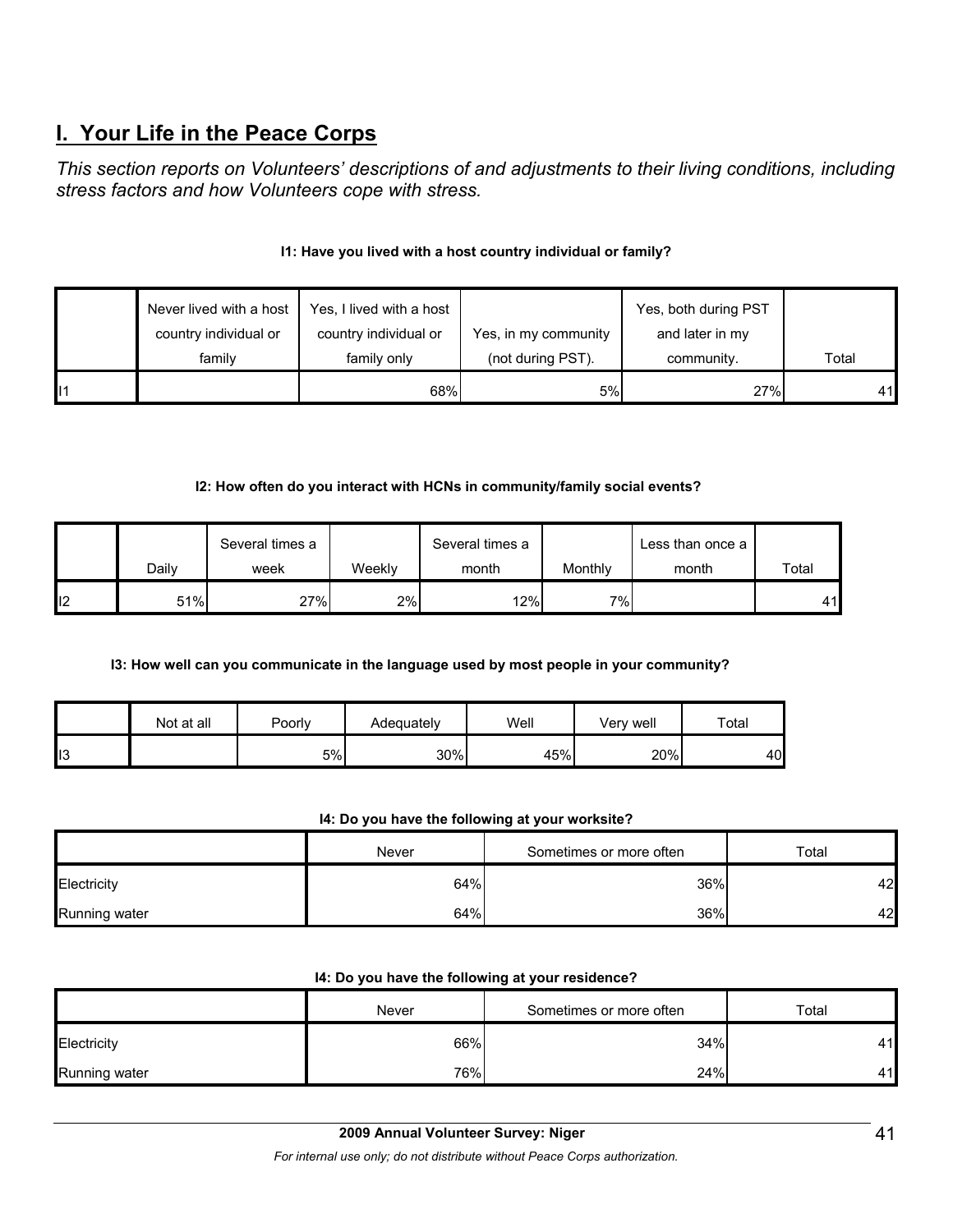# **I. Your Life in the Peace Corps**

*This section reports on Volunteers' descriptions of and adjustments to their living conditions, including stress factors and how Volunteers cope with stress.* 

### **I1: Have you lived with a host country individual or family?**

| Never lived with a host | Yes, I lived with a host |                      | Yes, both during PST |       |
|-------------------------|--------------------------|----------------------|----------------------|-------|
| country individual or   | country individual or    | Yes, in my community | and later in my      |       |
| family                  | family only              | (not during PST).    | community.           | Total |
|                         | 68%                      | 5%                   | 27%                  | 41    |

#### **I2: How often do you interact with HCNs in community/family social events?**

|    |       | Several times a |        | Several times a |         | Less than once a |       |
|----|-------|-----------------|--------|-----------------|---------|------------------|-------|
|    | Dailv | week            | Weeklv | month           | Monthly | month            | Total |
| 12 | 51%   | 27%             | 2%     | 12%             | 7%      |                  | 41    |

#### **I3: How well can you communicate in the language used by most people in your community?**

|    | Not at all | Poorly | Adequately | Well | Very well | Total |
|----|------------|--------|------------|------|-----------|-------|
| 13 |            | 5%     | 30%        | 45%  | 20%       | 40    |

#### **I4: Do you have the following at your worksite?**

|               | Never | Sometimes or more often | Total |  |
|---------------|-------|-------------------------|-------|--|
| Electricity   | 64%   | 36%                     | 42    |  |
| Running water | 64%   | 36%                     | 42    |  |

#### **I4: Do you have the following at your residence?**

|               | Never | Sometimes or more often | Total |
|---------------|-------|-------------------------|-------|
| Electricity   | 66%   | 34%                     | 441   |
| Running water | 76%   | 24%                     | 441   |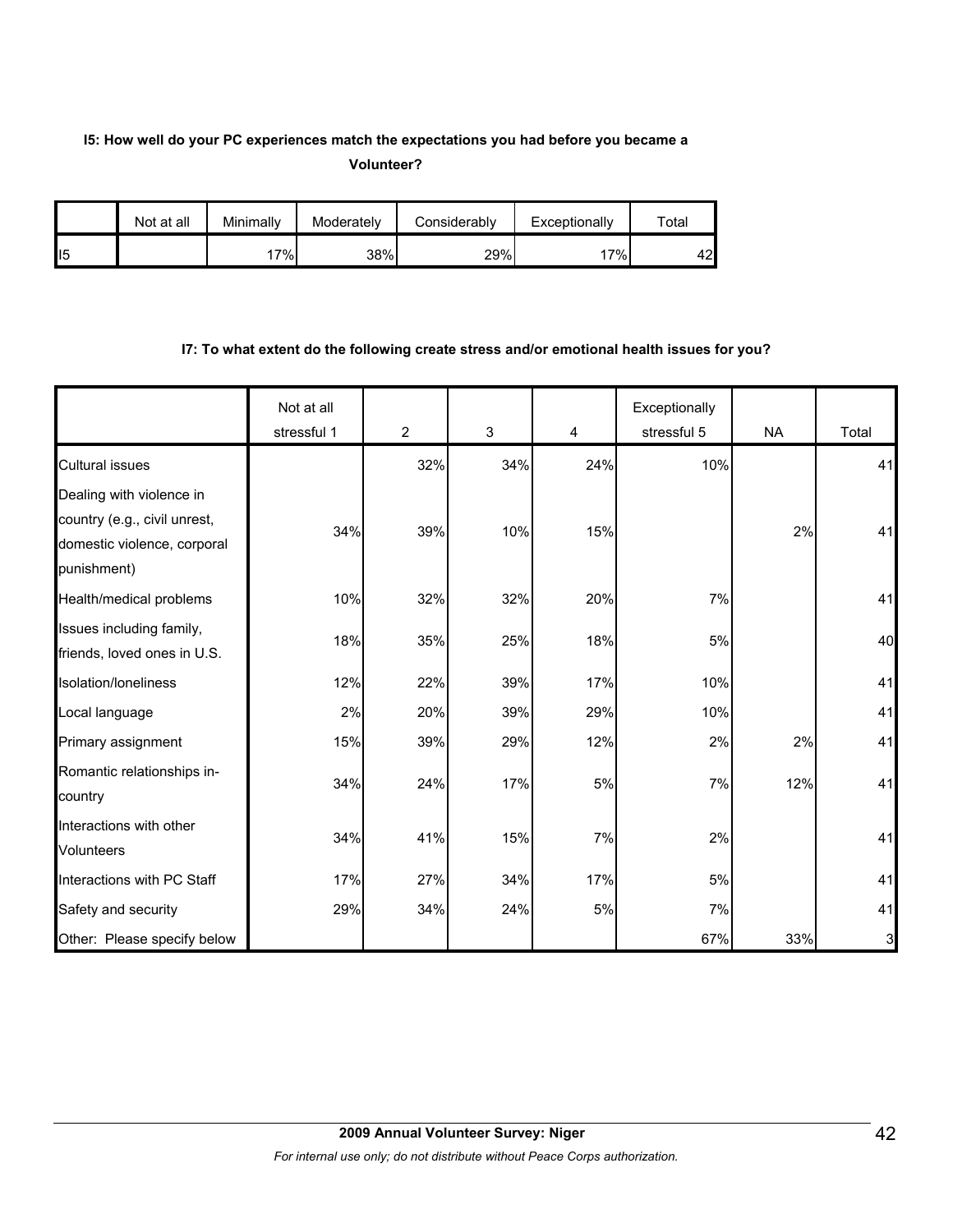# **I5: How well do your PC experiences match the expectations you had before you became a Volunteer?**

|                | Not at all | Minimallv | Moderately | Considerably | Exceptionally | $\mathsf{^{r}}$ otal |
|----------------|------------|-----------|------------|--------------|---------------|----------------------|
| $\mathsf{II}5$ |            | 7%        | 38%        | 29%          | 17%           | 42                   |

#### **I7: To what extent do the following create stress and/or emotional health issues for you?**

|                                                                            | Not at all<br>stressful 1 | $\overline{2}$ | $\mathsf 3$ | $\overline{\mathbf{4}}$ | Exceptionally<br>stressful 5 | <b>NA</b> | Total |
|----------------------------------------------------------------------------|---------------------------|----------------|-------------|-------------------------|------------------------------|-----------|-------|
| <b>Cultural issues</b>                                                     |                           | 32%            | 34%         | 24%                     | 10%                          |           | 41    |
| Dealing with violence in                                                   |                           |                |             |                         |                              |           |       |
| country (e.g., civil unrest,<br>domestic violence, corporal<br>punishment) | 34%                       | 39%            | 10%         | 15%                     |                              | 2%        | 41    |
| Health/medical problems                                                    | 10%                       | 32%            | 32%         | 20%                     | 7%                           |           | 41    |
| Issues including family,<br>friends, loved ones in U.S.                    | 18%                       | 35%            | 25%         | 18%                     | 5%                           |           | 40    |
| Isolation/Ioneliness                                                       | 12%                       | 22%            | 39%         | 17%                     | 10%                          |           | 41    |
| Local language                                                             | 2%                        | 20%            | 39%         | 29%                     | 10%                          |           | 41    |
| Primary assignment                                                         | 15%                       | 39%            | 29%         | 12%                     | 2%                           | 2%        | 41    |
| Romantic relationships in-<br>country                                      | 34%                       | 24%            | 17%         | 5%                      | 7%                           | 12%       | 41    |
| Interactions with other<br><b>Volunteers</b>                               | 34%                       | 41%            | 15%         | 7%                      | 2%                           |           | 41    |
| Interactions with PC Staff                                                 | 17%                       | 27%            | 34%         | 17%                     | 5%                           |           | 41    |
| Safety and security                                                        | 29%                       | 34%            | 24%         | 5%                      | 7%                           |           | 41    |
| Other: Please specify below                                                |                           |                |             |                         | 67%                          | 33%       | 3     |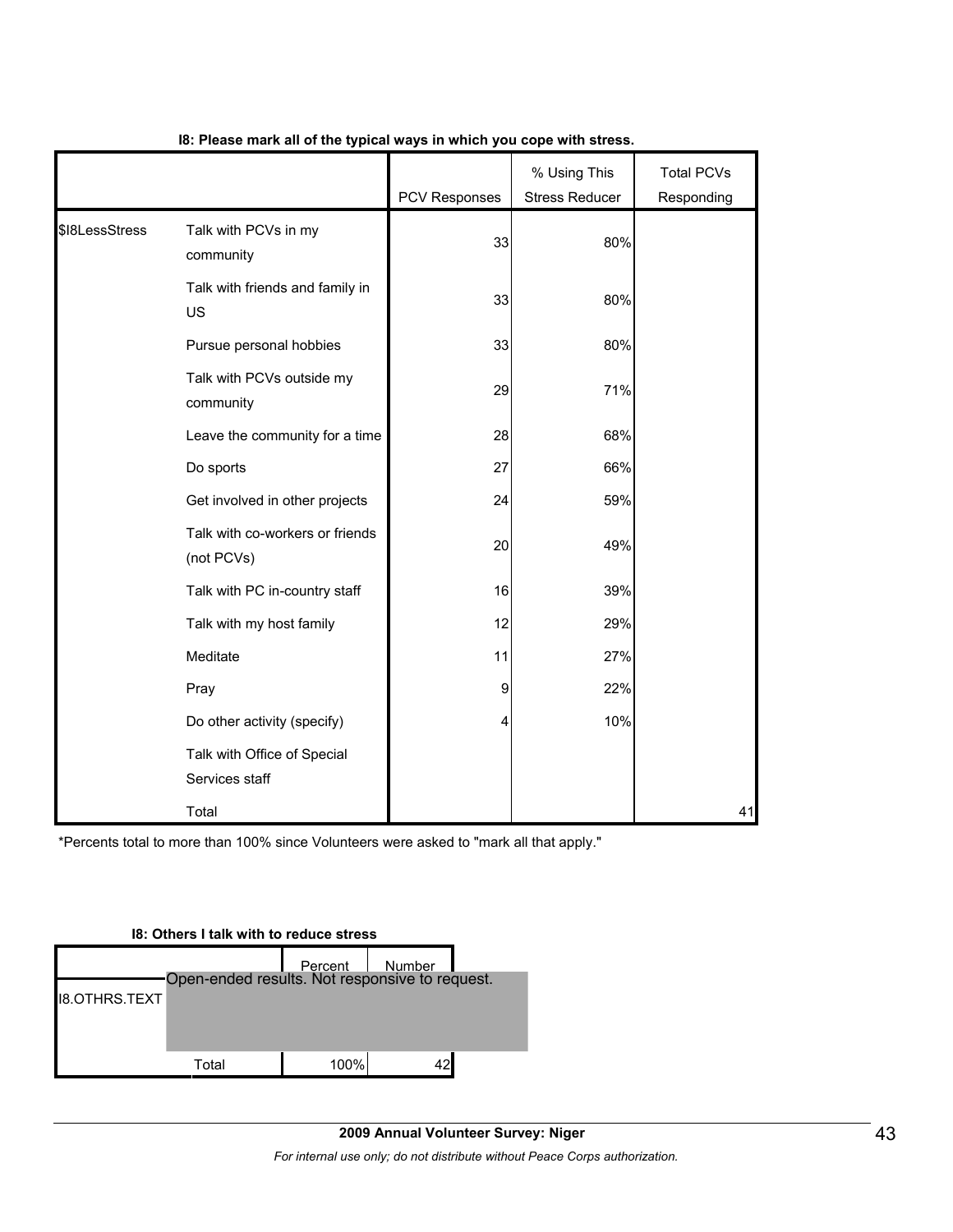|                |                                               | PCV Responses | % Using This<br><b>Stress Reducer</b> | <b>Total PCVs</b><br>Responding |
|----------------|-----------------------------------------------|---------------|---------------------------------------|---------------------------------|
| \$I8LessStress | Talk with PCVs in my<br>community             | 33            | 80%                                   |                                 |
|                | Talk with friends and family in<br>US         | 33            | 80%                                   |                                 |
|                | Pursue personal hobbies                       | 33            | 80%                                   |                                 |
|                | Talk with PCVs outside my<br>community        | 29            | 71%                                   |                                 |
|                | Leave the community for a time                | 28            | 68%                                   |                                 |
|                | Do sports                                     | 27            | 66%                                   |                                 |
|                | Get involved in other projects                | 24            | 59%                                   |                                 |
|                | Talk with co-workers or friends<br>(not PCVs) | 20            | 49%                                   |                                 |
|                | Talk with PC in-country staff                 | 16            | 39%                                   |                                 |
|                | Talk with my host family                      | 12            | 29%                                   |                                 |
|                | Meditate                                      | 11            | 27%                                   |                                 |
|                | Pray                                          | 9             | 22%                                   |                                 |
|                | Do other activity (specify)                   | ⊿             | 10%                                   |                                 |
|                | Talk with Office of Special<br>Services staff |               |                                       |                                 |
|                | Total                                         |               |                                       | 41                              |

#### **I8: Please mark all of the typical ways in which you cope with stress.**

\*Percents total to more than 100% since Volunteers were asked to "mark all that apply."

# **I8: Others I talk with to reduce stress** Percent Number Open-ended results. Not responsive to request.I8.OTHRS.TEXT Total 100% 42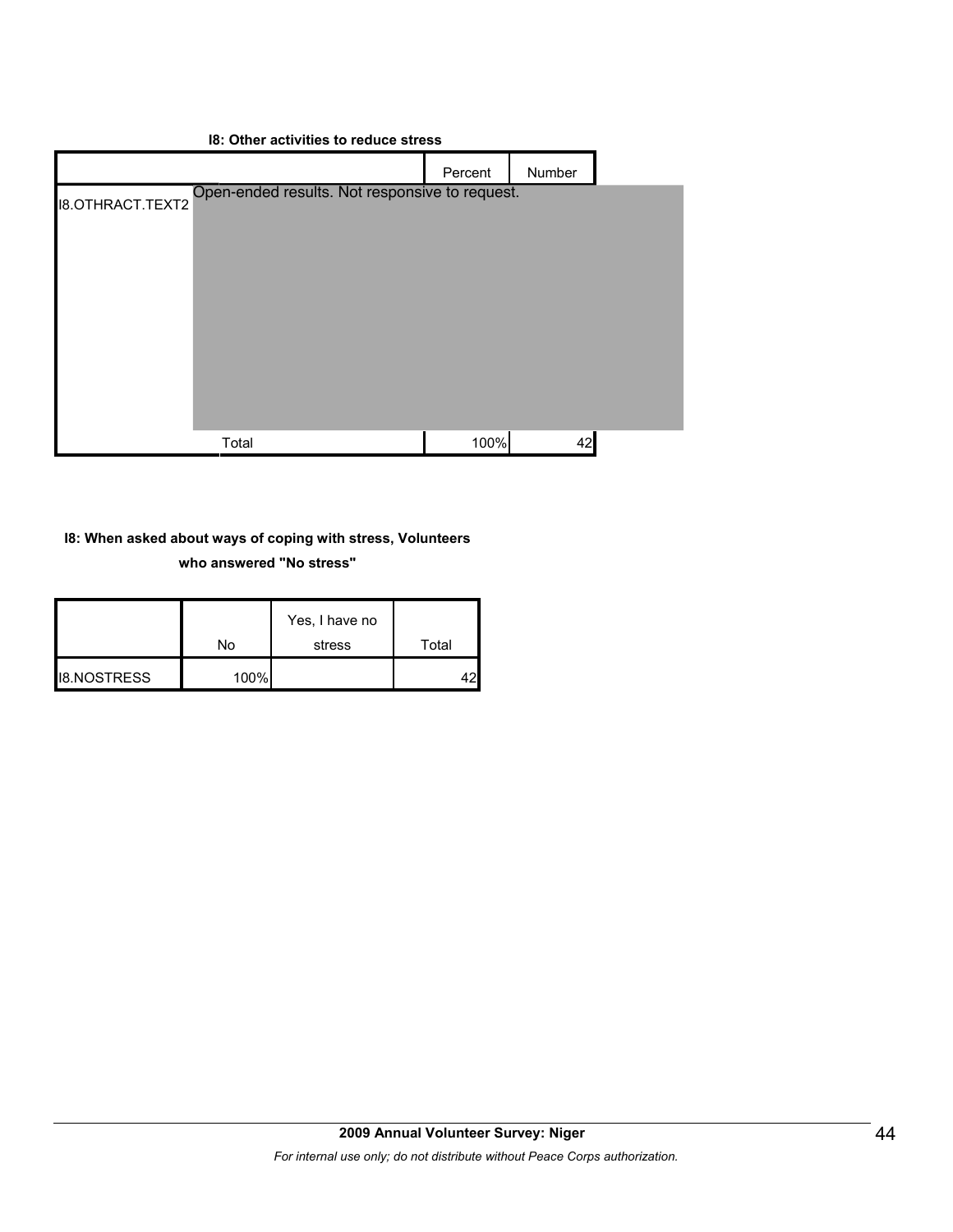#### **I8: Other activities to reduce stress**



#### **I8: When asked about ways of coping with stress, Volunteers**

#### **who answered "No stress"**

|                    | N٥   | Yes, I have no<br>stress | Total |
|--------------------|------|--------------------------|-------|
| <b>I8.NOSTRESS</b> | 100% |                          |       |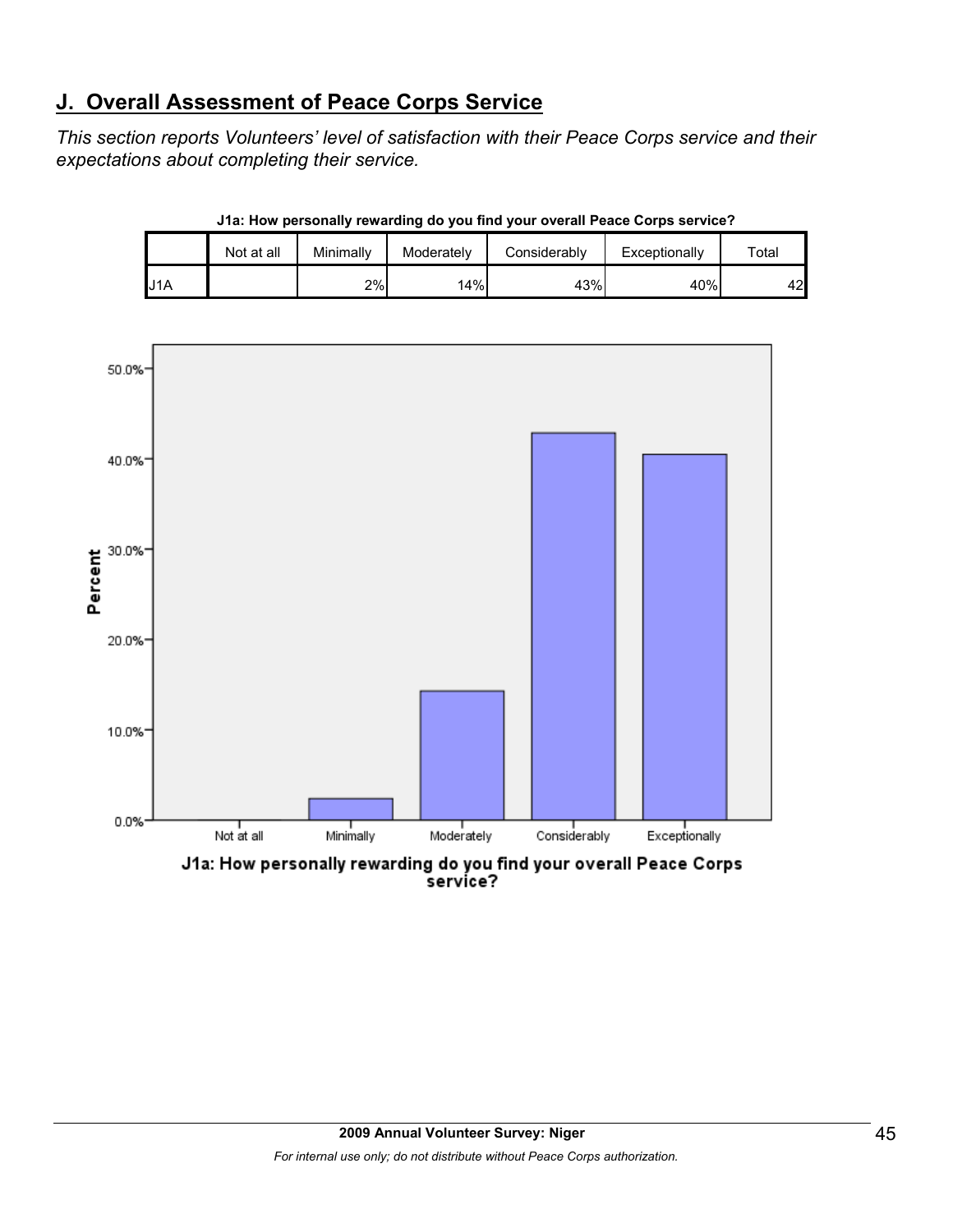# **J. Overall Assessment of Peace Corps Service**

*This section reports Volunteers' level of satisfaction with their Peace Corps service and their expectations about completing their service.* 

|     | Not at all | Minimally | Moderately | Considerably | Exceptionally | $\tau$ otal |
|-----|------------|-----------|------------|--------------|---------------|-------------|
| U1A |            | 2%        | 14%        | 43%          | 40%           | 42          |

**J1a: How personally rewarding do you find your overall Peace Corps service?**



service?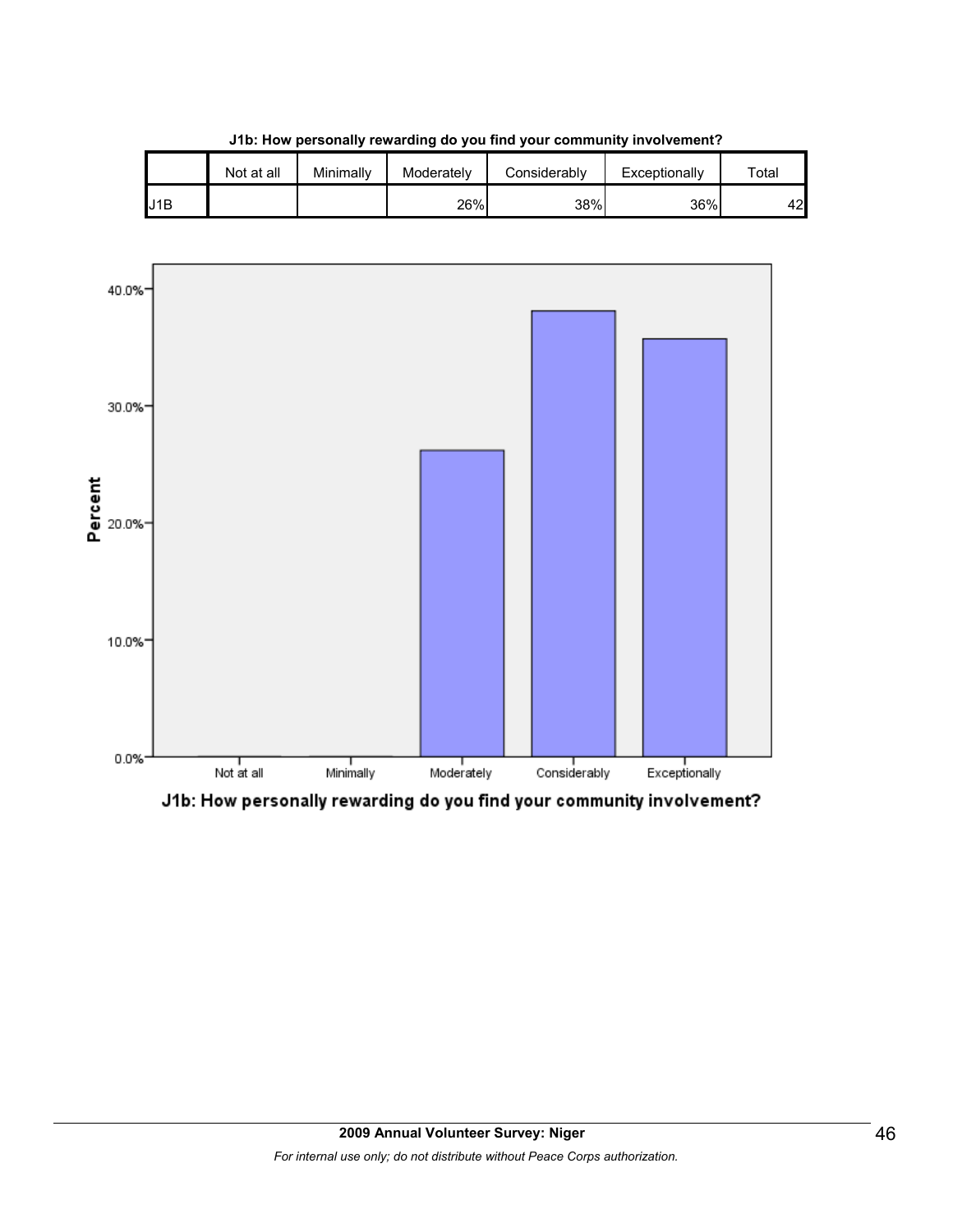|     | Not at all | Minimally | Moderately | Considerably | Exceptionally | $\tau$ otal |
|-----|------------|-----------|------------|--------------|---------------|-------------|
| U1B |            |           | 26%        | 38%          | 36%           | 42          |





J1b: How personally rewarding do you find your community involvement?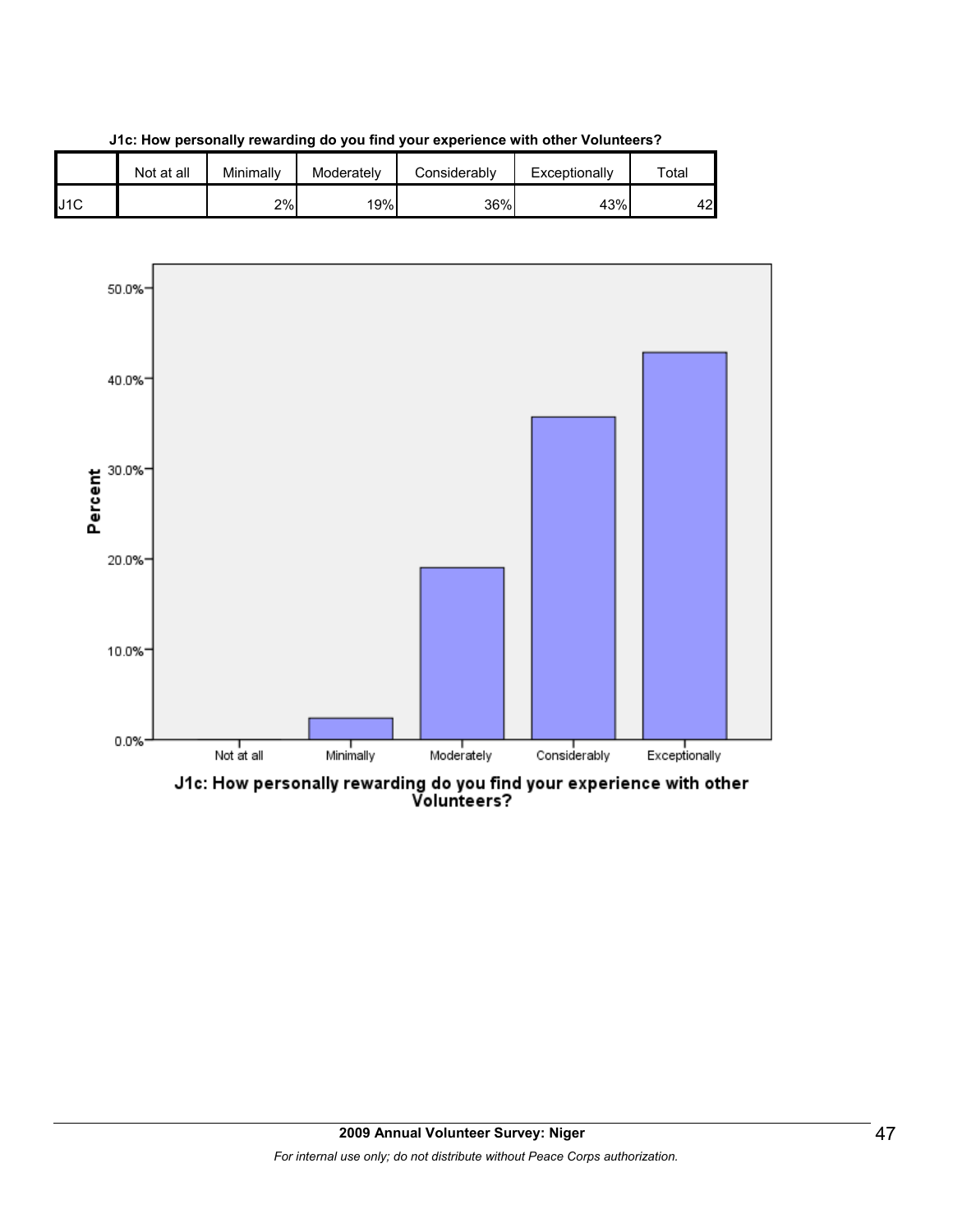





J1c: How personally rewarding do you find your experience with other<br>Volunteers?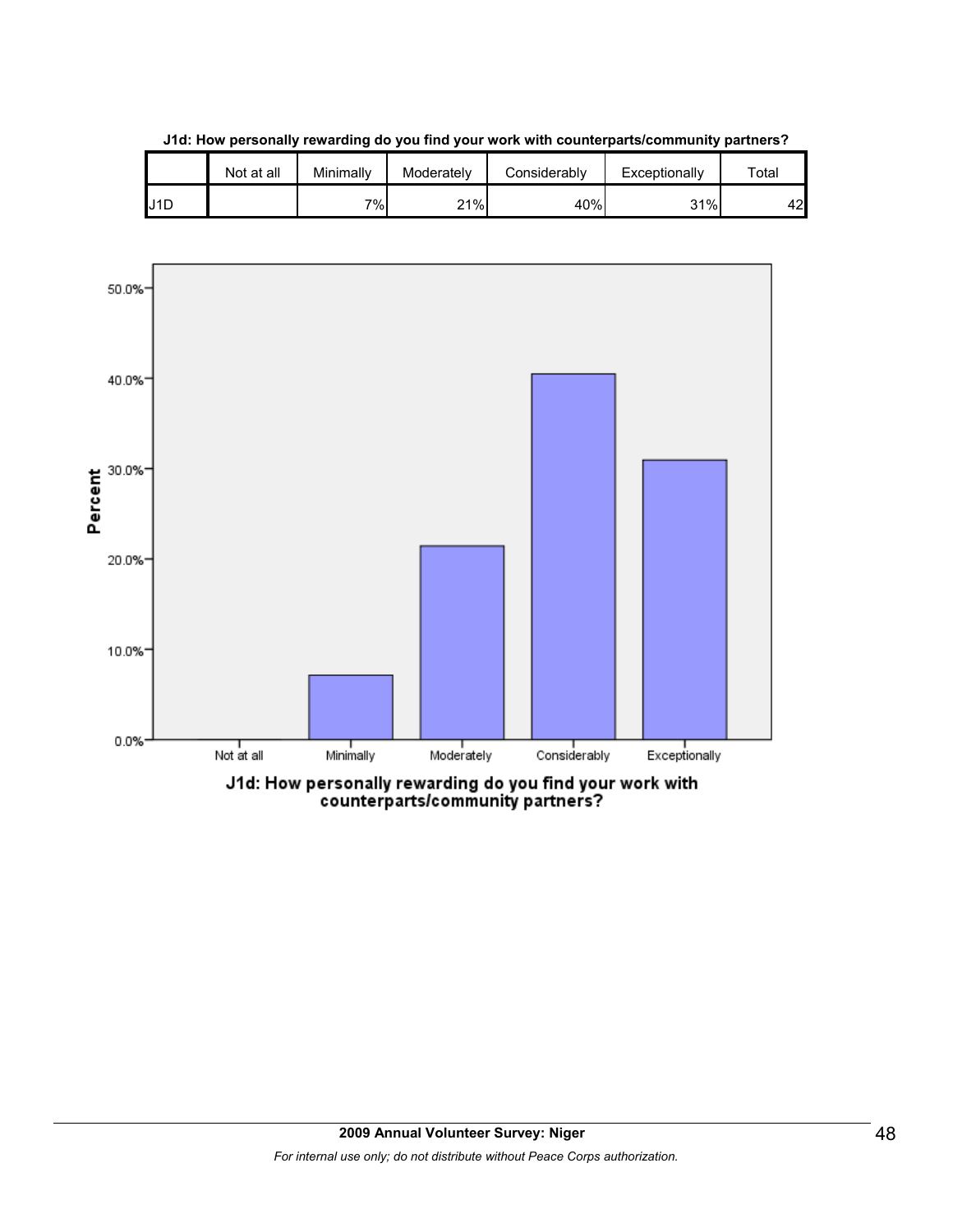|     | Not at all | Minimallv | Moderately | Considerably | Exceptionally | $\tau$ otal |
|-----|------------|-----------|------------|--------------|---------------|-------------|
| J1D |            | י (∂ד     | 21%        | 40%          | 31%           | 42          |

**J1d: How personally rewarding do you find your work with counterparts/community partners?**

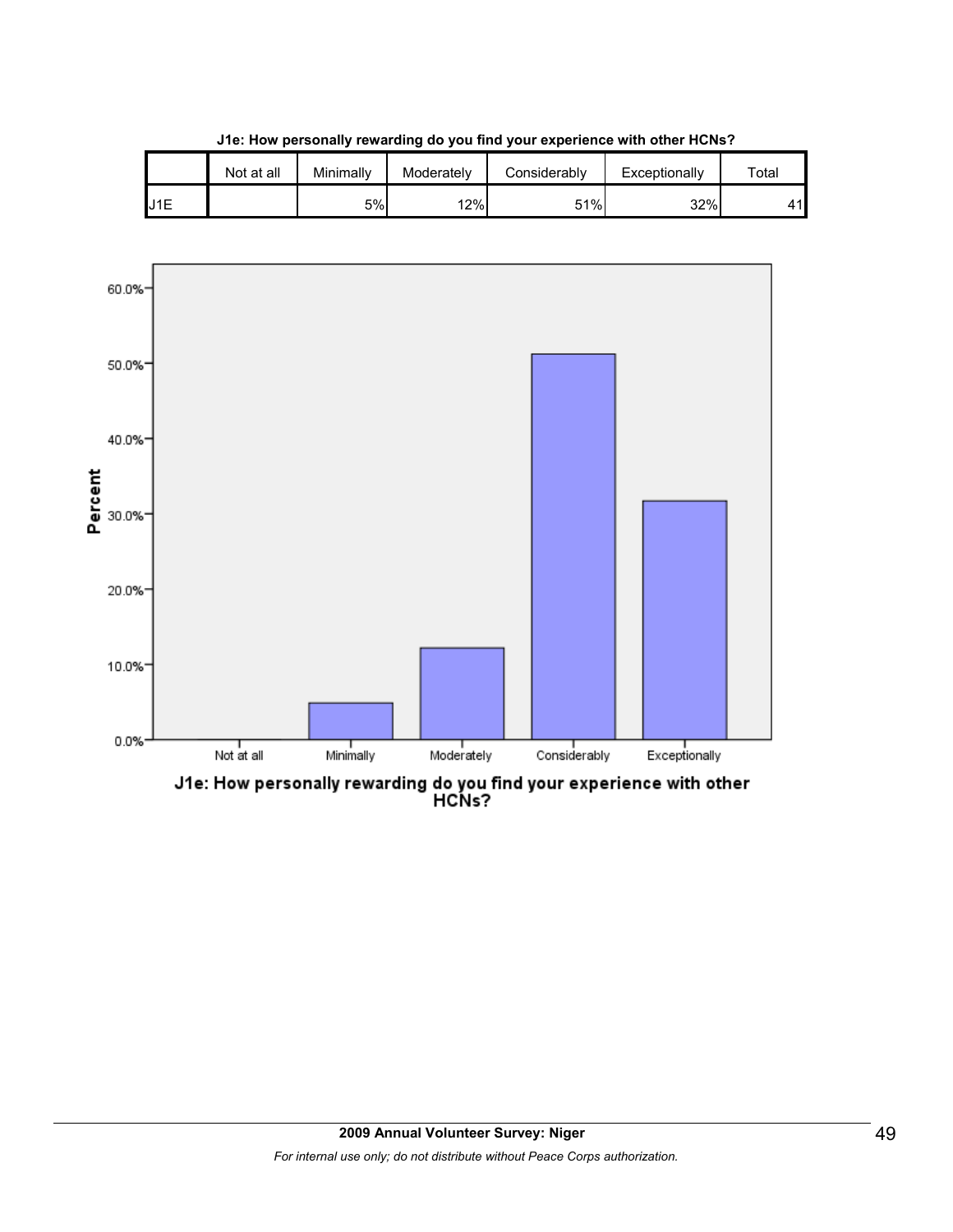

**J1e: How personally rewarding do you find your experience with other HCNs?**

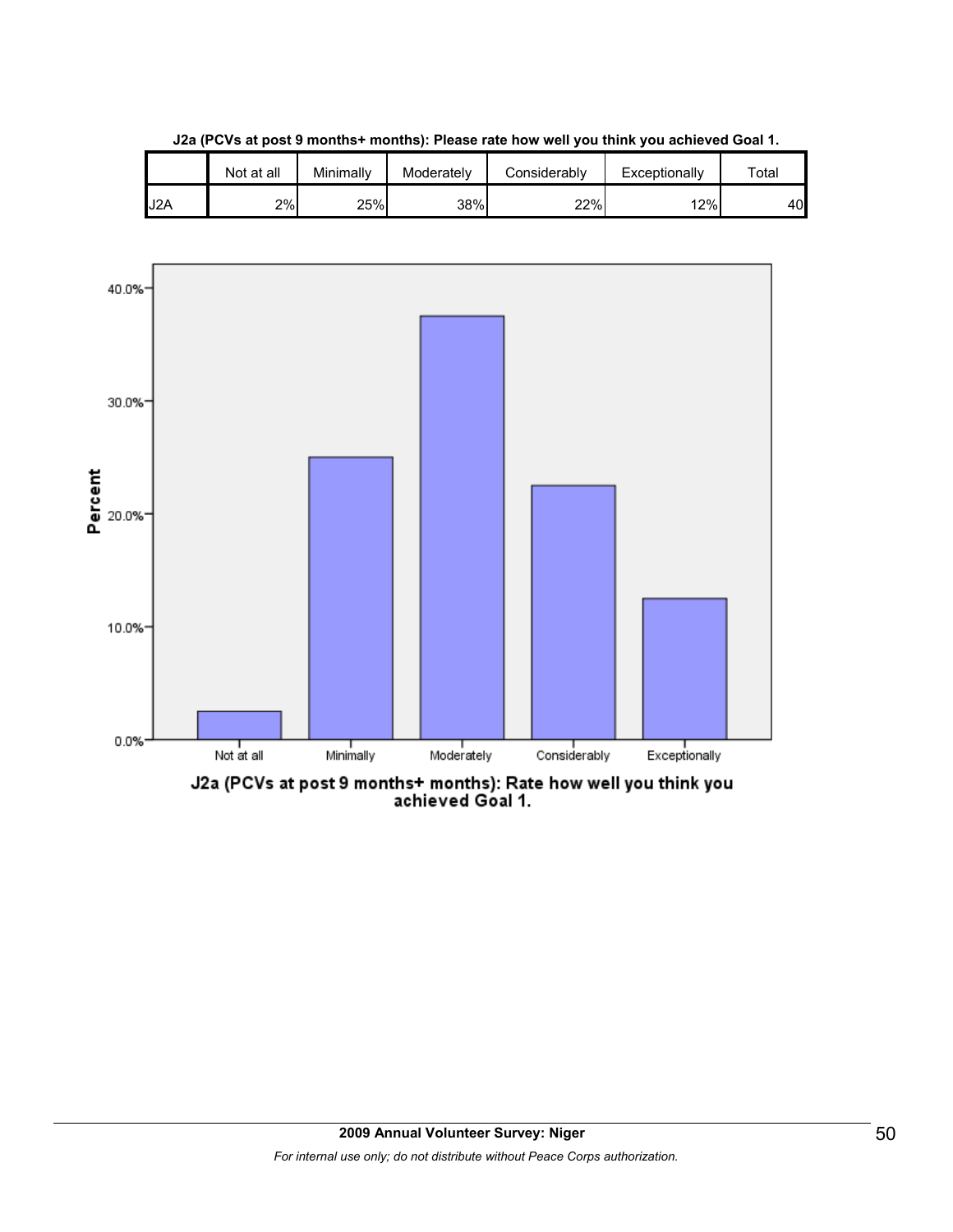|     | Not at all | Minimallv | Moderately | Considerablv | Exceptionally | $\tau$ otal |
|-----|------------|-----------|------------|--------------|---------------|-------------|
| J2A | 2%         | 25%       | 38%        | 22%          | 12%           | 40          |

**J2a (PCVs at post 9 months+ months): Please rate how well you think you achieved Goal 1.**



J2a (PCVs at post 9 months+ months): Rate how well you think you<br>achieved Goal 1.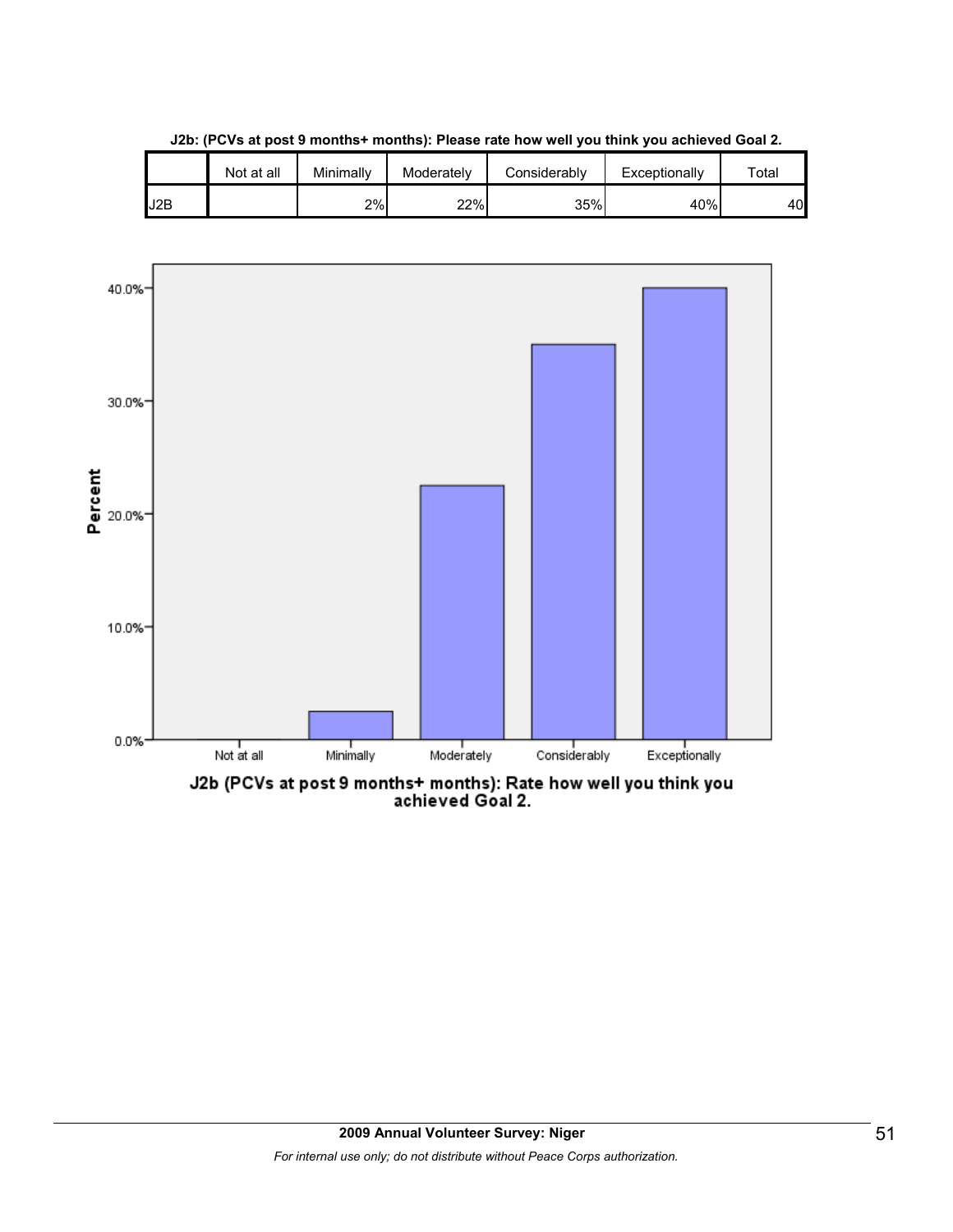

**J2b: (PCVs at post 9 months+ months): Please rate how well you think you achieved Goal 2.**

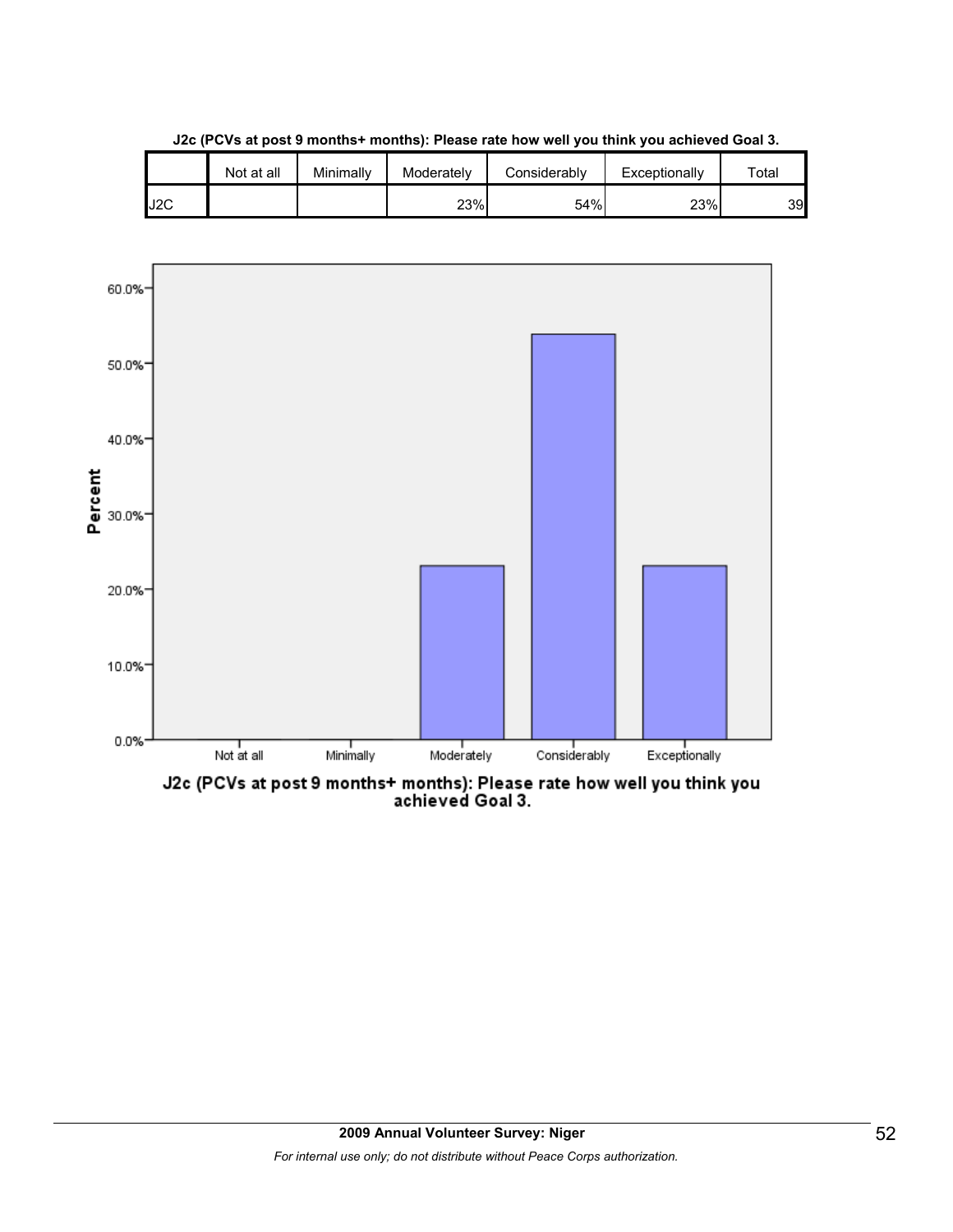

**J2c (PCVs at post 9 months+ months): Please rate how well you think you achieved Goal 3.**



J2c (PCVs at post 9 months+ months): Please rate how well you think you<br>achieved Goal 3.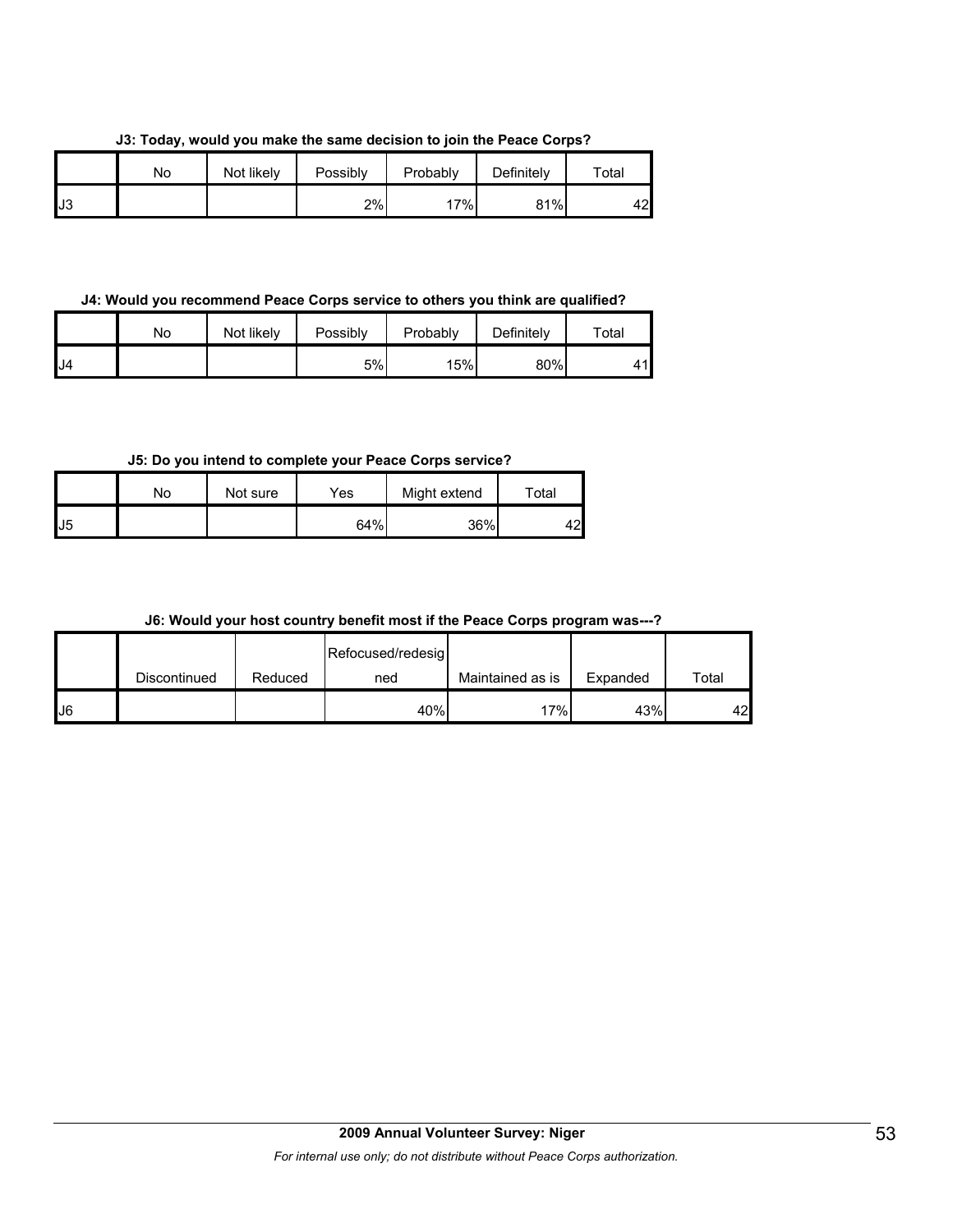**J3: Today, would you make the same decision to join the Peace Corps?**

|    | No | Not likely | Possibly | Probably | Definitely | Total |
|----|----|------------|----------|----------|------------|-------|
| J3 |    |            | 2%       | 17%      | 81%        | 42    |

**J4: Would you recommend Peace Corps service to others you think are qualified?**

|     | No | Not likely | Possibly | Probably | Definitely | $\tau$ otal |
|-----|----|------------|----------|----------|------------|-------------|
| IJ4 |    |            | 5%       | 15%      | 80%        | 44          |

**J5: Do you intend to complete your Peace Corps service?**

|              | No | Not sure | Yes | Might extend | Total |
|--------------|----|----------|-----|--------------|-------|
| $\mathsf{L}$ |    |          | 64% | 36%          | 42    |

| J6: Would your host country benefit most if the Peace Corps program was---? |  |  |
|-----------------------------------------------------------------------------|--|--|
|-----------------------------------------------------------------------------|--|--|

|    |              |         | Refocused/redesig |                  |          |       |
|----|--------------|---------|-------------------|------------------|----------|-------|
|    | Discontinued | Reduced | ned               | Maintained as is | Expanded | Total |
| J6 |              |         | 40%               | 17%              | 43%      | 42    |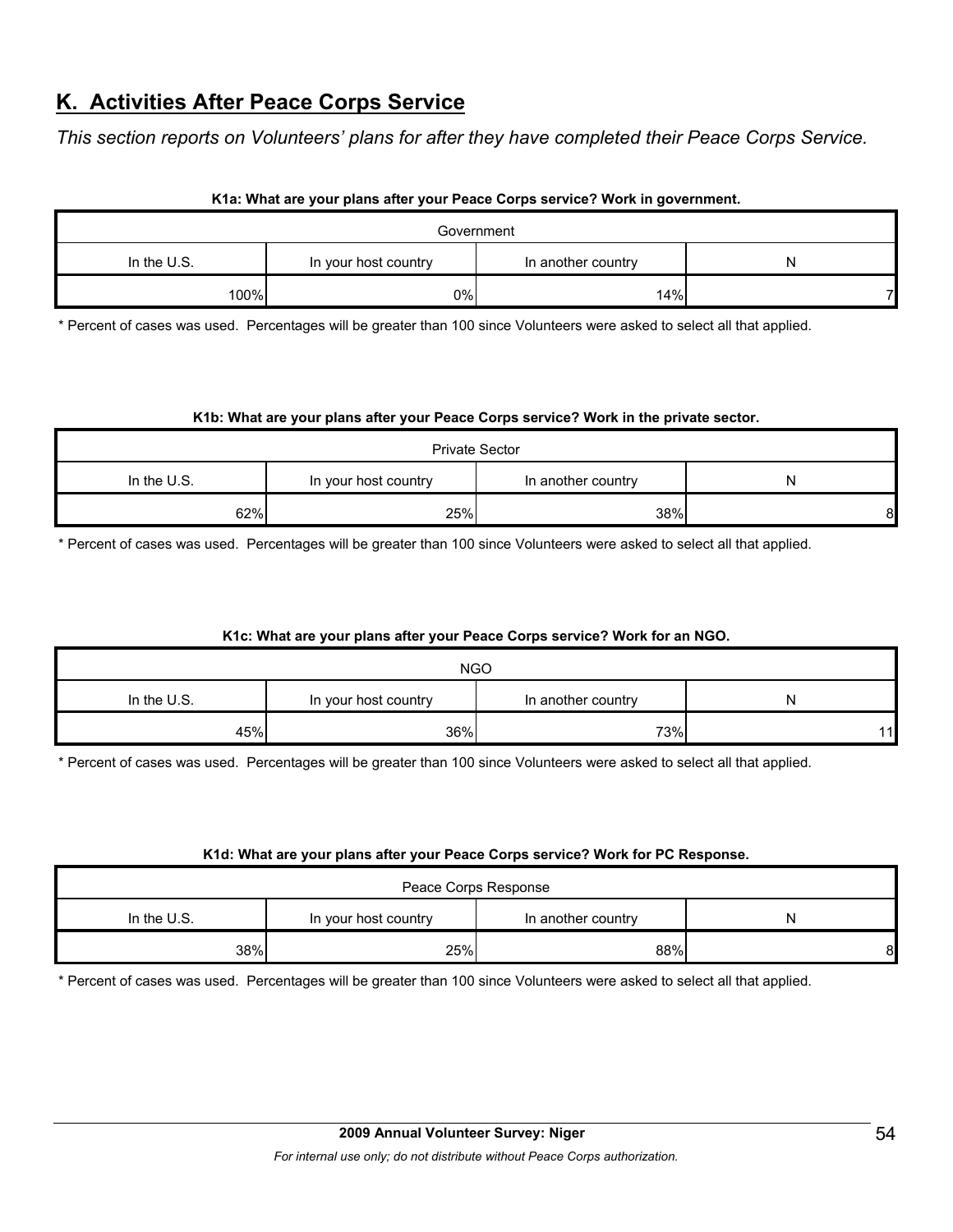# **K. Activities After Peace Corps Service**

*This section reports on Volunteers' plans for after they have completed their Peace Corps Service.* 

#### **K1a: What are your plans after your Peace Corps service? Work in government.**

| Government                                                       |    |     |  |  |  |
|------------------------------------------------------------------|----|-----|--|--|--|
| In the $U.S.$<br>In your host country<br>In another country<br>N |    |     |  |  |  |
| 100%                                                             | 0% | 14% |  |  |  |

\* Percent of cases was used. Percentages will be greater than 100 since Volunteers were asked to select all that applied.

#### **K1b: What are your plans after your Peace Corps service? Work in the private sector.**

| <b>Private Sector</b>                                     |     |     |   |  |  |
|-----------------------------------------------------------|-----|-----|---|--|--|
| In the U.S.<br>In another country<br>In your host country |     |     |   |  |  |
| 62%                                                       | 25% | 38% | 8 |  |  |

\* Percent of cases was used. Percentages will be greater than 100 since Volunteers were asked to select all that applied.

#### **K1c: What are your plans after your Peace Corps service? Work for an NGO.**

| <b>NGO</b>                                                     |     |     |      |  |  |
|----------------------------------------------------------------|-----|-----|------|--|--|
| In the U.S.<br>In another country<br>In your host country<br>N |     |     |      |  |  |
| 45%                                                            | 36% | 73% | 11 I |  |  |

\* Percent of cases was used. Percentages will be greater than 100 since Volunteers were asked to select all that applied.

#### **K1d: What are your plans after your Peace Corps service? Work for PC Response.**

| Peace Corps Response                                           |     |     |   |  |  |
|----------------------------------------------------------------|-----|-----|---|--|--|
| In the U.S.<br>In your host country<br>In another country<br>N |     |     |   |  |  |
| 38%                                                            | 25% | 88% | 8 |  |  |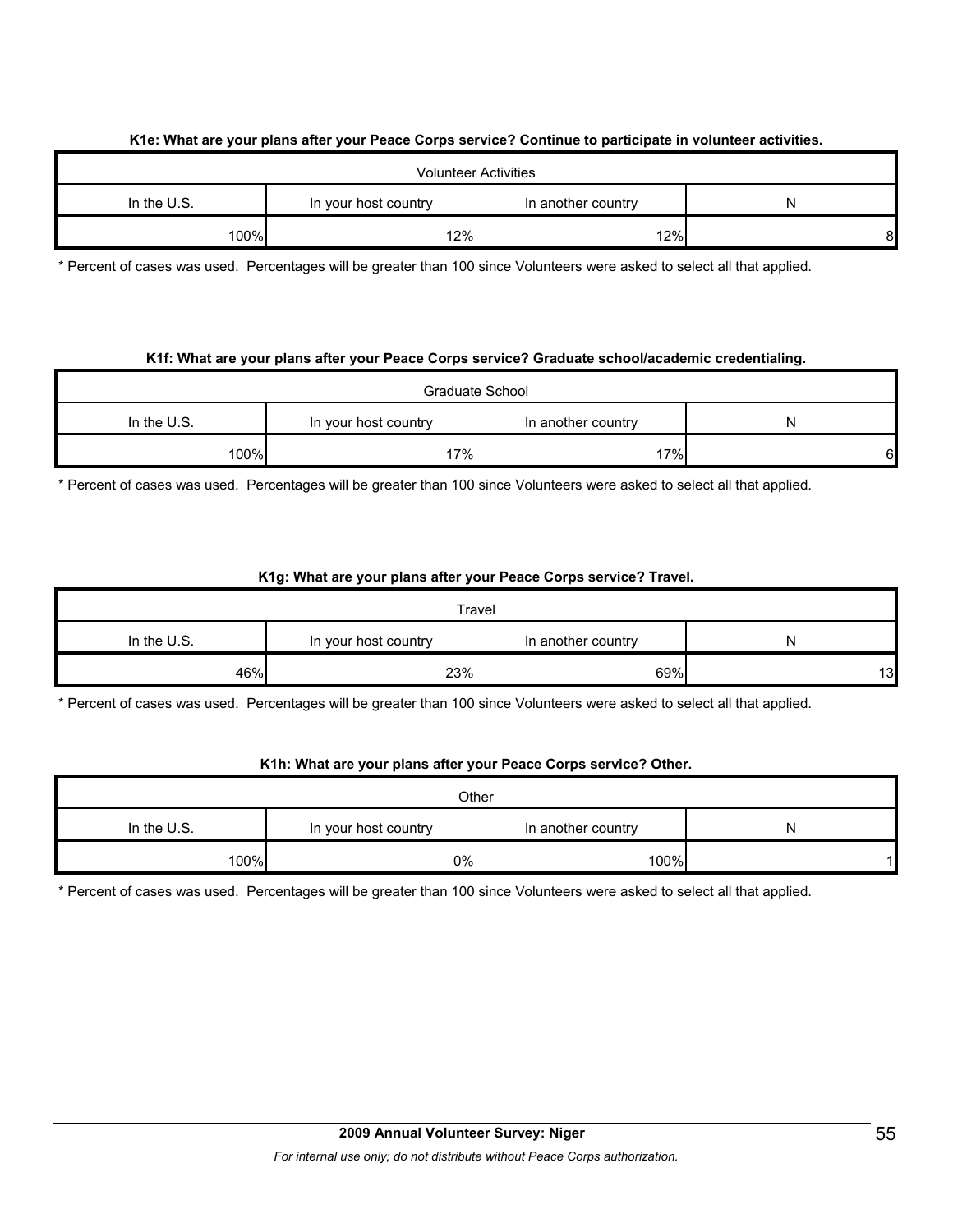#### **K1e: What are your plans after your Peace Corps service? Continue to participate in volunteer activities.**

| <b>Volunteer Activities</b>                                      |     |     |    |  |  |
|------------------------------------------------------------------|-----|-----|----|--|--|
| In the $U.S.$<br>In another country<br>In your host country<br>N |     |     |    |  |  |
| 100%                                                             | 12% | 12% | 81 |  |  |

\* Percent of cases was used. Percentages will be greater than 100 since Volunteers were asked to select all that applied.

#### **K1f: What are your plans after your Peace Corps service? Graduate school/academic credentialing.**

| Graduate School                                                  |     |     |   |  |  |
|------------------------------------------------------------------|-----|-----|---|--|--|
| In the $U.S.$<br>In your host country<br>In another country<br>N |     |     |   |  |  |
| 100%                                                             | 17% | 17% | 6 |  |  |

\* Percent of cases was used. Percentages will be greater than 100 since Volunteers were asked to select all that applied.

#### **K1g: What are your plans after your Peace Corps service? Travel.**

|                                                                  |     | Travel |    |  |  |
|------------------------------------------------------------------|-----|--------|----|--|--|
| In the $U.S.$<br>In another country<br>In your host country<br>N |     |        |    |  |  |
| 46%                                                              | 23% | 69%    | 13 |  |  |

\* Percent of cases was used. Percentages will be greater than 100 since Volunteers were asked to select all that applied.

#### **K1h: What are your plans after your Peace Corps service? Other.**

| Other       |                      |                    |   |  |  |
|-------------|----------------------|--------------------|---|--|--|
| In the U.S. | In your host country | In another country | N |  |  |
| 100%        | 0%                   | 100%               |   |  |  |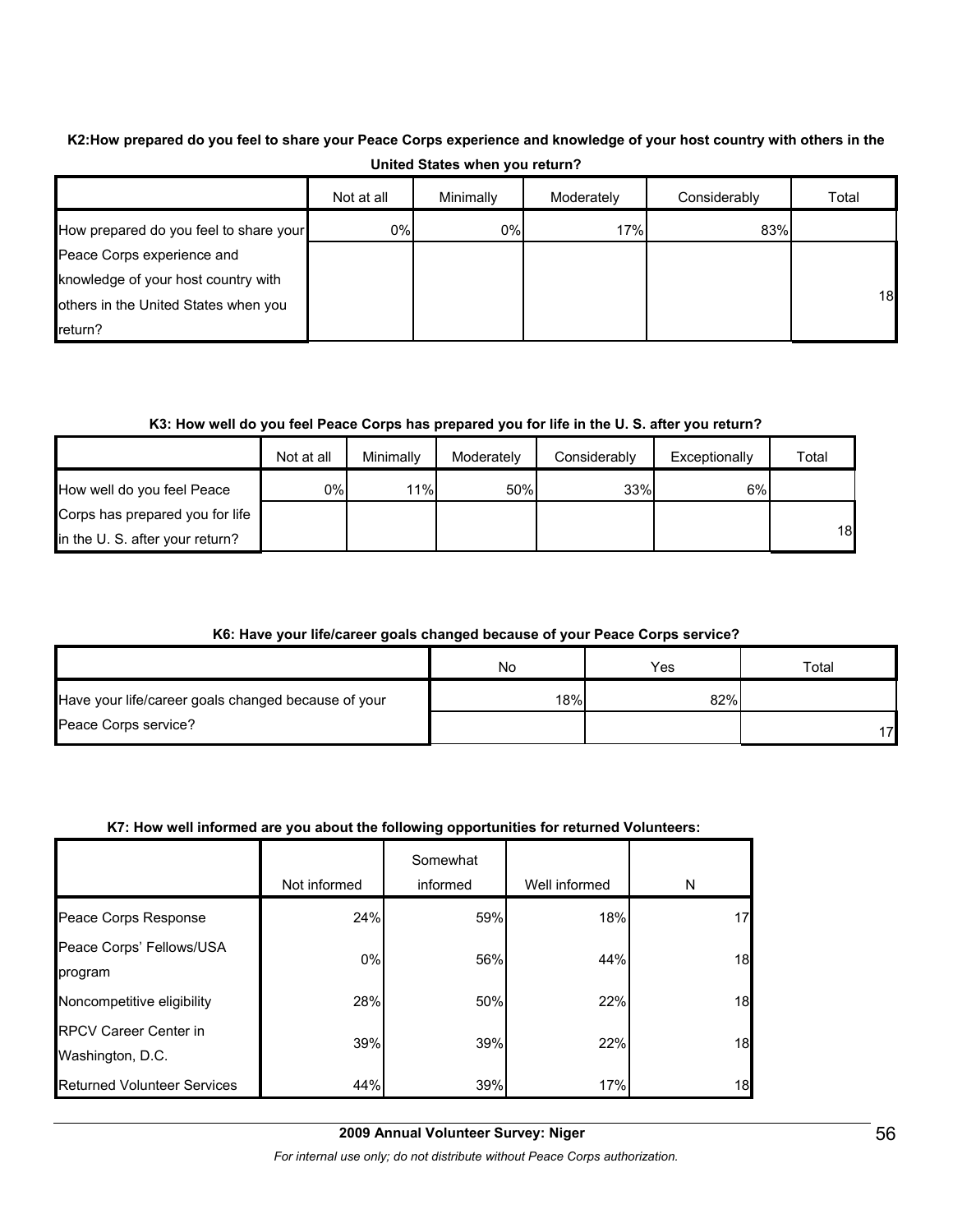# **K2:How prepared do you feel to share your Peace Corps experience and knowledge of your host country with others in the United States when you return?**

|                                        | Not at all | Minimally | Moderately | Considerably | Total |
|----------------------------------------|------------|-----------|------------|--------------|-------|
| How prepared do you feel to share your | 0%         | 0%        | 17%        | 83%          |       |
| Peace Corps experience and             |            |           |            |              |       |
| knowledge of your host country with    |            |           |            |              |       |
| others in the United States when you   |            |           |            |              | 18    |
| return?                                |            |           |            |              |       |

#### **K3: How well do you feel Peace Corps has prepared you for life in the U. S. after you return?**

|                                 | Not at all | Minimally | Moderately | Considerably | Exceptionally | Total |
|---------------------------------|------------|-----------|------------|--------------|---------------|-------|
| How well do you feel Peace      | 0%l        | 11%       | 50%        | 33%          | 6%            |       |
| Corps has prepared you for life |            |           |            |              |               |       |
| in the U. S. after your return? |            |           |            |              |               | 18    |

### **K6: Have your life/career goals changed because of your Peace Corps service?**

|                                                     | No  | Yes | $\tau$ otal |
|-----------------------------------------------------|-----|-----|-------------|
| Have your life/career goals changed because of your | 18% | 82% |             |
| Peace Corps service?                                |     |     | 17          |

#### **K7: How well informed are you about the following opportunities for returned Volunteers:**

|                                                  | Not informed | Somewhat<br>informed | Well informed | N  |
|--------------------------------------------------|--------------|----------------------|---------------|----|
| Peace Corps Response                             | 24%          | 59%                  | 18%           | 17 |
| Peace Corps' Fellows/USA<br>program              | $0\%$        | 56%                  | 44%           | 18 |
| Noncompetitive eligibility                       | 28%          | 50%                  | 22%           | 18 |
| <b>RPCV Career Center in</b><br>Washington, D.C. | 39%          | 39%                  | 22%           | 18 |
| <b>Returned Volunteer Services</b>               | 44%          | 39%                  | 17%           | 18 |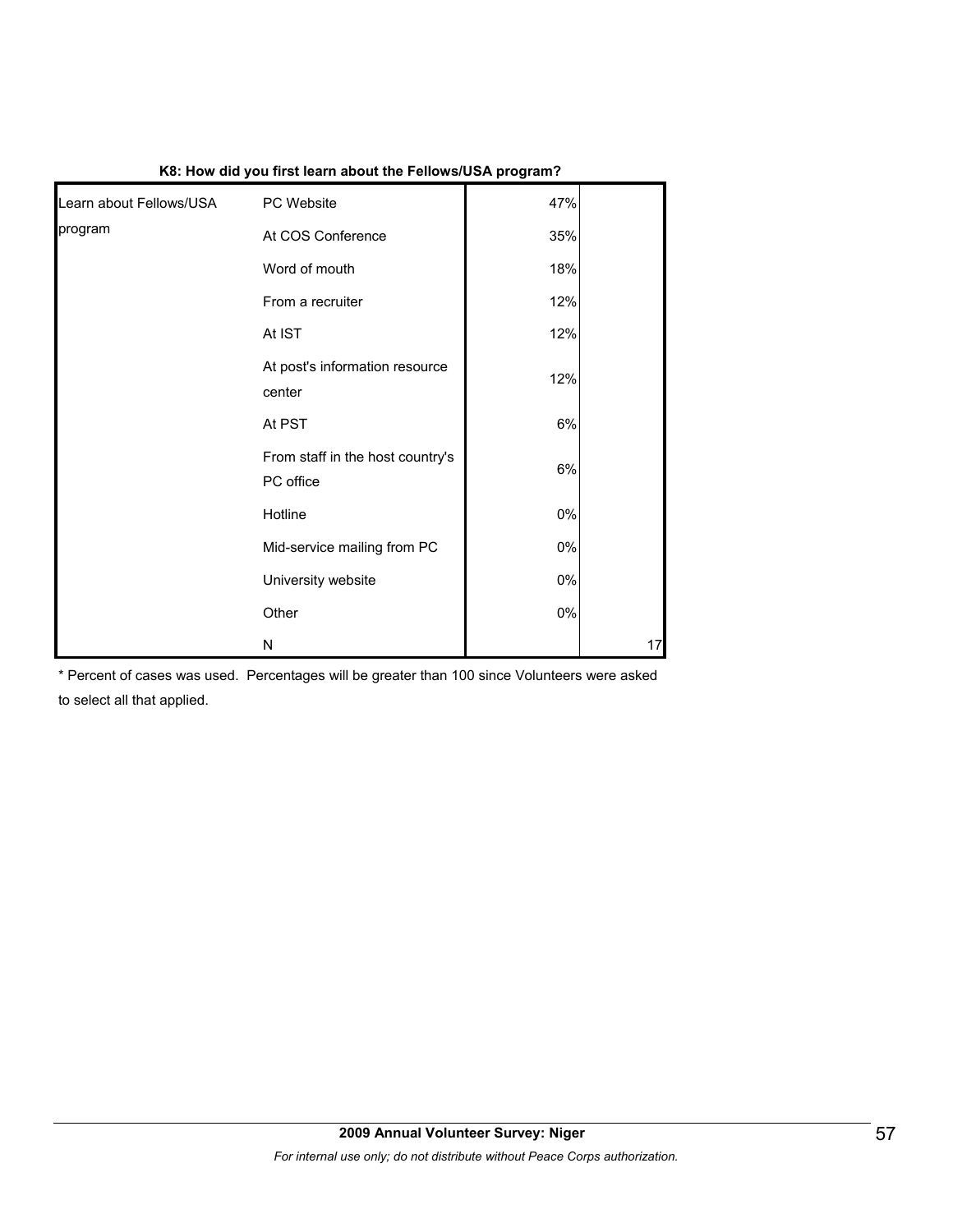| Learn about Fellows/USA | PC Website                                    | 47% |    |
|-------------------------|-----------------------------------------------|-----|----|
| program                 | At COS Conference                             | 35% |    |
|                         | Word of mouth                                 | 18% |    |
|                         | From a recruiter                              | 12% |    |
|                         | At IST                                        | 12% |    |
|                         | At post's information resource<br>center      | 12% |    |
|                         | At PST                                        | 6%  |    |
|                         | From staff in the host country's<br>PC office | 6%  |    |
|                         | Hotline                                       | 0%  |    |
|                         | Mid-service mailing from PC                   | 0%  |    |
|                         | University website                            | 0%  |    |
|                         | Other                                         | 0%  |    |
|                         | N                                             |     | 17 |

#### **K8: How did you first learn about the Fellows/USA program?**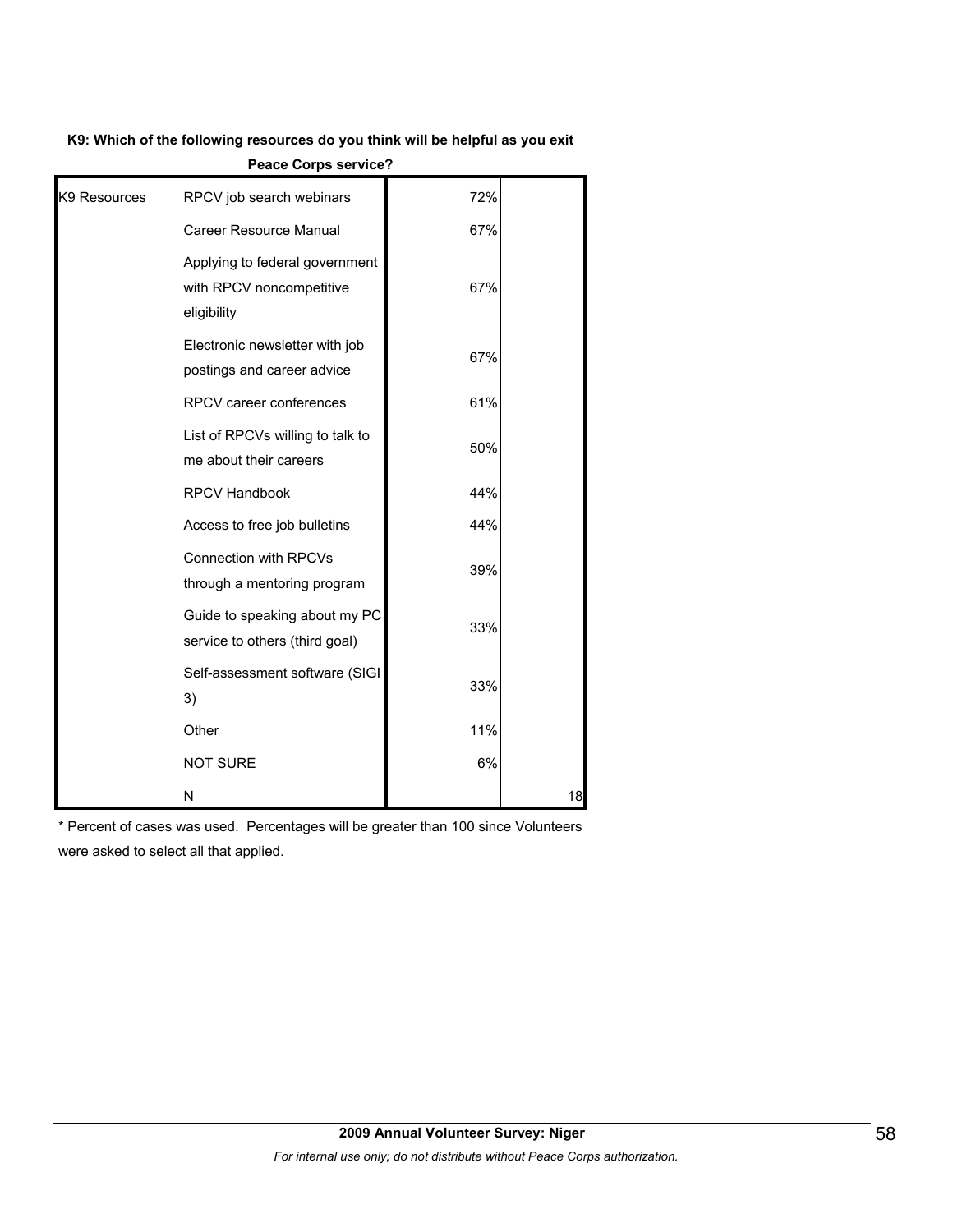#### **K9: Which of the following resources do you think will be helpful as you exit**

| K9 Resources | RPCV job search webinars                                                  | 72% |    |
|--------------|---------------------------------------------------------------------------|-----|----|
|              | Career Resource Manual                                                    | 67% |    |
|              | Applying to federal government<br>with RPCV noncompetitive<br>eligibility | 67% |    |
|              | Electronic newsletter with job<br>postings and career advice              | 67% |    |
|              | RPCV career conferences                                                   | 61% |    |
|              | List of RPCVs willing to talk to<br>me about their careers                | 50% |    |
|              | <b>RPCV Handbook</b>                                                      | 44% |    |
|              | Access to free job bulletins                                              | 44% |    |
|              | <b>Connection with RPCVs</b><br>through a mentoring program               | 39% |    |
|              | Guide to speaking about my PC<br>service to others (third goal)           | 33% |    |
|              | Self-assessment software (SIGI<br>3)                                      | 33% |    |
|              | Other                                                                     | 11% |    |
|              | <b>NOT SURE</b>                                                           | 6%  |    |
|              | N                                                                         |     | 18 |

**Peace Corps service?**